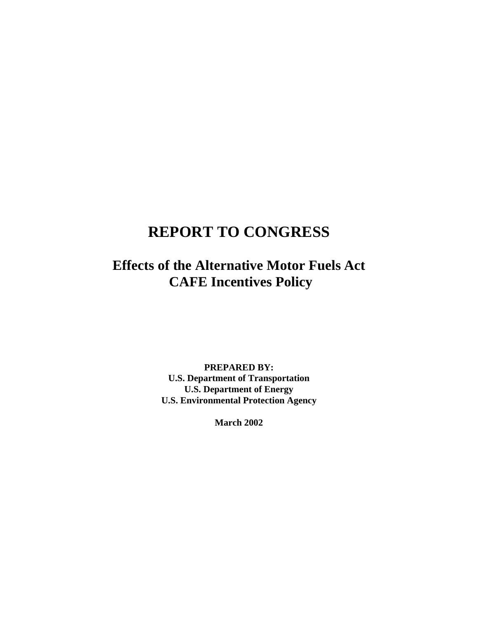# **REPORT TO CONGRESS**

**Effects of the Alternative Motor Fuels Act CAFE Incentives Policy** 

> **PREPARED BY: U.S. Department of Transportation U.S. Department of Energy U.S. Environmental Protection Agency**

> > **March 2002**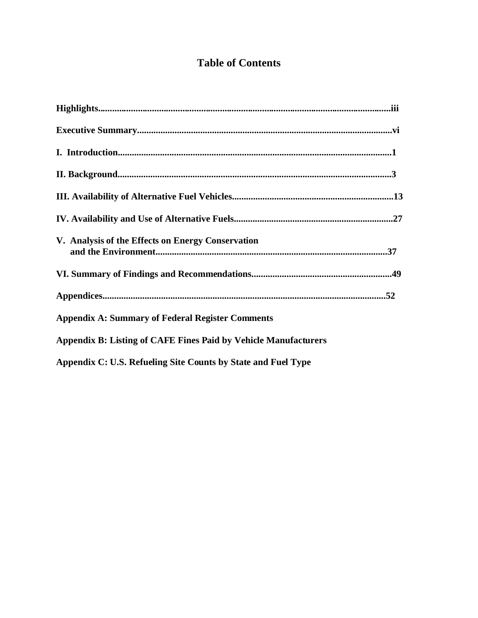## **Table of Contents**

| V. Analysis of the Effects on Energy Conservation                      |
|------------------------------------------------------------------------|
|                                                                        |
|                                                                        |
| <b>Appendix A: Summary of Federal Register Comments</b>                |
| <b>Appendix B: Listing of CAFE Fines Paid by Vehicle Manufacturers</b> |
| Appendix C: U.S. Refueling Site Counts by State and Fuel Type          |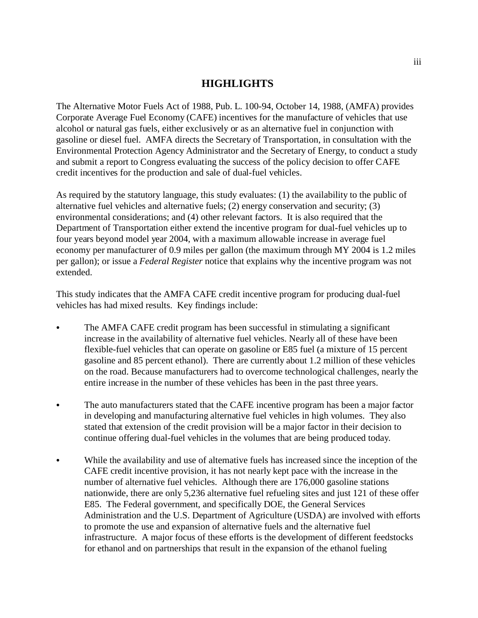## **HIGHLIGHTS**

The Alternative Motor Fuels Act of 1988, Pub. L. 100-94, October 14, 1988, (AMFA) provides Corporate Average Fuel Economy (CAFE) incentives for the manufacture of vehicles that use alcohol or natural gas fuels, either exclusively or as an alternative fuel in conjunction with gasoline or diesel fuel. AMFA directs the Secretary of Transportation, in consultation with the Environmental Protection Agency Administrator and the Secretary of Energy, to conduct a study and submit a report to Congress evaluating the success of the policy decision to offer CAFE credit incentives for the production and sale of dual-fuel vehicles.

As required by the statutory language, this study evaluates: (1) the availability to the public of alternative fuel vehicles and alternative fuels; (2) energy conservation and security; (3) environmental considerations; and (4) other relevant factors. It is also required that the Department of Transportation either extend the incentive program for dual-fuel vehicles up to four years beyond model year 2004, with a maximum allowable increase in average fuel economy per manufacturer of 0.9 miles per gallon (the maximum through MY 2004 is 1.2 miles per gallon); or issue a *Federal Register* notice that explains why the incentive program was not extended.

This study indicates that the AMFA CAFE credit incentive program for producing dual-fuel vehicles has had mixed results. Key findings include:

- � The AMFA CAFE credit program has been successful in stimulating a significant increase in the availability of alternative fuel vehicles. Nearly all of these have been flexible-fuel vehicles that can operate on gasoline or E85 fuel (a mixture of 15 percent gasoline and 85 percent ethanol). There are currently about 1.2 million of these vehicles on the road. Because manufacturers had to overcome technological challenges, nearly the entire increase in the number of these vehicles has been in the past three years.
- The auto manufacturers stated that the CAFE incentive program has been a major factor in developing and manufacturing alternative fuel vehicles in high volumes. They also stated that extension of the credit provision will be a major factor in their decision to continue offering dual-fuel vehicles in the volumes that are being produced today.
- � While the availability and use of alternative fuels has increased since the inception of the CAFE credit incentive provision, it has not nearly kept pace with the increase in the number of alternative fuel vehicles. Although there are 176,000 gasoline stations nationwide, there are only 5,236 alternative fuel refueling sites and just 121 of these offer E85. The Federal government, and specifically DOE, the General Services Administration and the U.S. Department of Agriculture (USDA) are involved with efforts to promote the use and expansion of alternative fuels and the alternative fuel infrastructure. A major focus of these efforts is the development of different feedstocks for ethanol and on partnerships that result in the expansion of the ethanol fueling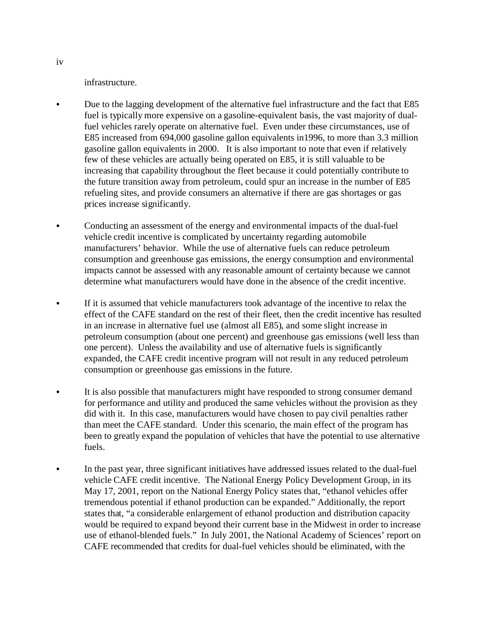infrastructure.

- Due to the lagging development of the alternative fuel infrastructure and the fact that E85 fuel is typically more expensive on a gasoline-equivalent basis, the vast majority of dualfuel vehicles rarely operate on alternative fuel. Even under these circumstances, use of E85 increased from 694,000 gasoline gallon equivalents in1996, to more than 3.3 million gasoline gallon equivalents in 2000. It is also important to note that even if relatively few of these vehicles are actually being operated on E85, it is still valuable to be increasing that capability throughout the fleet because it could potentially contribute to the future transition away from petroleum, could spur an increase in the number of E85 refueling sites, and provide consumers an alternative if there are gas shortages or gas prices increase significantly.
- Conducting an assessment of the energy and environmental impacts of the dual-fuel vehicle credit incentive is complicated by uncertainty regarding automobile manufacturers' behavior. While the use of alternative fuels can reduce petroleum consumption and greenhouse gas emissions, the energy consumption and environmental impacts cannot be assessed with any reasonable amount of certainty because we cannot determine what manufacturers would have done in the absence of the credit incentive.
- � If it is assumed that vehicle manufacturers took advantage of the incentive to relax the effect of the CAFE standard on the rest of their fleet, then the credit incentive has resulted in an increase in alternative fuel use (almost all E85), and some slight increase in petroleum consumption (about one percent) and greenhouse gas emissions (well less than one percent). Unless the availability and use of alternative fuels is significantly expanded, the CAFE credit incentive program will not result in any reduced petroleum consumption or greenhouse gas emissions in the future.
- It is also possible that manufacturers might have responded to strong consumer demand for performance and utility and produced the same vehicles without the provision as they did with it. In this case, manufacturers would have chosen to pay civil penalties rather than meet the CAFE standard. Under this scenario, the main effect of the program has been to greatly expand the population of vehicles that have the potential to use alternative fuels.
- In the past year, three significant initiatives have addressed issues related to the dual-fuel vehicle CAFE credit incentive. The National Energy Policy Development Group, in its May 17, 2001, report on the National Energy Policy states that, "ethanol vehicles offer tremendous potential if ethanol production can be expanded." Additionally, the report states that, "a considerable enlargement of ethanol production and distribution capacity would be required to expand beyond their current base in the Midwest in order to increase use of ethanol-blended fuels." In July 2001, the National Academy of Sciences' report on CAFE recommended that credits for dual-fuel vehicles should be eliminated, with the

iv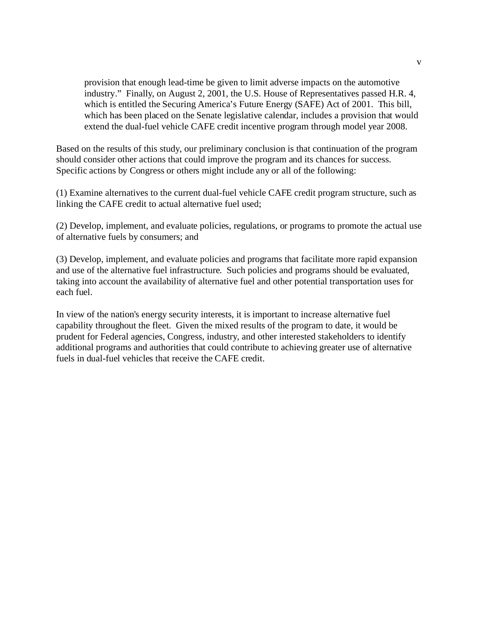provision that enough lead-time be given to limit adverse impacts on the automotive industry." Finally, on August 2, 2001, the U.S. House of Representatives passed H.R. 4, which is entitled the Securing America's Future Energy (SAFE) Act of 2001. This bill, which has been placed on the Senate legislative calendar, includes a provision that would extend the dual-fuel vehicle CAFE credit incentive program through model year 2008.

Based on the results of this study, our preliminary conclusion is that continuation of the program should consider other actions that could improve the program and its chances for success. Specific actions by Congress or others might include any or all of the following:

(1) Examine alternatives to the current dual-fuel vehicle CAFE credit program structure, such as linking the CAFE credit to actual alternative fuel used;

(2) Develop, implement, and evaluate policies, regulations, or programs to promote the actual use of alternative fuels by consumers; and

(3) Develop, implement, and evaluate policies and programs that facilitate more rapid expansion and use of the alternative fuel infrastructure. Such policies and programs should be evaluated, taking into account the availability of alternative fuel and other potential transportation uses for each fuel.

In view of the nation's energy security interests, it is important to increase alternative fuel capability throughout the fleet. Given the mixed results of the program to date, it would be prudent for Federal agencies, Congress, industry, and other interested stakeholders to identify additional programs and authorities that could contribute to achieving greater use of alternative fuels in dual-fuel vehicles that receive the CAFE credit.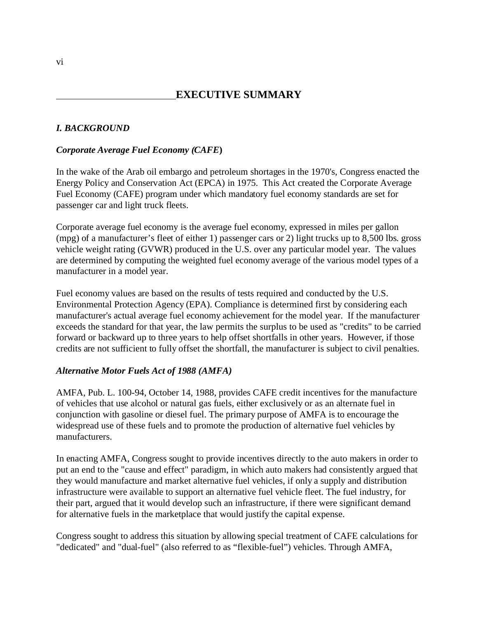## **EXECUTIVE SUMMARY**

## *I. BACKGROUND*

## *Corporate Average Fuel Economy (CAFE***)**

In the wake of the Arab oil embargo and petroleum shortages in the 1970's, Congress enacted the Energy Policy and Conservation Act (EPCA) in 1975. This Act created the Corporate Average Fuel Economy (CAFE) program under which mandatory fuel economy standards are set for passenger car and light truck fleets.

Corporate average fuel economy is the average fuel economy, expressed in miles per gallon (mpg) of a manufacturer's fleet of either 1) passenger cars or 2) light trucks up to 8,500 lbs. gross vehicle weight rating (GVWR) produced in the U.S. over any particular model year. The values are determined by computing the weighted fuel economy average of the various model types of a manufacturer in a model year.

Fuel economy values are based on the results of tests required and conducted by the U.S. Environmental Protection Agency (EPA). Compliance is determined first by considering each manufacturer's actual average fuel economy achievement for the model year. If the manufacturer exceeds the standard for that year, the law permits the surplus to be used as "credits" to be carried forward or backward up to three years to help offset shortfalls in other years. However, if those credits are not sufficient to fully offset the shortfall, the manufacturer is subject to civil penalties.

### *Alternative Motor Fuels Act of 1988 (AMFA)*

AMFA, Pub. L. 100-94, October 14, 1988, provides CAFE credit incentives for the manufacture of vehicles that use alcohol or natural gas fuels, either exclusively or as an alternate fuel in conjunction with gasoline or diesel fuel. The primary purpose of AMFA is to encourage the widespread use of these fuels and to promote the production of alternative fuel vehicles by manufacturers.

In enacting AMFA, Congress sought to provide incentives directly to the auto makers in order to put an end to the "cause and effect" paradigm, in which auto makers had consistently argued that they would manufacture and market alternative fuel vehicles, if only a supply and distribution infrastructure were available to support an alternative fuel vehicle fleet. The fuel industry, for their part, argued that it would develop such an infrastructure, if there were significant demand for alternative fuels in the marketplace that would justify the capital expense.

Congress sought to address this situation by allowing special treatment of CAFE calculations for "dedicated" and "dual-fuel" (also referred to as "flexible-fuel") vehicles. Through AMFA,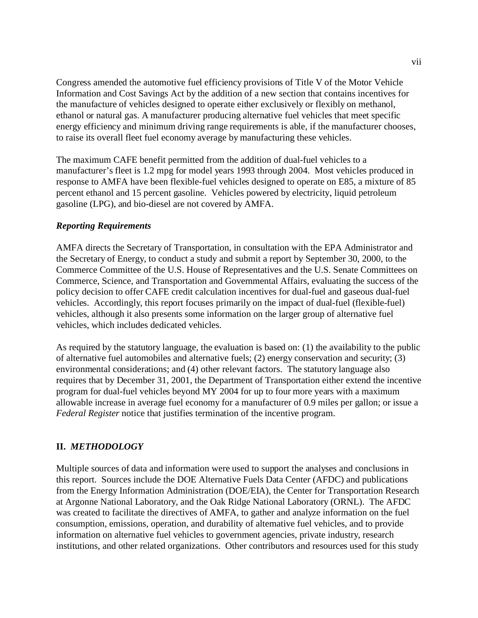Congress amended the automotive fuel efficiency provisions of Title V of the Motor Vehicle Information and Cost Savings Act by the addition of a new section that contains incentives for the manufacture of vehicles designed to operate either exclusively or flexibly on methanol, ethanol or natural gas. A manufacturer producing alternative fuel vehicles that meet specific energy efficiency and minimum driving range requirements is able, if the manufacturer chooses, to raise its overall fleet fuel economy average by manufacturing these vehicles.

The maximum CAFE benefit permitted from the addition of dual-fuel vehicles to a manufacturer's fleet is 1.2 mpg for model years 1993 through 2004. Most vehicles produced in response to AMFA have been flexible-fuel vehicles designed to operate on E85, a mixture of 85 percent ethanol and 15 percent gasoline. Vehicles powered by electricity, liquid petroleum gasoline (LPG), and bio-diesel are not covered by AMFA.

## *Reporting Requirements*

AMFA directs the Secretary of Transportation, in consultation with the EPA Administrator and the Secretary of Energy, to conduct a study and submit a report by September 30, 2000, to the Commerce Committee of the U.S. House of Representatives and the U.S. Senate Committees on Commerce, Science, and Transportation and Governmental Affairs, evaluating the success of the policy decision to offer CAFE credit calculation incentives for dual-fuel and gaseous dual-fuel vehicles. Accordingly, this report focuses primarily on the impact of dual-fuel (flexible-fuel) vehicles, although it also presents some information on the larger group of alternative fuel vehicles, which includes dedicated vehicles.

As required by the statutory language, the evaluation is based on: (1) the availability to the public of alternative fuel automobiles and alternative fuels; (2) energy conservation and security; (3) environmental considerations; and (4) other relevant factors. The statutory language also requires that by December 31, 2001, the Department of Transportation either extend the incentive program for dual-fuel vehicles beyond MY 2004 for up to four more years with a maximum allowable increase in average fuel economy for a manufacturer of 0.9 miles per gallon; or issue a *Federal Register* notice that justifies termination of the incentive program.

## **II.** *METHODOLOGY*

Multiple sources of data and information were used to support the analyses and conclusions in this report. Sources include the DOE Alternative Fuels Data Center (AFDC) and publications from the Energy Information Administration (DOE/EIA), the Center for Transportation Research at Argonne National Laboratory, and the Oak Ridge National Laboratory (ORNL). The AFDC was created to facilitate the directives of AMFA, to gather and analyze information on the fuel consumption, emissions, operation, and durability of alternative fuel vehicles, and to provide information on alternative fuel vehicles to government agencies, private industry, research institutions, and other related organizations. Other contributors and resources used for this study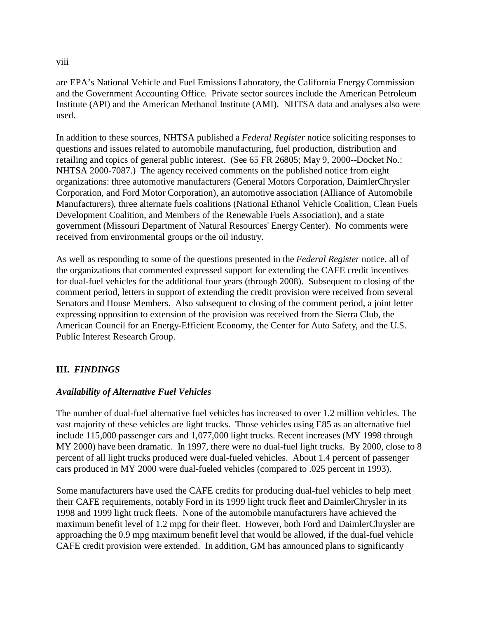#### viii

are EPA's National Vehicle and Fuel Emissions Laboratory, the California Energy Commission and the Government Accounting Office. Private sector sources include the American Petroleum Institute (API) and the American Methanol Institute (AMI). NHTSA data and analyses also were used.

In addition to these sources, NHTSA published a *Federal Register* notice soliciting responses to questions and issues related to automobile manufacturing, fuel production, distribution and retailing and topics of general public interest. (See 65 FR 26805; May 9, 2000--Docket No.: NHTSA 2000-7087.) The agency received comments on the published notice from eight organizations: three automotive manufacturers (General Motors Corporation, DaimlerChrysler Corporation, and Ford Motor Corporation), an automotive association (Alliance of Automobile Manufacturers), three alternate fuels coalitions (National Ethanol Vehicle Coalition, Clean Fuels Development Coalition, and Members of the Renewable Fuels Association), and a state government (Missouri Department of Natural Resources' Energy Center). No comments were received from environmental groups or the oil industry.

As well as responding to some of the questions presented in the *Federal Register* notice, all of the organizations that commented expressed support for extending the CAFE credit incentives for dual-fuel vehicles for the additional four years (through 2008). Subsequent to closing of the comment period, letters in support of extending the credit provision were received from several Senators and House Members. Also subsequent to closing of the comment period, a joint letter expressing opposition to extension of the provision was received from the Sierra Club, the American Council for an Energy-Efficient Economy, the Center for Auto Safety, and the U.S. Public Interest Research Group.

## **III.** *FINDINGS*

### *Availability of Alternative Fuel Vehicles*

The number of dual-fuel alternative fuel vehicles has increased to over 1.2 million vehicles. The vast majority of these vehicles are light trucks. Those vehicles using E85 as an alternative fuel include 115,000 passenger cars and 1,077,000 light trucks. Recent increases (MY 1998 through MY 2000) have been dramatic. In 1997, there were no dual-fuel light trucks. By 2000, close to 8 percent of all light trucks produced were dual-fueled vehicles. About 1.4 percent of passenger cars produced in MY 2000 were dual-fueled vehicles (compared to .025 percent in 1993).

Some manufacturers have used the CAFE credits for producing dual-fuel vehicles to help meet their CAFE requirements, notably Ford in its 1999 light truck fleet and DaimlerChrysler in its 1998 and 1999 light truck fleets. None of the automobile manufacturers have achieved the maximum benefit level of 1.2 mpg for their fleet. However, both Ford and DaimlerChrysler are approaching the 0.9 mpg maximum benefit level that would be allowed, if the dual-fuel vehicle CAFE credit provision were extended. In addition, GM has announced plans to significantly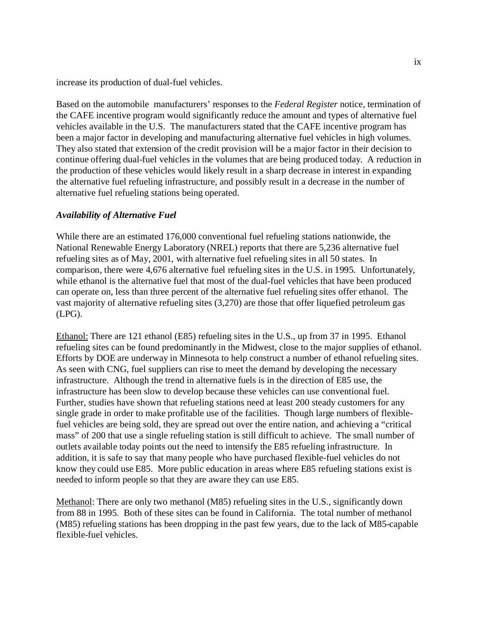increase its production of dual-fuel vehicles.

Based on the automobile manufacturers' responses to the *Federal Register* notice, termination of the CAFE incentive program would significantly reduce the amount and types of alternative fuel vehicles available in the U.S. The manufacturers stated that the CAFE incentive program has been a major factor in developing and manufacturing alternative fuel vehicles in high volumes. They also stated that extension of the credit provision will be a major factor in their decision to continue offering dual-fuel vehicles in the volumes that are being produced today. A reduction in the production of these vehicles would likely result in a sharp decrease in interest in expanding the alternative fuel refueling infrastructure, and possibly result in a decrease in the number of alternative fuel refueling stations being operated.

### *Availability of Alternative Fuel*

While there are an estimated 176,000 conventional fuel refueling stations nationwide, the National Renewable Energy Laboratory (NREL) reports that there are 5,236 alternative fuel refueling sites as of May, 2001, with alternative fuel refueling sites in all 50 states. In comparison, there were 4,676 alternative fuel refueling sites in the U.S. in 1995. Unfortunately, while ethanol is the alternative fuel that most of the dual-fuel vehicles that have been produced can operate on, less than three percent of the alternative fuel refueling sites offer ethanol. The vast majority of alternative refueling sites (3,270) are those that offer liquefied petroleum gas (LPG).

Ethanol: There are 121 ethanol (E85) refueling sites in the U.S., up from 37 in 1995. Ethanol refueling sites can be found predominantly in the Midwest, close to the major supplies of ethanol. Efforts by DOE are underway in Minnesota to help construct a number of ethanol refueling sites. As seen with CNG, fuel suppliers can rise to meet the demand by developing the necessary infrastructure. Although the trend in alternative fuels is in the direction of E85 use, the infrastructure has been slow to develop because these vehicles can use conventional fuel. Further, studies have shown that refueling stations need at least 200 steady customers for any single grade in order to make profitable use of the facilities. Though large numbers of flexiblefuel vehicles are being sold, they are spread out over the entire nation, and achieving a "critical mass" of 200 that use a single refueling station is still difficult to achieve. The small number of outlets available today points out the need to intensify the E85 refueling infrastructure. In addition, it is safe to say that many people who have purchased flexible-fuel vehicles do not know they could use E85. More public education in areas where E85 refueling stations exist is needed to inform people so that they are aware they can use E85.

Methanol: There are only two methanol (M85) refueling sites in the U.S., significantly down from 88 in 1995. Both of these sites can be found in California. The total number of methanol (M85) refueling stations has been dropping in the past few years, due to the lack of M85-capable flexible-fuel vehicles.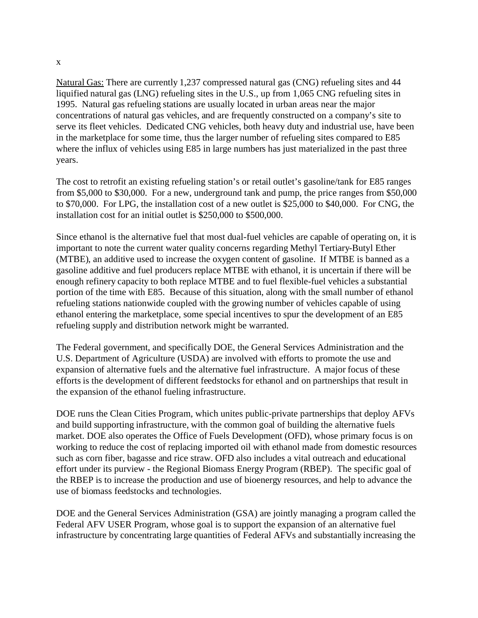x

Natural Gas: There are currently 1,237 compressed natural gas (CNG) refueling sites and 44 liquified natural gas (LNG) refueling sites in the U.S., up from 1,065 CNG refueling sites in 1995. Natural gas refueling stations are usually located in urban areas near the major concentrations of natural gas vehicles, and are frequently constructed on a company's site to serve its fleet vehicles. Dedicated CNG vehicles, both heavy duty and industrial use, have been in the marketplace for some time, thus the larger number of refueling sites compared to E85 where the influx of vehicles using E85 in large numbers has just materialized in the past three years.

The cost to retrofit an existing refueling station's or retail outlet's gasoline/tank for E85 ranges from \$5,000 to \$30,000. For a new, underground tank and pump, the price ranges from \$50,000 to \$70,000. For LPG, the installation cost of a new outlet is \$25,000 to \$40,000. For CNG, the installation cost for an initial outlet is \$250,000 to \$500,000.

Since ethanol is the alternative fuel that most dual-fuel vehicles are capable of operating on, it is important to note the current water quality concerns regarding Methyl Tertiary-Butyl Ether (MTBE), an additive used to increase the oxygen content of gasoline. If MTBE is banned as a gasoline additive and fuel producers replace MTBE with ethanol, it is uncertain if there will be enough refinery capacity to both replace MTBE and to fuel flexible-fuel vehicles a substantial portion of the time with E85. Because of this situation, along with the small number of ethanol refueling stations nationwide coupled with the growing number of vehicles capable of using ethanol entering the marketplace, some special incentives to spur the development of an E85 refueling supply and distribution network might be warranted.

The Federal government, and specifically DOE, the General Services Administration and the U.S. Department of Agriculture (USDA) are involved with efforts to promote the use and expansion of alternative fuels and the alternative fuel infrastructure. A major focus of these efforts is the development of different feedstocks for ethanol and on partnerships that result in the expansion of the ethanol fueling infrastructure.

DOE runs the Clean Cities Program, which unites public-private partnerships that deploy AFVs and build supporting infrastructure, with the common goal of building the alternative fuels market. DOE also operates the Office of Fuels Development (OFD), whose primary focus is on working to reduce the cost of replacing imported oil with ethanol made from domestic resources such as corn fiber, bagasse and rice straw. OFD also includes a vital outreach and educational effort under its purview - the Regional Biomass Energy Program (RBEP). The specific goal of the RBEP is to increase the production and use of bioenergy resources, and help to advance the use of biomass feedstocks and technologies.

DOE and the General Services Administration (GSA) are jointly managing a program called the Federal AFV USER Program, whose goal is to support the expansion of an alternative fuel infrastructure by concentrating large quantities of Federal AFVs and substantially increasing the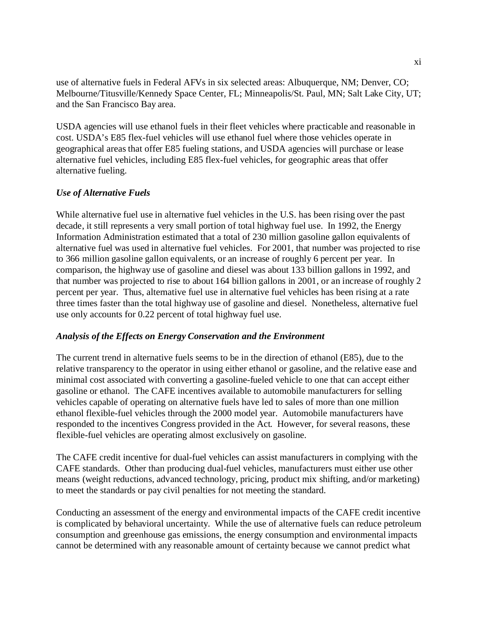use of alternative fuels in Federal AFVs in six selected areas: Albuquerque, NM; Denver, CO; Melbourne/Titusville/Kennedy Space Center, FL; Minneapolis/St. Paul, MN; Salt Lake City, UT; and the San Francisco Bay area.

USDA agencies will use ethanol fuels in their fleet vehicles where practicable and reasonable in cost. USDA's E85 flex-fuel vehicles will use ethanol fuel where those vehicles operate in geographical areas that offer E85 fueling stations, and USDA agencies will purchase or lease alternative fuel vehicles, including E85 flex-fuel vehicles, for geographic areas that offer alternative fueling.

## *Use of Alternative Fuels*

While alternative fuel use in alternative fuel vehicles in the U.S. has been rising over the past decade, it still represents a very small portion of total highway fuel use. In 1992, the Energy Information Administration estimated that a total of 230 million gasoline gallon equivalents of alternative fuel was used in alternative fuel vehicles. For 2001, that number was projected to rise to 366 million gasoline gallon equivalents, or an increase of roughly 6 percent per year. In comparison, the highway use of gasoline and diesel was about 133 billion gallons in 1992, and that number was projected to rise to about 164 billion gallons in 2001, or an increase of roughly 2 percent per year. Thus, alternative fuel use in alternative fuel vehicles has been rising at a rate three times faster than the total highway use of gasoline and diesel. Nonetheless, alternative fuel use only accounts for 0.22 percent of total highway fuel use.

## *Analysis of the Effects on Energy Conservation and the Environment*

The current trend in alternative fuels seems to be in the direction of ethanol (E85), due to the relative transparency to the operator in using either ethanol or gasoline, and the relative ease and minimal cost associated with converting a gasoline-fueled vehicle to one that can accept either gasoline or ethanol. The CAFE incentives available to automobile manufacturers for selling vehicles capable of operating on alternative fuels have led to sales of more than one million ethanol flexible-fuel vehicles through the 2000 model year. Automobile manufacturers have responded to the incentives Congress provided in the Act. However, for several reasons, these flexible-fuel vehicles are operating almost exclusively on gasoline.

The CAFE credit incentive for dual-fuel vehicles can assist manufacturers in complying with the CAFE standards. Other than producing dual-fuel vehicles, manufacturers must either use other means (weight reductions, advanced technology, pricing, product mix shifting, and/or marketing) to meet the standards or pay civil penalties for not meeting the standard.

Conducting an assessment of the energy and environmental impacts of the CAFE credit incentive is complicated by behavioral uncertainty. While the use of alternative fuels can reduce petroleum consumption and greenhouse gas emissions, the energy consumption and environmental impacts cannot be determined with any reasonable amount of certainty because we cannot predict what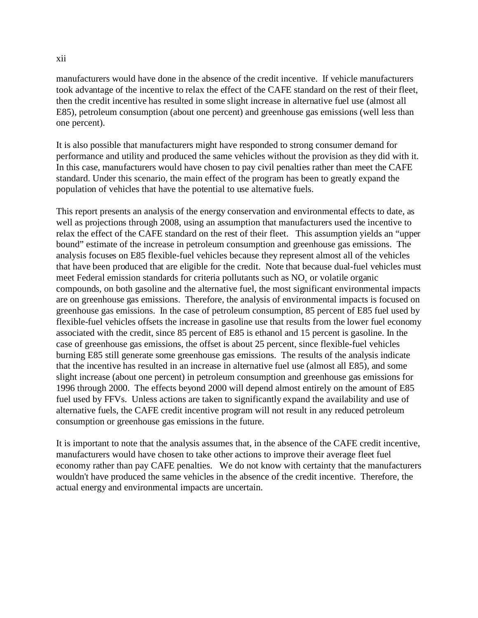#### xii

manufacturers would have done in the absence of the credit incentive. If vehicle manufacturers took advantage of the incentive to relax the effect of the CAFE standard on the rest of their fleet, then the credit incentive has resulted in some slight increase in alternative fuel use (almost all E85), petroleum consumption (about one percent) and greenhouse gas emissions (well less than one percent).

It is also possible that manufacturers might have responded to strong consumer demand for performance and utility and produced the same vehicles without the provision as they did with it. In this case, manufacturers would have chosen to pay civil penalties rather than meet the CAFE standard. Under this scenario, the main effect of the program has been to greatly expand the population of vehicles that have the potential to use alternative fuels.

This report presents an analysis of the energy conservation and environmental effects to date, as well as projections through 2008, using an assumption that manufacturers used the incentive to relax the effect of the CAFE standard on the rest of their fleet. This assumption yields an "upper bound" estimate of the increase in petroleum consumption and greenhouse gas emissions. The analysis focuses on E85 flexible-fuel vehicles because they represent almost all of the vehicles that have been produced that are eligible for the credit. Note that because dual-fuel vehicles must meet Federal emission standards for criteria pollutants such as NO<sub>x</sub> or volatile organic compounds, on both gasoline and the alternative fuel, the most significant environmental impacts are on greenhouse gas emissions. Therefore, the analysis of environmental impacts is focused on greenhouse gas emissions. In the case of petroleum consumption, 85 percent of E85 fuel used by flexible-fuel vehicles offsets the increase in gasoline use that results from the lower fuel economy associated with the credit, since 85 percent of E85 is ethanol and 15 percent is gasoline. In the case of greenhouse gas emissions, the offset is about 25 percent, since flexible-fuel vehicles burning E85 still generate some greenhouse gas emissions. The results of the analysis indicate that the incentive has resulted in an increase in alternative fuel use (almost all E85), and some slight increase (about one percent) in petroleum consumption and greenhouse gas emissions for 1996 through 2000. The effects beyond 2000 will depend almost entirely on the amount of E85 fuel used by FFVs. Unless actions are taken to significantly expand the availability and use of alternative fuels, the CAFE credit incentive program will not result in any reduced petroleum consumption or greenhouse gas emissions in the future.

It is important to note that the analysis assumes that, in the absence of the CAFE credit incentive, manufacturers would have chosen to take other actions to improve their average fleet fuel economy rather than pay CAFE penalties. We do not know with certainty that the manufacturers wouldn't have produced the same vehicles in the absence of the credit incentive. Therefore, the actual energy and environmental impacts are uncertain.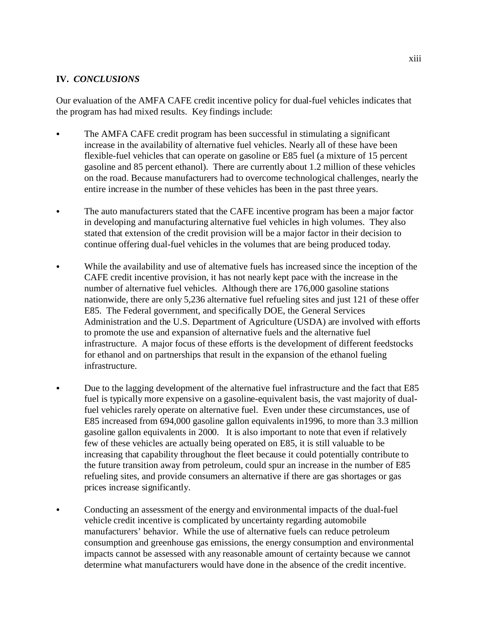## **IV.** *CONCLUSIONS*

Our evaluation of the AMFA CAFE credit incentive policy for dual-fuel vehicles indicates that the program has had mixed results. Key findings include:

- � The AMFA CAFE credit program has been successful in stimulating a significant increase in the availability of alternative fuel vehicles. Nearly all of these have been flexible-fuel vehicles that can operate on gasoline or E85 fuel (a mixture of 15 percent gasoline and 85 percent ethanol). There are currently about 1.2 million of these vehicles on the road. Because manufacturers had to overcome technological challenges, nearly the entire increase in the number of these vehicles has been in the past three years.
- The auto manufacturers stated that the CAFE incentive program has been a major factor in developing and manufacturing alternative fuel vehicles in high volumes. They also stated that extension of the credit provision will be a major factor in their decision to continue offering dual-fuel vehicles in the volumes that are being produced today.
- While the availability and use of alternative fuels has increased since the inception of the CAFE credit incentive provision, it has not nearly kept pace with the increase in the number of alternative fuel vehicles. Although there are 176,000 gasoline stations nationwide, there are only 5,236 alternative fuel refueling sites and just 121 of these offer E85. The Federal government, and specifically DOE, the General Services Administration and the U.S. Department of Agriculture (USDA) are involved with efforts to promote the use and expansion of alternative fuels and the alternative fuel infrastructure. A major focus of these efforts is the development of different feedstocks for ethanol and on partnerships that result in the expansion of the ethanol fueling infrastructure.
- Due to the lagging development of the alternative fuel infrastructure and the fact that E85 fuel is typically more expensive on a gasoline-equivalent basis, the vast majority of dualfuel vehicles rarely operate on alternative fuel. Even under these circumstances, use of E85 increased from 694,000 gasoline gallon equivalents in1996, to more than 3.3 million gasoline gallon equivalents in 2000. It is also important to note that even if relatively few of these vehicles are actually being operated on E85, it is still valuable to be increasing that capability throughout the fleet because it could potentially contribute to the future transition away from petroleum, could spur an increase in the number of E85 refueling sites, and provide consumers an alternative if there are gas shortages or gas prices increase significantly.
- Conducting an assessment of the energy and environmental impacts of the dual-fuel vehicle credit incentive is complicated by uncertainty regarding automobile manufacturers' behavior. While the use of alternative fuels can reduce petroleum consumption and greenhouse gas emissions, the energy consumption and environmental impacts cannot be assessed with any reasonable amount of certainty because we cannot determine what manufacturers would have done in the absence of the credit incentive.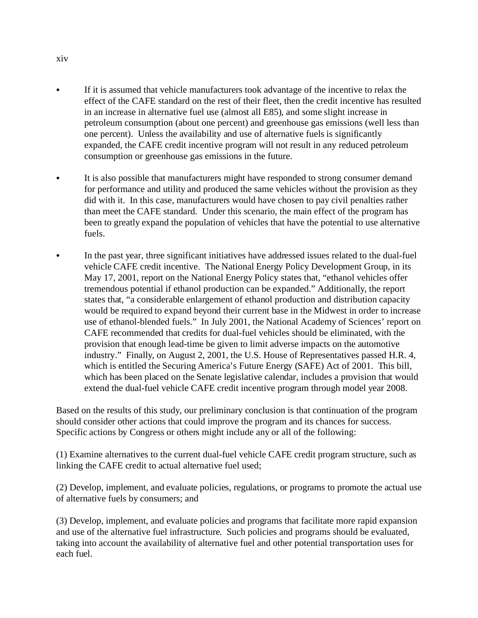- � If it is assumed that vehicle manufacturers took advantage of the incentive to relax the effect of the CAFE standard on the rest of their fleet, then the credit incentive has resulted in an increase in alternative fuel use (almost all E85), and some slight increase in petroleum consumption (about one percent) and greenhouse gas emissions (well less than one percent). Unless the availability and use of alternative fuels is significantly expanded, the CAFE credit incentive program will not result in any reduced petroleum consumption or greenhouse gas emissions in the future.
- � It is also possible that manufacturers might have responded to strong consumer demand for performance and utility and produced the same vehicles without the provision as they did with it. In this case, manufacturers would have chosen to pay civil penalties rather than meet the CAFE standard. Under this scenario, the main effect of the program has been to greatly expand the population of vehicles that have the potential to use alternative fuels.
- In the past year, three significant initiatives have addressed issues related to the dual-fuel vehicle CAFE credit incentive. The National Energy Policy Development Group, in its May 17, 2001, report on the National Energy Policy states that, "ethanol vehicles offer tremendous potential if ethanol production can be expanded." Additionally, the report states that, "a considerable enlargement of ethanol production and distribution capacity would be required to expand beyond their current base in the Midwest in order to increase use of ethanol-blended fuels." In July 2001, the National Academy of Sciences' report on CAFE recommended that credits for dual-fuel vehicles should be eliminated, with the provision that enough lead-time be given to limit adverse impacts on the automotive industry." Finally, on August 2, 2001, the U.S. House of Representatives passed H.R. 4, which is entitled the Securing America's Future Energy (SAFE) Act of 2001. This bill, which has been placed on the Senate legislative calendar, includes a provision that would extend the dual-fuel vehicle CAFE credit incentive program through model year 2008.

Based on the results of this study, our preliminary conclusion is that continuation of the program should consider other actions that could improve the program and its chances for success. Specific actions by Congress or others might include any or all of the following:

(1) Examine alternatives to the current dual-fuel vehicle CAFE credit program structure, such as linking the CAFE credit to actual alternative fuel used;

(2) Develop, implement, and evaluate policies, regulations, or programs to promote the actual use of alternative fuels by consumers; and

(3) Develop, implement, and evaluate policies and programs that facilitate more rapid expansion and use of the alternative fuel infrastructure. Such policies and programs should be evaluated, taking into account the availability of alternative fuel and other potential transportation uses for each fuel.

xiv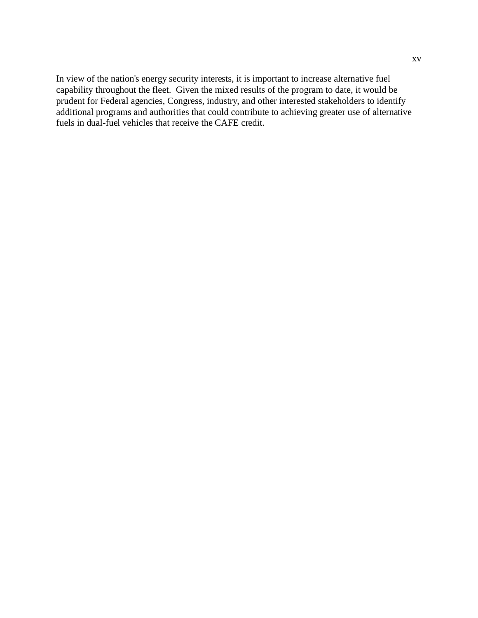In view of the nation's energy security interests, it is important to increase alternative fuel capability throughout the fleet. Given the mixed results of the program to date, it would be prudent for Federal agencies, Congress, industry, and other interested stakeholders to identify additional programs and authorities that could contribute to achieving greater use of alternative fuels in dual-fuel vehicles that receive the CAFE credit.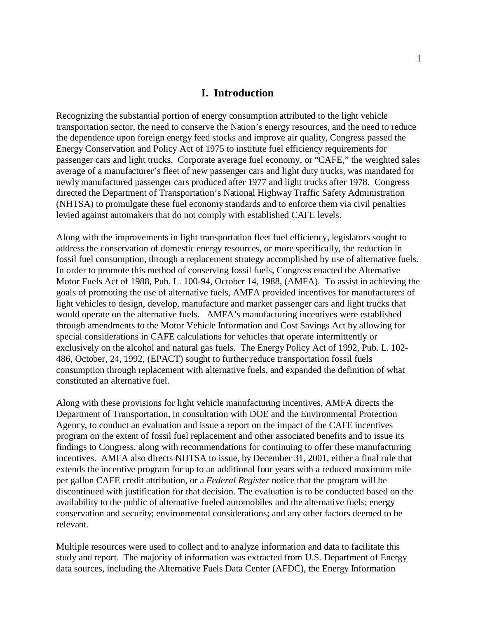#### **I. Introduction**

Recognizing the substantial portion of energy consumption attributed to the light vehicle transportation sector, the need to conserve the Nation's energy resources, and the need to reduce the dependence upon foreign energy feed stocks and improve air quality, Congress passed the Energy Conservation and Policy Act of 1975 to institute fuel efficiency requirements for passenger cars and light trucks. Corporate average fuel economy, or "CAFE," the weighted sales average of a manufacturer's fleet of new passenger cars and light duty trucks, was mandated for newly manufactured passenger cars produced after 1977 and light trucks after 1978. Congress directed the Department of Transportation's National Highway Traffic Safety Administration (NHTSA) to promulgate these fuel economy standards and to enforce them via civil penalties levied against automakers that do not comply with established CAFE levels.

Along with the improvements in light transportation fleet fuel efficiency, legislators sought to address the conservation of domestic energy resources, or more specifically, the reduction in fossil fuel consumption, through a replacement strategy accomplished by use of alternative fuels. In order to promote this method of conserving fossil fuels, Congress enacted the Alternative Motor Fuels Act of 1988, Pub. L. 100-94, October 14, 1988, (AMFA). To assist in achieving the goals of promoting the use of alternative fuels, AMFA provided incentives for manufacturers of light vehicles to design, develop, manufacture and market passenger cars and light trucks that would operate on the alternative fuels. AMFA's manufacturing incentives were established through amendments to the Motor Vehicle Information and Cost Savings Act by allowing for special considerations in CAFE calculations for vehicles that operate intermittently or exclusively on the alcohol and natural gas fuels. The Energy Policy Act of 1992, Pub. L. 102- 486, October, 24, 1992, (EPACT) sought to further reduce transportation fossil fuels consumption through replacement with alternative fuels, and expanded the definition of what constituted an alternative fuel.

Along with these provisions for light vehicle manufacturing incentives, AMFA directs the Department of Transportation, in consultation with DOE and the Environmental Protection Agency, to conduct an evaluation and issue a report on the impact of the CAFE incentives program on the extent of fossil fuel replacement and other associated benefits and to issue its findings to Congress, along with recommendations for continuing to offer these manufacturing incentives. AMFA also directs NHTSA to issue, by December 31, 2001, either a final rule that extends the incentive program for up to an additional four years with a reduced maximum mile per gallon CAFE credit attribution, or a *Federal Register* notice that the program will be discontinued with justification for that decision. The evaluation is to be conducted based on the availability to the public of alternative fueled automobiles and the alternative fuels; energy conservation and security; environmental considerations; and any other factors deemed to be relevant.

Multiple resources were used to collect and to analyze information and data to facilitate this study and report. The majority of information was extracted from U.S. Department of Energy data sources, including the Alternative Fuels Data Center (AFDC), the Energy Information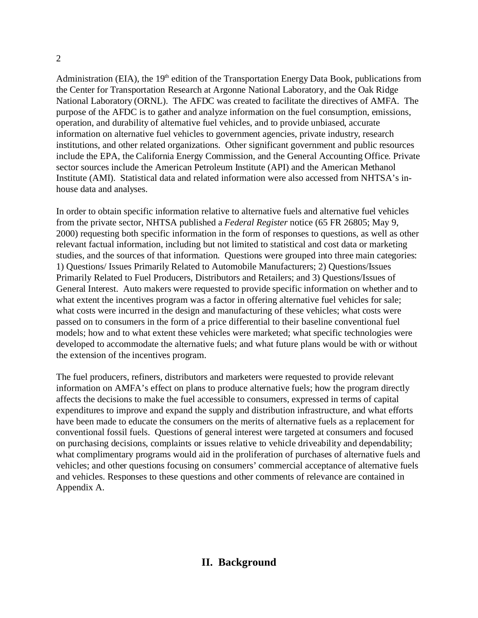## Administration (EIA), the 19<sup>th</sup> edition of the Transportation Energy Data Book, publications from the Center for Transportation Research at Argonne National Laboratory, and the Oak Ridge National Laboratory (ORNL). The AFDC was created to facilitate the directives of AMFA. The purpose of the AFDC is to gather and analyze information on the fuel consumption, emissions, operation, and durability of alternative fuel vehicles, and to provide unbiased, accurate information on alternative fuel vehicles to government agencies, private industry, research institutions, and other related organizations. Other significant government and public resources include the EPA, the California Energy Commission, and the General Accounting Office. Private sector sources include the American Petroleum Institute (API) and the American Methanol Institute (AMI). Statistical data and related information were also accessed from NHTSA's inhouse data and analyses.

In order to obtain specific information relative to alternative fuels and alternative fuel vehicles from the private sector, NHTSA published a *Federal Register* notice (65 FR 26805; May 9, 2000) requesting both specific information in the form of responses to questions, as well as other relevant factual information, including but not limited to statistical and cost data or marketing studies, and the sources of that information. Questions were grouped into three main categories: 1) Questions/ Issues Primarily Related to Automobile Manufacturers; 2) Questions/Issues Primarily Related to Fuel Producers, Distributors and Retailers; and 3) Questions/Issues of General Interest. Auto makers were requested to provide specific information on whether and to what extent the incentives program was a factor in offering alternative fuel vehicles for sale; what costs were incurred in the design and manufacturing of these vehicles; what costs were passed on to consumers in the form of a price differential to their baseline conventional fuel models; how and to what extent these vehicles were marketed; what specific technologies were developed to accommodate the alternative fuels; and what future plans would be with or without the extension of the incentives program.

The fuel producers, refiners, distributors and marketers were requested to provide relevant information on AMFA's effect on plans to produce alternative fuels; how the program directly affects the decisions to make the fuel accessible to consumers, expressed in terms of capital expenditures to improve and expand the supply and distribution infrastructure, and what efforts have been made to educate the consumers on the merits of alternative fuels as a replacement for conventional fossil fuels. Questions of general interest were targeted at consumers and focused on purchasing decisions, complaints or issues relative to vehicle driveability and dependability; what complimentary programs would aid in the proliferation of purchases of alternative fuels and vehicles; and other questions focusing on consumers' commercial acceptance of alternative fuels and vehicles. Responses to these questions and other comments of relevance are contained in Appendix A.

## 2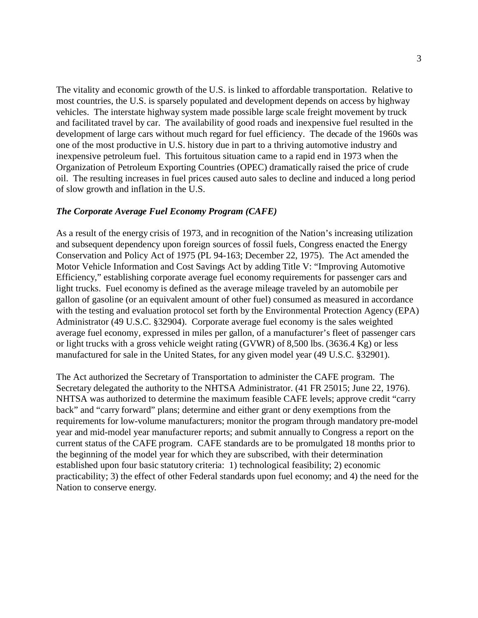The vitality and economic growth of the U.S. is linked to affordable transportation. Relative to most countries, the U.S. is sparsely populated and development depends on access by highway vehicles. The interstate highway system made possible large scale freight movement by truck and facilitated travel by car. The availability of good roads and inexpensive fuel resulted in the development of large cars without much regard for fuel efficiency. The decade of the 1960s was one of the most productive in U.S. history due in part to a thriving automotive industry and inexpensive petroleum fuel. This fortuitous situation came to a rapid end in 1973 when the Organization of Petroleum Exporting Countries (OPEC) dramatically raised the price of crude oil. The resulting increases in fuel prices caused auto sales to decline and induced a long period of slow growth and inflation in the U.S.

#### *The Corporate Average Fuel Economy Program (CAFE)*

As a result of the energy crisis of 1973, and in recognition of the Nation's increasing utilization and subsequent dependency upon foreign sources of fossil fuels, Congress enacted the Energy Conservation and Policy Act of 1975 (PL 94-163; December 22, 1975). The Act amended the Motor Vehicle Information and Cost Savings Act by adding Title V: "Improving Automotive Efficiency," establishing corporate average fuel economy requirements for passenger cars and light trucks. Fuel economy is defined as the average mileage traveled by an automobile per gallon of gasoline (or an equivalent amount of other fuel) consumed as measured in accordance with the testing and evaluation protocol set forth by the Environmental Protection Agency (EPA) Administrator (49 U.S.C. §32904). Corporate average fuel economy is the sales weighted average fuel economy, expressed in miles per gallon, of a manufacturer's fleet of passenger cars or light trucks with a gross vehicle weight rating (GVWR) of 8,500 lbs. (3636.4 Kg) or less manufactured for sale in the United States, for any given model year (49 U.S.C. §32901).

The Act authorized the Secretary of Transportation to administer the CAFE program. The Secretary delegated the authority to the NHTSA Administrator. (41 FR 25015; June 22, 1976). NHTSA was authorized to determine the maximum feasible CAFE levels; approve credit "carry back" and "carry forward" plans; determine and either grant or deny exemptions from the requirements for low-volume manufacturers; monitor the program through mandatory pre-model year and mid-model year manufacturer reports; and submit annually to Congress a report on the current status of the CAFE program. CAFE standards are to be promulgated 18 months prior to the beginning of the model year for which they are subscribed, with their determination established upon four basic statutory criteria: 1) technological feasibility; 2) economic practicability; 3) the effect of other Federal standards upon fuel economy; and 4) the need for the Nation to conserve energy.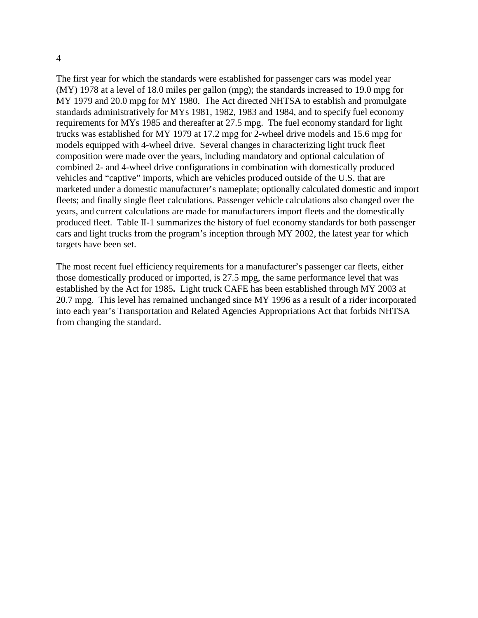The first year for which the standards were established for passenger cars was model year (MY) 1978 at a level of 18.0 miles per gallon (mpg); the standards increased to 19.0 mpg for MY 1979 and 20.0 mpg for MY 1980. The Act directed NHTSA to establish and promulgate standards administratively for MYs 1981, 1982, 1983 and 1984, and to specify fuel economy requirements for MYs 1985 and thereafter at 27.5 mpg. The fuel economy standard for light trucks was established for MY 1979 at 17.2 mpg for 2-wheel drive models and 15.6 mpg for models equipped with 4-wheel drive. Several changes in characterizing light truck fleet composition were made over the years, including mandatory and optional calculation of combined 2- and 4-wheel drive configurations in combination with domestically produced vehicles and "captive" imports, which are vehicles produced outside of the U.S. that are marketed under a domestic manufacturer's nameplate; optionally calculated domestic and import fleets; and finally single fleet calculations. Passenger vehicle calculations also changed over the years, and current calculations are made for manufacturers import fleets and the domestically produced fleet. Table II-1 summarizes the history of fuel economy standards for both passenger cars and light trucks from the program's inception through MY 2002, the latest year for which targets have been set.

The most recent fuel efficiency requirements for a manufacturer's passenger car fleets, either those domestically produced or imported, is 27.5 mpg, the same performance level that was established by the Act for 1985**.** Light truck CAFE has been established through MY 2003 at 20.7 mpg. This level has remained unchanged since MY 1996 as a result of a rider incorporated into each year's Transportation and Related Agencies Appropriations Act that forbids NHTSA from changing the standard.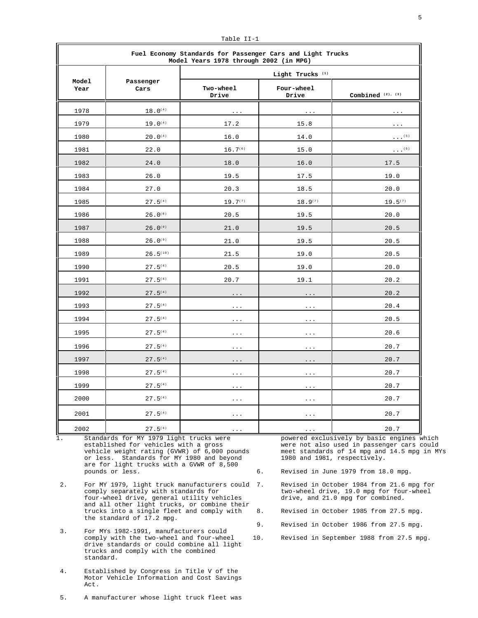| Fuel Economy Standards for Passenger Cars and Light Trucks<br>Model Years 1978 through 2002 (in MPG) |                       |                             |                      |                          |  |  |
|------------------------------------------------------------------------------------------------------|-----------------------|-----------------------------|----------------------|--------------------------|--|--|
|                                                                                                      |                       | Light Trucks <sup>(1)</sup> |                      |                          |  |  |
| Model<br>Year                                                                                        | Passenger<br>Cars     | Two-wheel<br>Drive          | Four-wheel<br>Drive  | Combined $(2)$ , $(3)$   |  |  |
| 1978                                                                                                 | $18.0^{(4)}$          | $\sim$ $\sim$ $\sim$        | $\sim$ $\sim$ $\sim$ | .                        |  |  |
| 1979                                                                                                 | $19.0^{(4)}$          | 17.2                        | 15.8                 | $\sim$ $\sim$ $\sim$     |  |  |
| 1980                                                                                                 | $20.0^{(4)}$          | 16.0                        | 14.0                 | $\cdot$ $\cdot$ $(5)$    |  |  |
| 1981                                                                                                 | 22.0                  | $16.7^{(6)}$                | 15.0                 | $\cdot$ . <sup>(5)</sup> |  |  |
| 1982                                                                                                 | 24.0                  | 18.0                        | 16.0                 | 17.5                     |  |  |
| 1983                                                                                                 | 26.0                  | 19.5                        | 17.5                 | 19.0                     |  |  |
| 1984                                                                                                 | 27.0                  | 20.3                        | 18.5                 | 20.0                     |  |  |
| 1985                                                                                                 | $27.5^{(4)}$          | $19.7^{(7)}$                | $18.9^{(7)}$         | $19.5^{(7)}$             |  |  |
| 1986                                                                                                 | $26.0^{(8)}$          | 20.5                        | 19.5                 | 20.0                     |  |  |
| 1987                                                                                                 | $26.0$ <sup>(9)</sup> | 21.0                        | 19.5                 | 20.5                     |  |  |
| 1988                                                                                                 | $26.0^{(9)}$          | 21.0                        | 19.5                 | 20.5                     |  |  |
| 1989                                                                                                 | 26.5(10)              | 21.5                        | 19.0                 | 20.5                     |  |  |
| 1990                                                                                                 | $27.5^{(4)}$          | 20.5                        | 19.0                 | 20.0                     |  |  |
| 1991                                                                                                 | 27.5(4)               | 20.7                        | 19.1                 | 20.2                     |  |  |
| 1992                                                                                                 | $27.5^{(4)}$          | .                           | $\cdots$             | 20.2                     |  |  |
| 1993                                                                                                 | 27.5(4)               | $\ldots$ .                  | $\ldots$ .           | 20.4                     |  |  |
| 1994                                                                                                 | $27.5^{(4)}$          | .                           | $\sim$ $\sim$ $\sim$ | 20.5                     |  |  |
| 1995                                                                                                 | $27.5^{(4)}$          | $\sim$ $\sim$ $\sim$        | $\ldots$ .           | 20.6                     |  |  |
| 1996                                                                                                 | $27.5^{(4)}$          | $\cdots$                    | $\ldots$ .           | 20.7                     |  |  |
| 1997                                                                                                 | $27.5^{(4)}$          | $\sim$ $\sim$ $\sim$        | $\sim$ $\sim$ $\sim$ | 20.7                     |  |  |
| 1998                                                                                                 | $27.5^{(4)}$          | $\sim$ $\sim$ $\sim$        | $\sim$ $\sim$ $\sim$ | 20.7                     |  |  |
| 1999                                                                                                 | $27.5^{(4)}$          | $\ldots$ .                  | $\sim$ $\sim$ $\sim$ | 20.7                     |  |  |
| 2000                                                                                                 | $27.5^{(4)}$          | $\cdots$                    | $\sim$ $\sim$ $\sim$ | 20.7                     |  |  |
| 2001                                                                                                 | $27.5^{(4)}$          | $\cdots$                    | $\sim$ $\sim$ $\sim$ | 20.7                     |  |  |
| 2002                                                                                                 | $27.5^{(4)}$          | $\cdots$                    | $\sim$ $\sim$ $\sim$ | 20.7                     |  |  |

Table II-1

1. Standards for MY 1979 light trucks were powered exclusively by basic engines which<br>established for vehicles with a gross were not also used in passenger cars could established for vehicles with a gross were not also used in passenger cars could<br>vehicle weight rating (GVWR) of 6,000 pounds meet standards of 14 mpg and 14.5 mpg in MY or less. Standards for MY 1980 and beyond are for light trucks with a GVWR of 8,500

- 2. For MY 1979, light truck manufacturers could 7. Revised in October 1984 from 21.6 mpg for comply separately with standards for two-wheel drive, 19.0 mpg for four-wheel comply separately with standards for two-wheel drive, 19.0 mpg for four-wheel four-wheel drive, general utility vehicles drive, and 21.0 mpg for combined. and all other light trucks, or combine their trucks into a single fleet and comply with 8. Revised in October 1985 from 27.5 mpg. the standard of 17.2 mpg.
- 3. For MYs 1982-1991, manufacturers could comply with the two-wheel and four-wheel drive standards or could combine all light trucks and comply with the combined standard.
- 4. Established by Congress in Title V of the Motor Vehicle Information and Cost Savings Act.

5. A manufacturer whose light truck fleet was

meet standards of 14 mpg and 14.5 mpg in MYs<br>1980 and 1981, respectively.

6. Revised in June 1979 from 18.0 mpg.

- 
- 9. Revised in October 1986 from 27.5 mpg.
- 10. Revised in September 1988 from 27.5 mpg.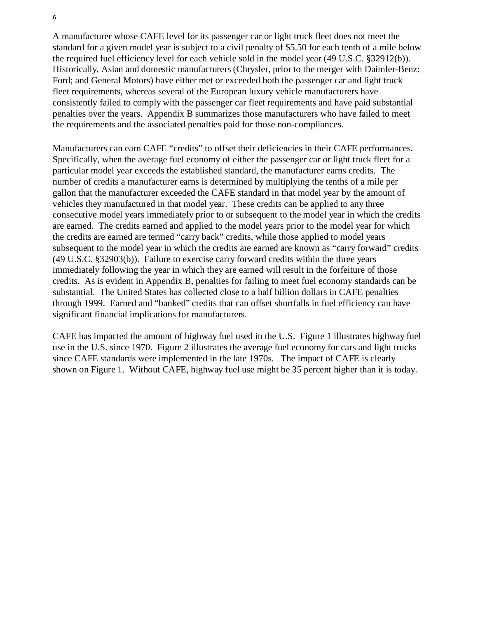A manufacturer whose CAFE level for its passenger car or light truck fleet does not meet the standard for a given model year is subject to a civil penalty of \$5.50 for each tenth of a mile below the required fuel efficiency level for each vehicle sold in the model year (49 U.S.C. §32912(b)). Historically, Asian and domestic manufacturers (Chrysler, prior to the merger with Daimler-Benz; Ford; and General Motors) have either met or exceeded both the passenger car and light truck fleet requirements, whereas several of the European luxury vehicle manufacturers have consistently failed to comply with the passenger car fleet requirements and have paid substantial penalties over the years. Appendix B summarizes those manufacturers who have failed to meet the requirements and the associated penalties paid for those non-compliances.

Manufacturers can earn CAFE "credits" to offset their deficiencies in their CAFE performances. Specifically, when the average fuel economy of either the passenger car or light truck fleet for a particular model year exceeds the established standard, the manufacturer earns credits. The number of credits a manufacturer earns is determined by multiplying the tenths of a mile per gallon that the manufacturer exceeded the CAFE standard in that model year by the amount of vehicles they manufactured in that model year. These credits can be applied to any three consecutive model years immediately prior to or subsequent to the model year in which the credits are earned. The credits earned and applied to the model years prior to the model year for which the credits are earned are termed "carry back" credits, while those applied to model years subsequent to the model year in which the credits are earned are known as "carry forward" credits (49 U.S.C. §32903(b)). Failure to exercise carry forward credits within the three years immediately following the year in which they are earned will result in the forfeiture of those credits. As is evident in Appendix B, penalties for failing to meet fuel economy standards can be substantial. The United States has collected close to a half billion dollars in CAFE penalties through 1999. Earned and "banked" credits that can offset shortfalls in fuel efficiency can have significant financial implications for manufacturers.

CAFE has impacted the amount of highway fuel used in the U.S. Figure 1 illustrates highway fuel use in the U.S. since 1970. Figure 2 illustrates the average fuel economy for cars and light trucks since CAFE standards were implemented in the late 1970s. The impact of CAFE is clearly shown on Figure 1. Without CAFE, highway fuel use might be 35 percent higher than it is today.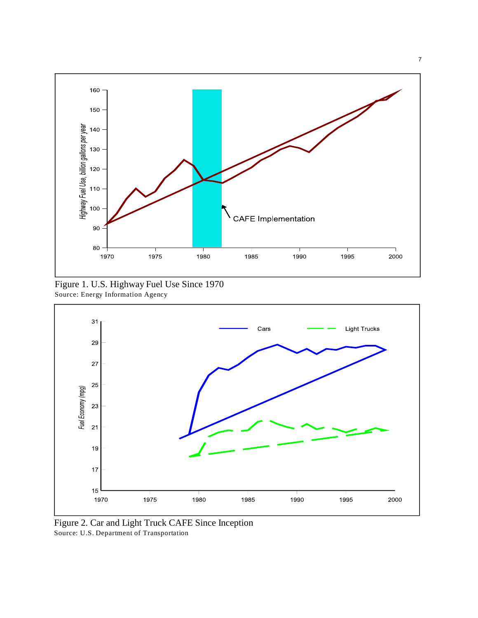

Figure 1. U.S. Highway Fuel Use Since 1970 Source: Energy Information Agency



Figure 2. Car and Light Truck CAFE Since Inception Source: U.S. Department of Transportation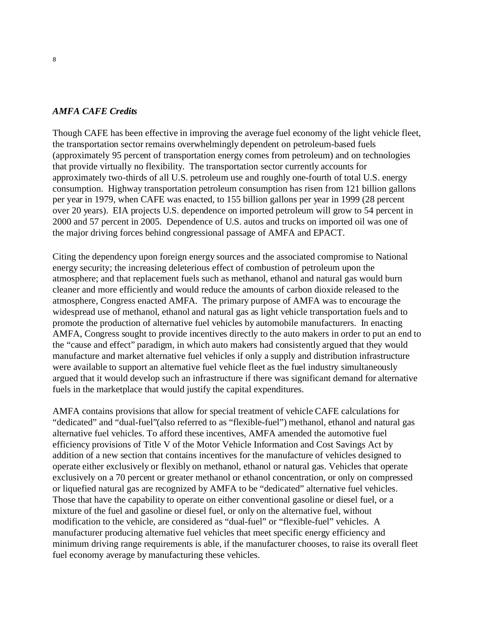#### *AMFA CAFE Credits*

Though CAFE has been effective in improving the average fuel economy of the light vehicle fleet, the transportation sector remains overwhelmingly dependent on petroleum-based fuels (approximately 95 percent of transportation energy comes from petroleum) and on technologies that provide virtually no flexibility. The transportation sector currently accounts for approximately two-thirds of all U.S. petroleum use and roughly one-fourth of total U.S. energy consumption. Highway transportation petroleum consumption has risen from 121 billion gallons per year in 1979, when CAFE was enacted, to 155 billion gallons per year in 1999 (28 percent over 20 years). EIA projects U.S. dependence on imported petroleum will grow to 54 percent in 2000 and 57 percent in 2005. Dependence of U.S. autos and trucks on imported oil was one of the major driving forces behind congressional passage of AMFA and EPACT.

Citing the dependency upon foreign energy sources and the associated compromise to National energy security; the increasing deleterious effect of combustion of petroleum upon the atmosphere; and that replacement fuels such as methanol, ethanol and natural gas would burn cleaner and more efficiently and would reduce the amounts of carbon dioxide released to the atmosphere, Congress enacted AMFA. The primary purpose of AMFA was to encourage the widespread use of methanol, ethanol and natural gas as light vehicle transportation fuels and to promote the production of alternative fuel vehicles by automobile manufacturers. In enacting AMFA, Congress sought to provide incentives directly to the auto makers in order to put an end to the "cause and effect" paradigm, in which auto makers had consistently argued that they would manufacture and market alternative fuel vehicles if only a supply and distribution infrastructure were available to support an alternative fuel vehicle fleet as the fuel industry simultaneously argued that it would develop such an infrastructure if there was significant demand for alternative fuels in the marketplace that would justify the capital expenditures.

AMFA contains provisions that allow for special treatment of vehicle CAFE calculations for "dedicated" and "dual-fuel"(also referred to as "flexible-fuel") methanol, ethanol and natural gas alternative fuel vehicles. To afford these incentives, AMFA amended the automotive fuel efficiency provisions of Title V of the Motor Vehicle Information and Cost Savings Act by addition of a new section that contains incentives for the manufacture of vehicles designed to operate either exclusively or flexibly on methanol, ethanol or natural gas. Vehicles that operate exclusively on a 70 percent or greater methanol or ethanol concentration, or only on compressed or liquefied natural gas are recognized by AMFA to be "dedicated" alternative fuel vehicles. Those that have the capability to operate on either conventional gasoline or diesel fuel, or a mixture of the fuel and gasoline or diesel fuel, or only on the alternative fuel, without modification to the vehicle, are considered as "dual-fuel" or "flexible-fuel" vehicles. A manufacturer producing alternative fuel vehicles that meet specific energy efficiency and minimum driving range requirements is able, if the manufacturer chooses, to raise its overall fleet fuel economy average by manufacturing these vehicles.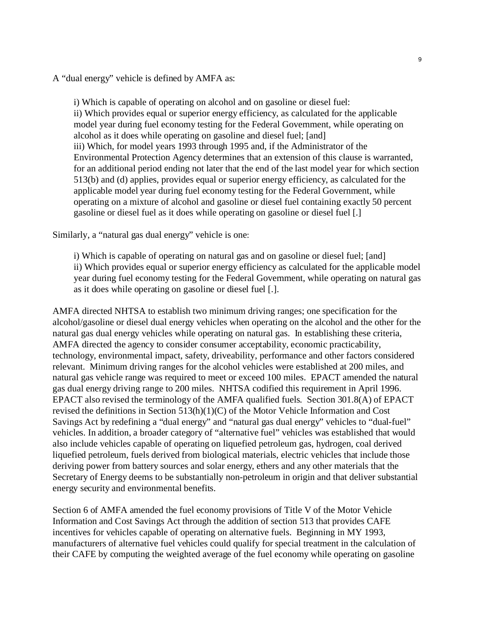A "dual energy" vehicle is defined by AMFA as:

i) Which is capable of operating on alcohol and on gasoline or diesel fuel: ii) Which provides equal or superior energy efficiency, as calculated for the applicable model year during fuel economy testing for the Federal Government, while operating on alcohol as it does while operating on gasoline and diesel fuel; [and] iii) Which, for model years 1993 through 1995 and, if the Administrator of the Environmental Protection Agency determines that an extension of this clause is warranted, for an additional period ending not later that the end of the last model year for which section 513(b) and (d) applies, provides equal or superior energy efficiency, as calculated for the applicable model year during fuel economy testing for the Federal Government, while operating on a mixture of alcohol and gasoline or diesel fuel containing exactly 50 percent gasoline or diesel fuel as it does while operating on gasoline or diesel fuel [.]

Similarly, a "natural gas dual energy" vehicle is one:

i) Which is capable of operating on natural gas and on gasoline or diesel fuel; [and] ii) Which provides equal or superior energy efficiency as calculated for the applicable model year during fuel economy testing for the Federal Government, while operating on natural gas as it does while operating on gasoline or diesel fuel [.].

AMFA directed NHTSA to establish two minimum driving ranges; one specification for the alcohol/gasoline or diesel dual energy vehicles when operating on the alcohol and the other for the natural gas dual energy vehicles while operating on natural gas. In establishing these criteria, AMFA directed the agency to consider consumer acceptability, economic practicability, technology, environmental impact, safety, driveability, performance and other factors considered relevant. Minimum driving ranges for the alcohol vehicles were established at 200 miles, and natural gas vehicle range was required to meet or exceed 100 miles. EPACT amended the natural gas dual energy driving range to 200 miles. NHTSA codified this requirement in April 1996. EPACT also revised the terminology of the AMFA qualified fuels. Section 301.8(A) of EPACT revised the definitions in Section 513(h)(1)(C) of the Motor Vehicle Information and Cost Savings Act by redefining a "dual energy" and "natural gas dual energy" vehicles to "dual-fuel" vehicles. In addition, a broader category of "alternative fuel" vehicles was established that would also include vehicles capable of operating on liquefied petroleum gas, hydrogen, coal derived liquefied petroleum, fuels derived from biological materials, electric vehicles that include those deriving power from battery sources and solar energy, ethers and any other materials that the Secretary of Energy deems to be substantially non-petroleum in origin and that deliver substantial energy security and environmental benefits.

Section 6 of AMFA amended the fuel economy provisions of Title V of the Motor Vehicle Information and Cost Savings Act through the addition of section 513 that provides CAFE incentives for vehicles capable of operating on alternative fuels. Beginning in MY 1993, manufacturers of alternative fuel vehicles could qualify for special treatment in the calculation of their CAFE by computing the weighted average of the fuel economy while operating on gasoline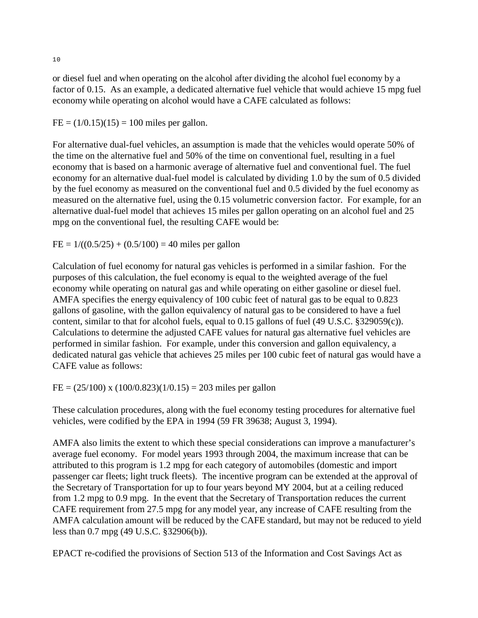or diesel fuel and when operating on the alcohol after dividing the alcohol fuel economy by a factor of 0.15. As an example, a dedicated alternative fuel vehicle that would achieve 15 mpg fuel economy while operating on alcohol would have a CAFE calculated as follows:

 $FE = (1/0.15)(15) = 100$  miles per gallon.

For alternative dual-fuel vehicles, an assumption is made that the vehicles would operate 50% of the time on the alternative fuel and 50% of the time on conventional fuel, resulting in a fuel economy that is based on a harmonic average of alternative fuel and conventional fuel. The fuel economy for an alternative dual-fuel model is calculated by dividing 1.0 by the sum of 0.5 divided by the fuel economy as measured on the conventional fuel and 0.5 divided by the fuel economy as measured on the alternative fuel, using the 0.15 volumetric conversion factor. For example, for an alternative dual-fuel model that achieves 15 miles per gallon operating on an alcohol fuel and 25 mpg on the conventional fuel, the resulting CAFE would be:

 $FE = 1/((0.5/25) + (0.5/100) = 40$  miles per gallon

Calculation of fuel economy for natural gas vehicles is performed in a similar fashion. For the purposes of this calculation, the fuel economy is equal to the weighted average of the fuel economy while operating on natural gas and while operating on either gasoline or diesel fuel. AMFA specifies the energy equivalency of 100 cubic feet of natural gas to be equal to 0.823 gallons of gasoline, with the gallon equivalency of natural gas to be considered to have a fuel content, similar to that for alcohol fuels, equal to 0.15 gallons of fuel (49 U.S.C. §329059(c)). Calculations to determine the adjusted CAFE values for natural gas alternative fuel vehicles are performed in similar fashion. For example, under this conversion and gallon equivalency, a dedicated natural gas vehicle that achieves 25 miles per 100 cubic feet of natural gas would have a CAFE value as follows:

FE =  $(25/100)$  x  $(100/0.823)(1/0.15) = 203$  miles per gallon

These calculation procedures, along with the fuel economy testing procedures for alternative fuel vehicles, were codified by the EPA in 1994 (59 FR 39638; August 3, 1994).

AMFA also limits the extent to which these special considerations can improve a manufacturer's average fuel economy. For model years 1993 through 2004, the maximum increase that can be attributed to this program is 1.2 mpg for each category of automobiles (domestic and import passenger car fleets; light truck fleets). The incentive program can be extended at the approval of the Secretary of Transportation for up to four years beyond MY 2004, but at a ceiling reduced from 1.2 mpg to 0.9 mpg. In the event that the Secretary of Transportation reduces the current CAFE requirement from 27.5 mpg for any model year, any increase of CAFE resulting from the AMFA calculation amount will be reduced by the CAFE standard, but may not be reduced to yield less than 0.7 mpg (49 U.S.C. §32906(b)).

EPACT re-codified the provisions of Section 513 of the Information and Cost Savings Act as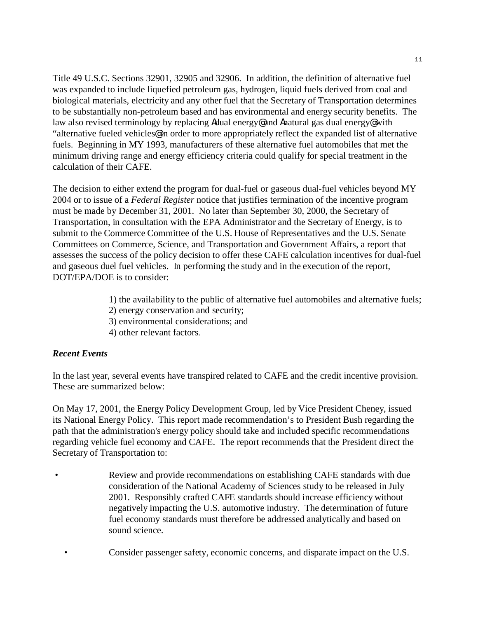Title 49 U.S.C. Sections 32901, 32905 and 32906. In addition, the definition of alternative fuel was expanded to include liquefied petroleum gas, hydrogen, liquid fuels derived from coal and biological materials, electricity and any other fuel that the Secretary of Transportation determines to be substantially non-petroleum based and has environmental and energy security benefits. The law also revised terminology by replacing Adual energy<sup>®</sup> and Anatural gas dual energy<sup>®</sup> with "alternative fueled vehicles@ in order to more appropriately reflect the expanded list of alternative fuels. Beginning in MY 1993, manufacturers of these alternative fuel automobiles that met the minimum driving range and energy efficiency criteria could qualify for special treatment in the calculation of their CAFE.

The decision to either extend the program for dual-fuel or gaseous dual-fuel vehicles beyond MY 2004 or to issue of a *Federal Register* notice that justifies termination of the incentive program must be made by December 31, 2001. No later than September 30, 2000, the Secretary of Transportation, in consultation with the EPA Administrator and the Secretary of Energy, is to submit to the Commerce Committee of the U.S. House of Representatives and the U.S. Senate Committees on Commerce, Science, and Transportation and Government Affairs, a report that assesses the success of the policy decision to offer these CAFE calculation incentives for dual-fuel and gaseous duel fuel vehicles. In performing the study and in the execution of the report, DOT/EPA/DOE is to consider:

- 1) the availability to the public of alternative fuel automobiles and alternative fuels;
- 2) energy conservation and security;
- 3) environmental considerations; and
- 4) other relevant factors.

### *Recent Events*

In the last year, several events have transpired related to CAFE and the credit incentive provision. These are summarized below:

On May 17, 2001, the Energy Policy Development Group, led by Vice President Cheney, issued its National Energy Policy. This report made recommendation's to President Bush regarding the path that the administration's energy policy should take and included specific recommendations regarding vehicle fuel economy and CAFE. The report recommends that the President direct the Secretary of Transportation to:

- Review and provide recommendations on establishing CAFE standards with due consideration of the National Academy of Sciences study to be released in July 2001. Responsibly crafted CAFE standards should increase efficiency without negatively impacting the U.S. automotive industry. The determination of future fuel economy standards must therefore be addressed analytically and based on sound science.
	- Consider passenger safety, economic concerns, and disparate impact on the U.S.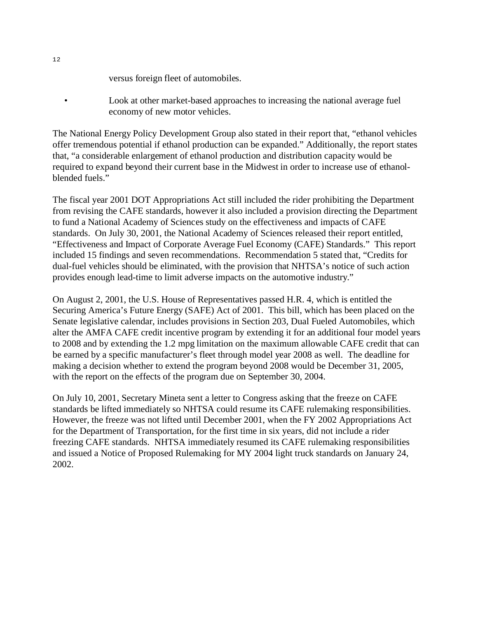versus foreign fleet of automobiles.

• Look at other market-based approaches to increasing the national average fuel economy of new motor vehicles.

The National Energy Policy Development Group also stated in their report that, "ethanol vehicles offer tremendous potential if ethanol production can be expanded." Additionally, the report states that, "a considerable enlargement of ethanol production and distribution capacity would be required to expand beyond their current base in the Midwest in order to increase use of ethanolblended fuels."

The fiscal year 2001 DOT Appropriations Act still included the rider prohibiting the Department from revising the CAFE standards, however it also included a provision directing the Department to fund a National Academy of Sciences study on the effectiveness and impacts of CAFE standards. On July 30, 2001, the National Academy of Sciences released their report entitled, "Effectiveness and Impact of Corporate Average Fuel Economy (CAFE) Standards." This report included 15 findings and seven recommendations. Recommendation 5 stated that, "Credits for dual-fuel vehicles should be eliminated, with the provision that NHTSA's notice of such action provides enough lead-time to limit adverse impacts on the automotive industry."

On August 2, 2001, the U.S. House of Representatives passed H.R. 4, which is entitled the Securing America's Future Energy (SAFE) Act of 2001. This bill, which has been placed on the Senate legislative calendar, includes provisions in Section 203, Dual Fueled Automobiles, which alter the AMFA CAFE credit incentive program by extending it for an additional four model years to 2008 and by extending the 1.2 mpg limitation on the maximum allowable CAFE credit that can be earned by a specific manufacturer's fleet through model year 2008 as well. The deadline for making a decision whether to extend the program beyond 2008 would be December 31, 2005, with the report on the effects of the program due on September 30, 2004.

On July 10, 2001, Secretary Mineta sent a letter to Congress asking that the freeze on CAFE standards be lifted immediately so NHTSA could resume its CAFE rulemaking responsibilities. However, the freeze was not lifted until December 2001, when the FY 2002 Appropriations Act for the Department of Transportation, for the first time in six years, did not include a rider freezing CAFE standards. NHTSA immediately resumed its CAFE rulemaking responsibilities and issued a Notice of Proposed Rulemaking for MY 2004 light truck standards on January 24, 2002.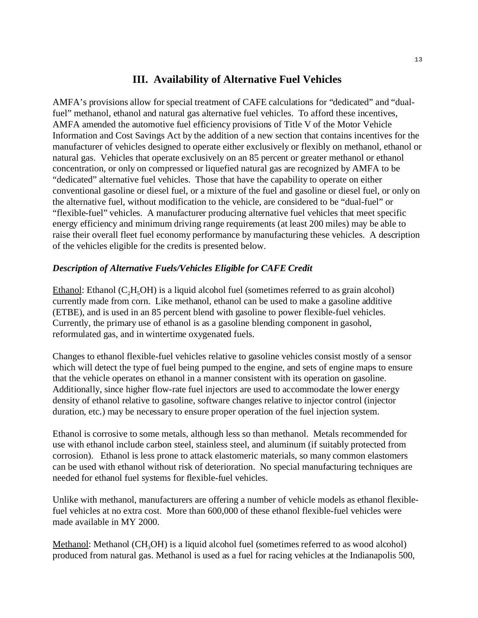## **III. Availability of Alternative Fuel Vehicles**

AMFA's provisions allow for special treatment of CAFE calculations for "dedicated" and "dualfuel" methanol, ethanol and natural gas alternative fuel vehicles. To afford these incentives, AMFA amended the automotive fuel efficiency provisions of Title V of the Motor Vehicle Information and Cost Savings Act by the addition of a new section that contains incentives for the manufacturer of vehicles designed to operate either exclusively or flexibly on methanol, ethanol or natural gas. Vehicles that operate exclusively on an 85 percent or greater methanol or ethanol concentration, or only on compressed or liquefied natural gas are recognized by AMFA to be "dedicated" alternative fuel vehicles. Those that have the capability to operate on either conventional gasoline or diesel fuel, or a mixture of the fuel and gasoline or diesel fuel, or only on the alternative fuel, without modification to the vehicle, are considered to be "dual-fuel" or "flexible-fuel" vehicles. A manufacturer producing alternative fuel vehicles that meet specific energy efficiency and minimum driving range requirements (at least 200 miles) may be able to raise their overall fleet fuel economy performance by manufacturing these vehicles. A description of the vehicles eligible for the credits is presented below.

## *Description of Alternative Fuels/Vehicles Eligible for CAFE Credit*

Ethanol: Ethanol ( $C_2H_3OH$ ) is a liquid alcohol fuel (sometimes referred to as grain alcohol) currently made from corn. Like methanol, ethanol can be used to make a gasoline additive (ETBE), and is used in an 85 percent blend with gasoline to power flexible-fuel vehicles. Currently, the primary use of ethanol is as a gasoline blending component in gasohol, reformulated gas, and in wintertime oxygenated fuels.

Changes to ethanol flexible-fuel vehicles relative to gasoline vehicles consist mostly of a sensor which will detect the type of fuel being pumped to the engine, and sets of engine maps to ensure that the vehicle operates on ethanol in a manner consistent with its operation on gasoline. Additionally, since higher flow-rate fuel injectors are used to accommodate the lower energy density of ethanol relative to gasoline, software changes relative to injector control (injector duration, etc.) may be necessary to ensure proper operation of the fuel injection system.

Ethanol is corrosive to some metals, although less so than methanol. Metals recommended for use with ethanol include carbon steel, stainless steel, and aluminum (if suitably protected from corrosion). Ethanol is less prone to attack elastomeric materials, so many common elastomers can be used with ethanol without risk of deterioration. No special manufacturing techniques are needed for ethanol fuel systems for flexible-fuel vehicles.

Unlike with methanol, manufacturers are offering a number of vehicle models as ethanol flexiblefuel vehicles at no extra cost. More than 600,000 of these ethanol flexible-fuel vehicles were made available in MY 2000.

Methanol: Methanol (CH<sub>3</sub>OH) is a liquid alcohol fuel (sometimes referred to as wood alcohol) produced from natural gas. Methanol is used as a fuel for racing vehicles at the Indianapolis 500,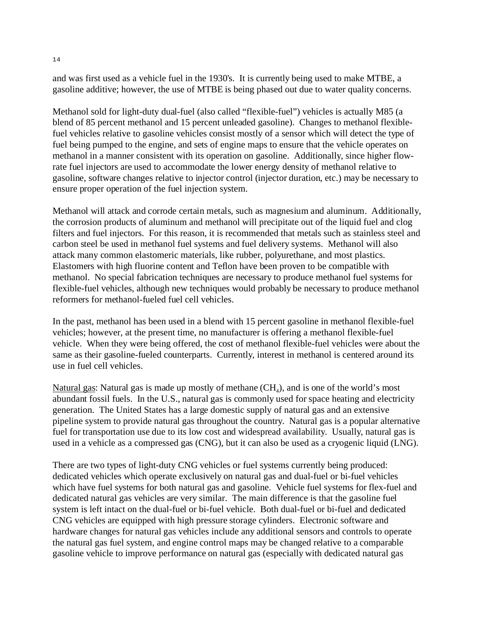and was first used as a vehicle fuel in the 1930's. It is currently being used to make MTBE, a gasoline additive; however, the use of MTBE is being phased out due to water quality concerns.

Methanol sold for light-duty dual-fuel (also called "flexible-fuel") vehicles is actually M85 (a blend of 85 percent methanol and 15 percent unleaded gasoline). Changes to methanol flexiblefuel vehicles relative to gasoline vehicles consist mostly of a sensor which will detect the type of fuel being pumped to the engine, and sets of engine maps to ensure that the vehicle operates on methanol in a manner consistent with its operation on gasoline. Additionally, since higher flowrate fuel injectors are used to accommodate the lower energy density of methanol relative to gasoline, software changes relative to injector control (injector duration, etc.) may be necessary to ensure proper operation of the fuel injection system.

Methanol will attack and corrode certain metals, such as magnesium and aluminum. Additionally, the corrosion products of aluminum and methanol will precipitate out of the liquid fuel and clog filters and fuel injectors. For this reason, it is recommended that metals such as stainless steel and carbon steel be used in methanol fuel systems and fuel delivery systems. Methanol will also attack many common elastomeric materials, like rubber, polyurethane, and most plastics. Elastomers with high fluorine content and Teflon have been proven to be compatible with methanol. No special fabrication techniques are necessary to produce methanol fuel systems for flexible-fuel vehicles, although new techniques would probably be necessary to produce methanol reformers for methanol-fueled fuel cell vehicles.

In the past, methanol has been used in a blend with 15 percent gasoline in methanol flexible-fuel vehicles; however, at the present time, no manufacturer is offering a methanol flexible-fuel vehicle. When they were being offered, the cost of methanol flexible-fuel vehicles were about the same as their gasoline-fueled counterparts. Currently, interest in methanol is centered around its use in fuel cell vehicles.

Natural gas: Natural gas is made up mostly of methane  $(CH_4)$ , and is one of the world's most abundant fossil fuels. In the U.S., natural gas is commonly used for space heating and electricity generation. The United States has a large domestic supply of natural gas and an extensive pipeline system to provide natural gas throughout the country. Natural gas is a popular alternative fuel for transportation use due to its low cost and widespread availability. Usually, natural gas is used in a vehicle as a compressed gas (CNG), but it can also be used as a cryogenic liquid (LNG).

There are two types of light-duty CNG vehicles or fuel systems currently being produced: dedicated vehicles which operate exclusively on natural gas and dual-fuel or bi-fuel vehicles which have fuel systems for both natural gas and gasoline. Vehicle fuel systems for flex-fuel and dedicated natural gas vehicles are very similar. The main difference is that the gasoline fuel system is left intact on the dual-fuel or bi-fuel vehicle. Both dual-fuel or bi-fuel and dedicated CNG vehicles are equipped with high pressure storage cylinders. Electronic software and hardware changes for natural gas vehicles include any additional sensors and controls to operate the natural gas fuel system, and engine control maps may be changed relative to a comparable gasoline vehicle to improve performance on natural gas (especially with dedicated natural gas

14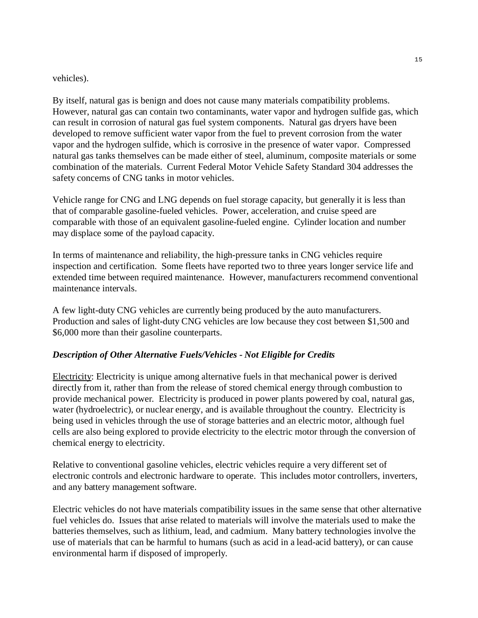#### vehicles).

By itself, natural gas is benign and does not cause many materials compatibility problems. However, natural gas can contain two contaminants, water vapor and hydrogen sulfide gas, which can result in corrosion of natural gas fuel system components. Natural gas dryers have been developed to remove sufficient water vapor from the fuel to prevent corrosion from the water vapor and the hydrogen sulfide, which is corrosive in the presence of water vapor. Compressed natural gas tanks themselves can be made either of steel, aluminum, composite materials or some combination of the materials. Current Federal Motor Vehicle Safety Standard 304 addresses the safety concerns of CNG tanks in motor vehicles.

Vehicle range for CNG and LNG depends on fuel storage capacity, but generally it is less than that of comparable gasoline-fueled vehicles. Power, acceleration, and cruise speed are comparable with those of an equivalent gasoline-fueled engine. Cylinder location and number may displace some of the payload capacity.

In terms of maintenance and reliability, the high-pressure tanks in CNG vehicles require inspection and certification. Some fleets have reported two to three years longer service life and extended time between required maintenance. However, manufacturers recommend conventional maintenance intervals.

A few light-duty CNG vehicles are currently being produced by the auto manufacturers. Production and sales of light-duty CNG vehicles are low because they cost between \$1,500 and \$6,000 more than their gasoline counterparts.

### *Description of Other Alternative Fuels/Vehicles - Not Eligible for Credits*

Electricity: Electricity is unique among alternative fuels in that mechanical power is derived directly from it, rather than from the release of stored chemical energy through combustion to provide mechanical power. Electricity is produced in power plants powered by coal, natural gas, water (hydroelectric), or nuclear energy, and is available throughout the country. Electricity is being used in vehicles through the use of storage batteries and an electric motor, although fuel cells are also being explored to provide electricity to the electric motor through the conversion of chemical energy to electricity.

Relative to conventional gasoline vehicles, electric vehicles require a very different set of electronic controls and electronic hardware to operate. This includes motor controllers, inverters, and any battery management software.

Electric vehicles do not have materials compatibility issues in the same sense that other alternative fuel vehicles do. Issues that arise related to materials will involve the materials used to make the batteries themselves, such as lithium, lead, and cadmium. Many battery technologies involve the use of materials that can be harmful to humans (such as acid in a lead-acid battery), or can cause environmental harm if disposed of improperly.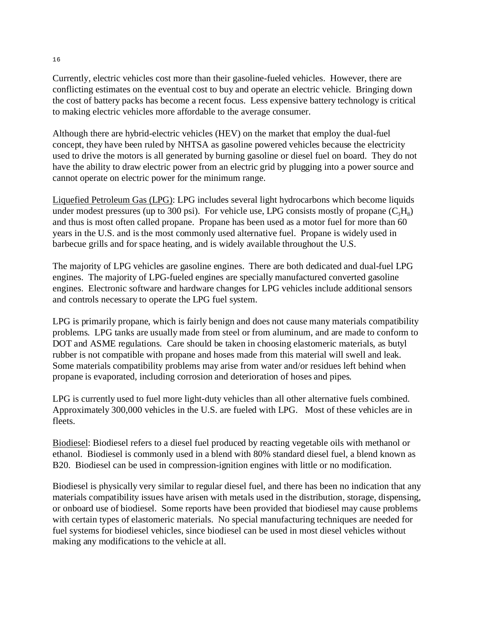Currently, electric vehicles cost more than their gasoline-fueled vehicles. However, there are conflicting estimates on the eventual cost to buy and operate an electric vehicle. Bringing down the cost of battery packs has become a recent focus. Less expensive battery technology is critical to making electric vehicles more affordable to the average consumer.

Although there are hybrid-electric vehicles (HEV) on the market that employ the dual-fuel concept, they have been ruled by NHTSA as gasoline powered vehicles because the electricity used to drive the motors is all generated by burning gasoline or diesel fuel on board. They do not have the ability to draw electric power from an electric grid by plugging into a power source and cannot operate on electric power for the minimum range.

Liquefied Petroleum Gas (LPG): LPG includes several light hydrocarbons which become liquids under modest pressures (up to 300 psi). For vehicle use, LPG consists mostly of propane  $(C_3H_8)$ and thus is most often called propane. Propane has been used as a motor fuel for more than 60 years in the U.S. and is the most commonly used alternative fuel. Propane is widely used in barbecue grills and for space heating, and is widely available throughout the U.S.

The majority of LPG vehicles are gasoline engines. There are both dedicated and dual-fuel LPG engines. The majority of LPG-fueled engines are specially manufactured converted gasoline engines. Electronic software and hardware changes for LPG vehicles include additional sensors and controls necessary to operate the LPG fuel system.

LPG is primarily propane, which is fairly benign and does not cause many materials compatibility problems. LPG tanks are usually made from steel or from aluminum, and are made to conform to DOT and ASME regulations. Care should be taken in choosing elastomeric materials, as butyl rubber is not compatible with propane and hoses made from this material will swell and leak. Some materials compatibility problems may arise from water and/or residues left behind when propane is evaporated, including corrosion and deterioration of hoses and pipes.

LPG is currently used to fuel more light-duty vehicles than all other alternative fuels combined. Approximately 300,000 vehicles in the U.S. are fueled with LPG. Most of these vehicles are in fleets.

Biodiesel: Biodiesel refers to a diesel fuel produced by reacting vegetable oils with methanol or ethanol. Biodiesel is commonly used in a blend with 80% standard diesel fuel, a blend known as B20. Biodiesel can be used in compression-ignition engines with little or no modification.

Biodiesel is physically very similar to regular diesel fuel, and there has been no indication that any materials compatibility issues have arisen with metals used in the distribution, storage, dispensing, or onboard use of biodiesel. Some reports have been provided that biodiesel may cause problems with certain types of elastomeric materials. No special manufacturing techniques are needed for fuel systems for biodiesel vehicles, since biodiesel can be used in most diesel vehicles without making any modifications to the vehicle at all.

16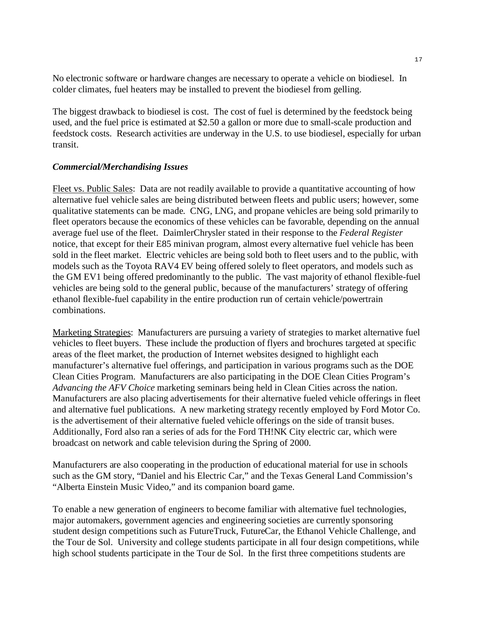No electronic software or hardware changes are necessary to operate a vehicle on biodiesel. In colder climates, fuel heaters may be installed to prevent the biodiesel from gelling.

The biggest drawback to biodiesel is cost. The cost of fuel is determined by the feedstock being used, and the fuel price is estimated at \$2.50 a gallon or more due to small-scale production and feedstock costs. Research activities are underway in the U.S. to use biodiesel, especially for urban transit.

#### *Commercial/Merchandising Issues*

Fleet vs. Public Sales: Data are not readily available to provide a quantitative accounting of how alternative fuel vehicle sales are being distributed between fleets and public users; however, some qualitative statements can be made. CNG, LNG, and propane vehicles are being sold primarily to fleet operators because the economics of these vehicles can be favorable, depending on the annual average fuel use of the fleet. DaimlerChrysler stated in their response to the *Federal Register*  notice, that except for their E85 minivan program, almost every alternative fuel vehicle has been sold in the fleet market. Electric vehicles are being sold both to fleet users and to the public, with models such as the Toyota RAV4 EV being offered solely to fleet operators, and models such as the GM EV1 being offered predominantly to the public. The vast majority of ethanol flexible-fuel vehicles are being sold to the general public, because of the manufacturers' strategy of offering ethanol flexible-fuel capability in the entire production run of certain vehicle/powertrain combinations.

Marketing Strategies: Manufacturers are pursuing a variety of strategies to market alternative fuel vehicles to fleet buyers. These include the production of flyers and brochures targeted at specific areas of the fleet market, the production of Internet websites designed to highlight each manufacturer's alternative fuel offerings, and participation in various programs such as the DOE Clean Cities Program. Manufacturers are also participating in the DOE Clean Cities Program's *Advancing the AFV Choice* marketing seminars being held in Clean Cities across the nation. Manufacturers are also placing advertisements for their alternative fueled vehicle offerings in fleet and alternative fuel publications. A new marketing strategy recently employed by Ford Motor Co. is the advertisement of their alternative fueled vehicle offerings on the side of transit buses. Additionally, Ford also ran a series of ads for the Ford TH!NK City electric car, which were broadcast on network and cable television during the Spring of 2000.

Manufacturers are also cooperating in the production of educational material for use in schools such as the GM story, "Daniel and his Electric Car," and the Texas General Land Commission's "Alberta Einstein Music Video," and its companion board game.

To enable a new generation of engineers to become familiar with alternative fuel technologies, major automakers, government agencies and engineering societies are currently sponsoring student design competitions such as FutureTruck, FutureCar, the Ethanol Vehicle Challenge, and the Tour de Sol. University and college students participate in all four design competitions, while high school students participate in the Tour de Sol. In the first three competitions students are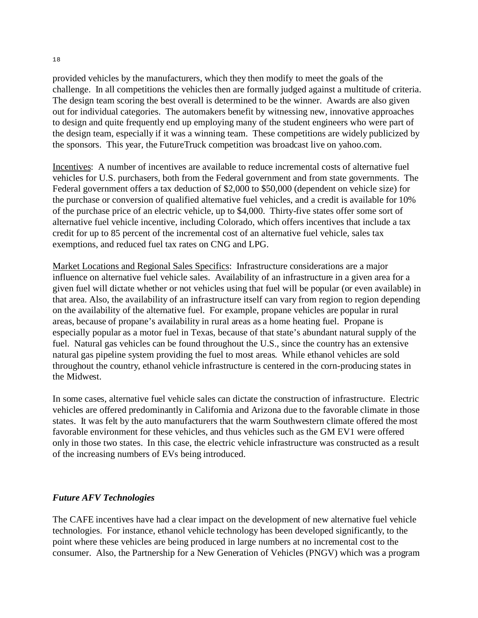provided vehicles by the manufacturers, which they then modify to meet the goals of the challenge. In all competitions the vehicles then are formally judged against a multitude of criteria. The design team scoring the best overall is determined to be the winner. Awards are also given out for individual categories. The automakers benefit by witnessing new, innovative approaches to design and quite frequently end up employing many of the student engineers who were part of the design team, especially if it was a winning team. These competitions are widely publicized by the sponsors. This year, the FutureTruck competition was broadcast live on yahoo.com.

Incentives: A number of incentives are available to reduce incremental costs of alternative fuel vehicles for U.S. purchasers, both from the Federal government and from state governments. The Federal government offers a tax deduction of \$2,000 to \$50,000 (dependent on vehicle size) for the purchase or conversion of qualified alternative fuel vehicles, and a credit is available for 10% of the purchase price of an electric vehicle, up to \$4,000. Thirty-five states offer some sort of alternative fuel vehicle incentive, including Colorado, which offers incentives that include a tax credit for up to 85 percent of the incremental cost of an alternative fuel vehicle, sales tax exemptions, and reduced fuel tax rates on CNG and LPG.

Market Locations and Regional Sales Specifics: Infrastructure considerations are a major influence on alternative fuel vehicle sales. Availability of an infrastructure in a given area for a given fuel will dictate whether or not vehicles using that fuel will be popular (or even available) in that area. Also, the availability of an infrastructure itself can vary from region to region depending on the availability of the alternative fuel. For example, propane vehicles are popular in rural areas, because of propane's availability in rural areas as a home heating fuel. Propane is especially popular as a motor fuel in Texas, because of that state's abundant natural supply of the fuel. Natural gas vehicles can be found throughout the U.S., since the country has an extensive natural gas pipeline system providing the fuel to most areas. While ethanol vehicles are sold throughout the country, ethanol vehicle infrastructure is centered in the corn-producing states in the Midwest.

In some cases, alternative fuel vehicle sales can dictate the construction of infrastructure. Electric vehicles are offered predominantly in California and Arizona due to the favorable climate in those states. It was felt by the auto manufacturers that the warm Southwestern climate offered the most favorable environment for these vehicles, and thus vehicles such as the GM EV1 were offered only in those two states. In this case, the electric vehicle infrastructure was constructed as a result of the increasing numbers of EVs being introduced.

## *Future AFV Technologies*

The CAFE incentives have had a clear impact on the development of new alternative fuel vehicle technologies. For instance, ethanol vehicle technology has been developed significantly, to the point where these vehicles are being produced in large numbers at no incremental cost to the consumer. Also, the Partnership for a New Generation of Vehicles (PNGV) which was a program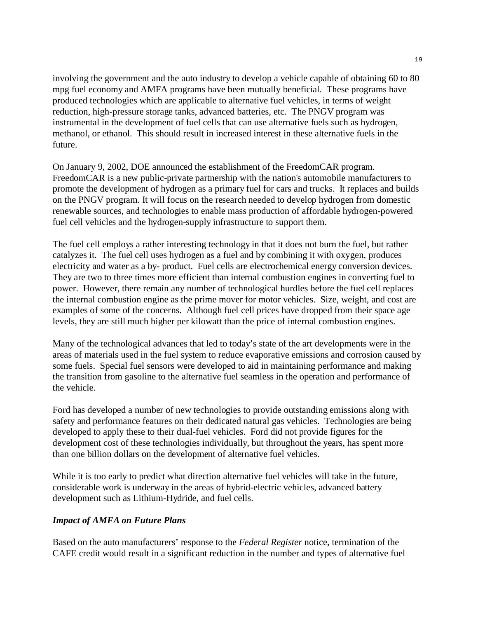involving the government and the auto industry to develop a vehicle capable of obtaining 60 to 80 mpg fuel economy and AMFA programs have been mutually beneficial. These programs have produced technologies which are applicable to alternative fuel vehicles, in terms of weight reduction, high-pressure storage tanks, advanced batteries, etc. The PNGV program was instrumental in the development of fuel cells that can use alternative fuels such as hydrogen, methanol, or ethanol. This should result in increased interest in these alternative fuels in the future.

On January 9, 2002, DOE announced the establishment of the FreedomCAR program. FreedomCAR is a new public-private partnership with the nation's automobile manufacturers to promote the development of hydrogen as a primary fuel for cars and trucks. It replaces and builds on the PNGV program. It will focus on the research needed to develop hydrogen from domestic renewable sources, and technologies to enable mass production of affordable hydrogen-powered fuel cell vehicles and the hydrogen-supply infrastructure to support them.

The fuel cell employs a rather interesting technology in that it does not burn the fuel, but rather catalyzes it. The fuel cell uses hydrogen as a fuel and by combining it with oxygen, produces electricity and water as a by- product. Fuel cells are electrochemical energy conversion devices. They are two to three times more efficient than internal combustion engines in converting fuel to power. However, there remain any number of technological hurdles before the fuel cell replaces the internal combustion engine as the prime mover for motor vehicles. Size, weight, and cost are examples of some of the concerns. Although fuel cell prices have dropped from their space age levels, they are still much higher per kilowatt than the price of internal combustion engines.

Many of the technological advances that led to today's state of the art developments were in the areas of materials used in the fuel system to reduce evaporative emissions and corrosion caused by some fuels. Special fuel sensors were developed to aid in maintaining performance and making the transition from gasoline to the alternative fuel seamless in the operation and performance of the vehicle.

Ford has developed a number of new technologies to provide outstanding emissions along with safety and performance features on their dedicated natural gas vehicles. Technologies are being developed to apply these to their dual-fuel vehicles. Ford did not provide figures for the development cost of these technologies individually, but throughout the years, has spent more than one billion dollars on the development of alternative fuel vehicles.

While it is too early to predict what direction alternative fuel vehicles will take in the future, considerable work is underway in the areas of hybrid-electric vehicles, advanced battery development such as Lithium-Hydride, and fuel cells.

### *Impact of AMFA on Future Plans*

Based on the auto manufacturers' response to the *Federal Register* notice, termination of the CAFE credit would result in a significant reduction in the number and types of alternative fuel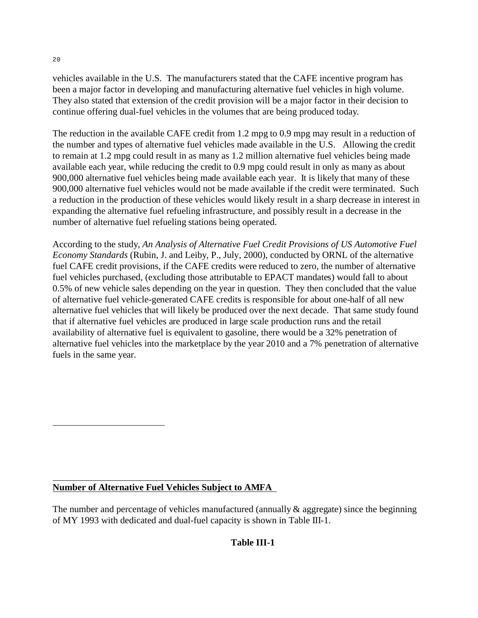vehicles available in the U.S. The manufacturers stated that the CAFE incentive program has been a major factor in developing and manufacturing alternative fuel vehicles in high volume. They also stated that extension of the credit provision will be a major factor in their decision to continue offering dual-fuel vehicles in the volumes that are being produced today.

The reduction in the available CAFE credit from 1.2 mpg to 0.9 mpg may result in a reduction of the number and types of alternative fuel vehicles made available in the U.S. Allowing the credit to remain at 1.2 mpg could result in as many as 1.2 million alternative fuel vehicles being made available each year, while reducing the credit to 0.9 mpg could result in only as many as about 900,000 alternative fuel vehicles being made available each year. It is likely that many of these 900,000 alternative fuel vehicles would not be made available if the credit were terminated. Such a reduction in the production of these vehicles would likely result in a sharp decrease in interest in expanding the alternative fuel refueling infrastructure, and possibly result in a decrease in the number of alternative fuel refueling stations being operated.

According to the study, *An Analysis of Alternative Fuel Credit Provisions of US Automotive Fuel Economy Standards* (Rubin, J. and Leiby, P., July, 2000), conducted by ORNL of the alternative fuel CAFE credit provisions, if the CAFE credits were reduced to zero, the number of alternative fuel vehicles purchased, (excluding those attributable to EPACT mandates) would fall to about 0.5% of new vehicle sales depending on the year in question. They then concluded that the value of alternative fuel vehicle-generated CAFE credits is responsible for about one-half of all new alternative fuel vehicles that will likely be produced over the next decade. That same study found that if alternative fuel vehicles are produced in large scale production runs and the retail availability of alternative fuel is equivalent to gasoline, there would be a 32% penetration of alternative fuel vehicles into the marketplace by the year 2010 and a 7% penetration of alternative fuels in the same year.

## **Number of Alternative Fuel Vehicles Subject to AMFA**

The number and percentage of vehicles manufactured (annually  $\&$  aggregate) since the beginning of MY 1993 with dedicated and dual-fuel capacity is shown in Table III-1.

## **Table III-1**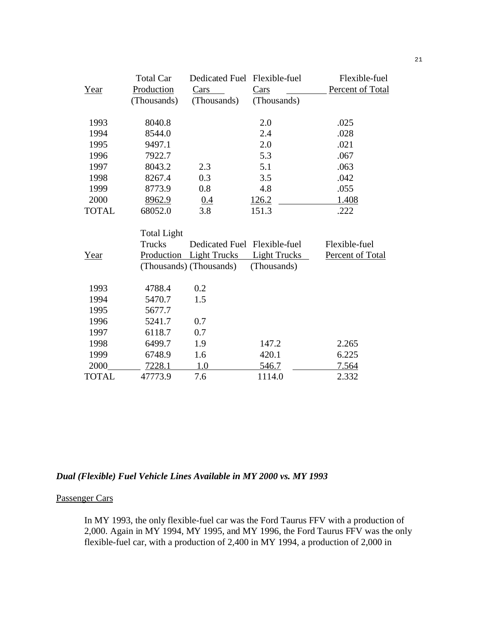|              | <b>Total Car</b>   | Dedicated Fuel Flexible-fuel |                     | Flexible-fuel    |
|--------------|--------------------|------------------------------|---------------------|------------------|
| Year         | Production         | Cars                         | Cars                | Percent of Total |
|              | (Thousands)        | (Thousands)                  | (Thousands)         |                  |
| 1993         | 8040.8             |                              | 2.0                 | .025             |
| 1994         | 8544.0             |                              | 2.4                 | .028             |
| 1995         | 9497.1             |                              | 2.0                 | .021             |
| 1996         | 7922.7             |                              | 5.3                 | .067             |
| 1997         | 8043.2             | 2.3                          | 5.1                 | .063             |
| 1998         | 8267.4             | 0.3                          | 3.5                 | .042             |
| 1999         | 8773.9             | 0.8                          | 4.8                 | .055             |
| 2000         | 8962.9             | 0.4                          | 126.2               | 1.408            |
| <b>TOTAL</b> | 68052.0            | 3.8                          | 151.3               | .222             |
|              | <b>Total Light</b> |                              |                     |                  |
|              | <b>Trucks</b>      | Dedicated Fuel Flexible-fuel |                     | Flexible-fuel    |
| Year         |                    | Production Light Trucks      | <b>Light Trucks</b> | Percent of Total |
|              |                    | (Thousands) (Thousands)      | (Thousands)         |                  |
| 1993         | 4788.4             | 0.2                          |                     |                  |
| 1994         | 5470.7             | 1.5                          |                     |                  |
| 1995         | 5677.7             |                              |                     |                  |
| 1996         | 5241.7             | 0.7                          |                     |                  |
| 1997         | 6118.7             | 0.7                          |                     |                  |
| 1998         | 6499.7             | 1.9                          | 147.2               | 2.265            |
| 1999         | 6748.9             | 1.6                          | 420.1               | 6.225            |
| 2000         | 7228.1             | 1.0                          | 546.7               | 7.564            |
| <b>TOTAL</b> | 47773.9            | 7.6                          | 1114.0              | 2.332            |

## *Dual (Flexible) Fuel Vehicle Lines Available in MY 2000 vs. MY 1993*

#### Passenger Cars

In MY 1993, the only flexible-fuel car was the Ford Taurus FFV with a production of 2,000. Again in MY 1994, MY 1995, and MY 1996, the Ford Taurus FFV was the only flexible-fuel car, with a production of 2,400 in MY 1994, a production of 2,000 in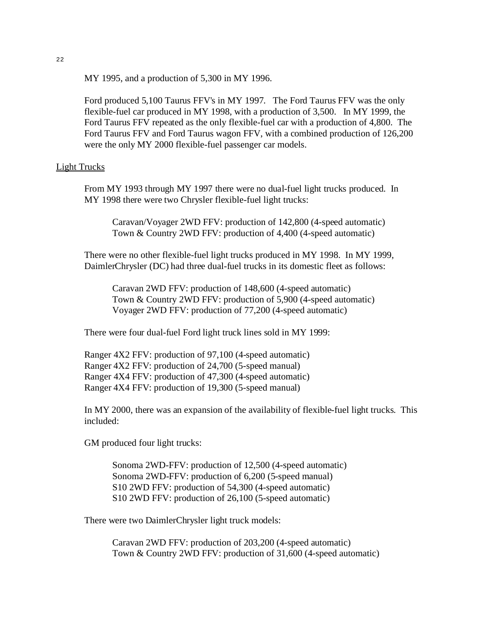MY 1995, and a production of 5,300 in MY 1996.

Ford produced 5,100 Taurus FFV's in MY 1997. The Ford Taurus FFV was the only flexible-fuel car produced in MY 1998, with a production of 3,500. In MY 1999, the Ford Taurus FFV repeated as the only flexible-fuel car with a production of 4,800. The Ford Taurus FFV and Ford Taurus wagon FFV, with a combined production of 126,200 were the only MY 2000 flexible-fuel passenger car models.

#### Light Trucks

From MY 1993 through MY 1997 there were no dual-fuel light trucks produced. In MY 1998 there were two Chrysler flexible-fuel light trucks:

Caravan/Voyager 2WD FFV: production of 142,800 (4-speed automatic) Town & Country 2WD FFV: production of 4,400 (4-speed automatic)

There were no other flexible-fuel light trucks produced in MY 1998. In MY 1999, DaimlerChrysler (DC) had three dual-fuel trucks in its domestic fleet as follows:

Caravan 2WD FFV: production of 148,600 (4-speed automatic) Town & Country 2WD FFV: production of 5,900 (4-speed automatic) Voyager 2WD FFV: production of 77,200 (4-speed automatic)

There were four dual-fuel Ford light truck lines sold in MY 1999:

Ranger 4X2 FFV: production of 97,100 (4-speed automatic) Ranger 4X2 FFV: production of 24,700 (5-speed manual) Ranger 4X4 FFV: production of 47,300 (4-speed automatic) Ranger 4X4 FFV: production of 19,300 (5-speed manual)

In MY 2000, there was an expansion of the availability of flexible-fuel light trucks. This included:

GM produced four light trucks:

Sonoma 2WD-FFV: production of 12,500 (4-speed automatic) Sonoma 2WD-FFV: production of 6,200 (5-speed manual) S10 2WD FFV: production of 54,300 (4-speed automatic) S10 2WD FFV: production of 26,100 (5-speed automatic)

There were two DaimlerChrysler light truck models:

Caravan 2WD FFV: production of 203,200 (4-speed automatic) Town & Country 2WD FFV: production of 31,600 (4-speed automatic)

22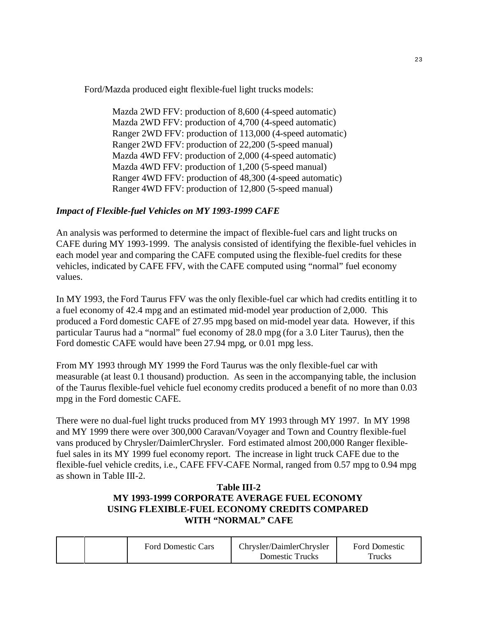Ford/Mazda produced eight flexible-fuel light trucks models:

Mazda 2WD FFV: production of 8,600 (4-speed automatic) Mazda 2WD FFV: production of 4,700 (4-speed automatic) Ranger 2WD FFV: production of 113,000 (4-speed automatic) Ranger 2WD FFV: production of 22,200 (5-speed manual) Mazda 4WD FFV: production of 2,000 (4-speed automatic) Mazda 4WD FFV: production of 1,200 (5-speed manual) Ranger 4WD FFV: production of 48,300 (4-speed automatic) Ranger 4WD FFV: production of 12,800 (5-speed manual)

## *Impact of Flexible-fuel Vehicles on MY 1993-1999 CAFE*

An analysis was performed to determine the impact of flexible-fuel cars and light trucks on CAFE during MY 1993-1999. The analysis consisted of identifying the flexible-fuel vehicles in each model year and comparing the CAFE computed using the flexible-fuel credits for these vehicles, indicated by CAFE FFV, with the CAFE computed using "normal" fuel economy values.

In MY 1993, the Ford Taurus FFV was the only flexible-fuel car which had credits entitling it to a fuel economy of 42.4 mpg and an estimated mid-model year production of 2,000. This produced a Ford domestic CAFE of 27.95 mpg based on mid-model year data. However, if this particular Taurus had a "normal" fuel economy of 28.0 mpg (for a 3.0 Liter Taurus), then the Ford domestic CAFE would have been 27.94 mpg, or 0.01 mpg less.

From MY 1993 through MY 1999 the Ford Taurus was the only flexible-fuel car with measurable (at least 0.1 thousand) production. As seen in the accompanying table, the inclusion of the Taurus flexible-fuel vehicle fuel economy credits produced a benefit of no more than 0.03 mpg in the Ford domestic CAFE.

There were no dual-fuel light trucks produced from MY 1993 through MY 1997. In MY 1998 and MY 1999 there were over 300,000 Caravan/Voyager and Town and Country flexible-fuel vans produced by Chrysler/DaimlerChrysler. Ford estimated almost 200,000 Ranger flexiblefuel sales in its MY 1999 fuel economy report. The increase in light truck CAFE due to the flexible-fuel vehicle credits, i.e., CAFE FFV-CAFE Normal, ranged from 0.57 mpg to 0.94 mpg as shown in Table III-2.

## **Table III-2 MY 1993-1999 CORPORATE AVERAGE FUEL ECONOMY USING FLEXIBLE-FUEL ECONOMY CREDITS COMPARED WITH "NORMAL" CAFE**

|  | <b>Ford Domestic Cars</b> | Chrysler/DaimlerChrysler | <b>Ford Domestic</b> |
|--|---------------------------|--------------------------|----------------------|
|  |                           | Domestic Trucks          | Trucks               |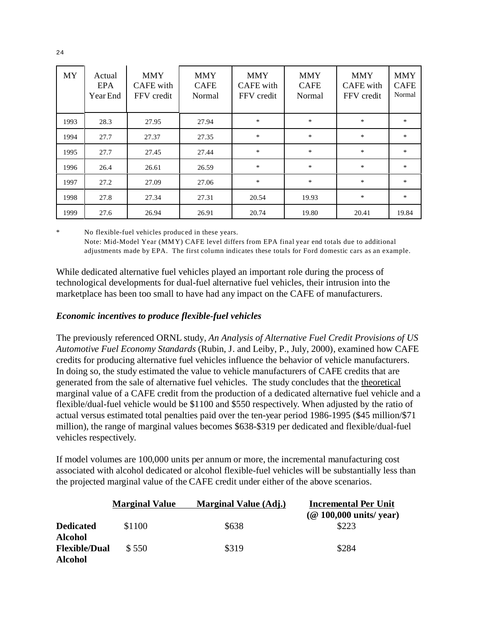| <b>MY</b> | Actual<br><b>EPA</b><br>Year End | <b>MMY</b><br>CAFE with<br>FFV credit | <b>MMY</b><br><b>CAFE</b><br><b>Normal</b> | <b>MMY</b><br>CAFE with<br>FFV credit | <b>MMY</b><br><b>CAFE</b><br>Normal | <b>MMY</b><br><b>CAFE</b> with<br>FFV credit | <b>MMY</b><br><b>CAFE</b><br>Normal |
|-----------|----------------------------------|---------------------------------------|--------------------------------------------|---------------------------------------|-------------------------------------|----------------------------------------------|-------------------------------------|
| 1993      | 28.3                             | 27.95                                 | 27.94                                      | $\ast$                                | $\ast$                              | $\ast$                                       | $\ast$                              |
| 1994      | 27.7                             | 27.37                                 | 27.35                                      | $\ast$                                | *                                   | *                                            | *                                   |
| 1995      | 27.7                             | 27.45                                 | 27.44                                      | *                                     | $\ast$                              | $\ast$                                       | $\ast$                              |
| 1996      | 26.4                             | 26.61                                 | 26.59                                      | $\ast$                                | $\ast$                              | $*$                                          | $\ast$                              |
| 1997      | 27.2                             | 27.09                                 | 27.06                                      | *                                     | *                                   | $\ast$                                       | *                                   |
| 1998      | 27.8                             | 27.34                                 | 27.31                                      | 20.54                                 | 19.93                               | $\ast$                                       | $\ast$                              |
| 1999      | 27.6                             | 26.94                                 | 26.91                                      | 20.74                                 | 19.80                               | 20.41                                        | 19.84                               |

\* No flexible-fuel vehicles produced in these years. Note: Mid-Model Year (MM Y) CAFE level differs from EPA final year end totals due to additional adjustments made by EPA. The first column indicates these totals for Ford domestic cars as an example.

While dedicated alternative fuel vehicles played an important role during the process of technological developments for dual-fuel alternative fuel vehicles, their intrusion into the marketplace has been too small to have had any impact on the CAFE of manufacturers.

### *Economic incentives to produce flexible-fuel vehicles*

The previously referenced ORNL study, *An Analysis of Alternative Fuel Credit Provisions of US Automotive Fuel Economy Standards* (Rubin, J. and Leiby, P., July, 2000), examined how CAFE credits for producing alternative fuel vehicles influence the behavior of vehicle manufacturers. In doing so, the study estimated the value to vehicle manufacturers of CAFE credits that are generated from the sale of alternative fuel vehicles. The study concludes that the theoretical marginal value of a CAFE credit from the production of a dedicated alternative fuel vehicle and a flexible/dual-fuel vehicle would be \$1100 and \$550 respectively. When adjusted by the ratio of actual versus estimated total penalties paid over the ten-year period 1986-1995 (\$45 million/\$71 million), the range of marginal values becomes \$638-\$319 per dedicated and flexible/dual-fuel vehicles respectively.

If model volumes are 100,000 units per annum or more, the incremental manufacturing cost associated with alcohol dedicated or alcohol flexible-fuel vehicles will be substantially less than the projected marginal value of the CAFE credit under either of the above scenarios.

|                      | <b>Marginal Value</b> | <b>Marginal Value (Adj.)</b> | <b>Incremental Per Unit</b>                            |
|----------------------|-----------------------|------------------------------|--------------------------------------------------------|
|                      |                       |                              | $(\textcircled{a} 100,000 \text{ units}/ \text{year})$ |
| <b>Dedicated</b>     | \$1100                | \$638                        | \$223                                                  |
| <b>Alcohol</b>       |                       |                              |                                                        |
| <b>Flexible/Dual</b> | \$ 550                | \$319                        | \$284                                                  |
| <b>Alcohol</b>       |                       |                              |                                                        |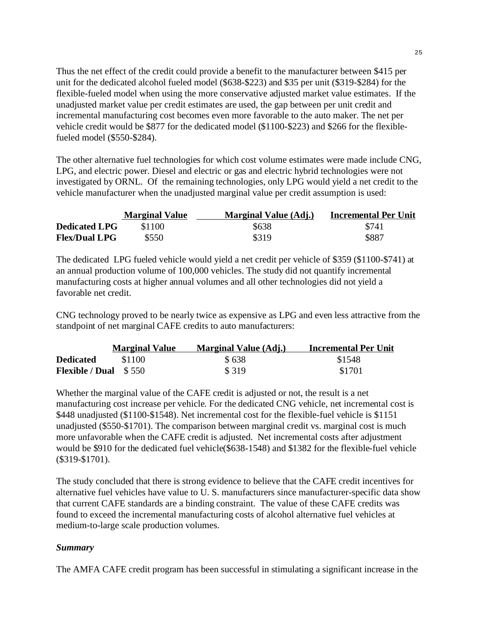Thus the net effect of the credit could provide a benefit to the manufacturer between \$415 per unit for the dedicated alcohol fueled model (\$638-\$223) and \$35 per unit (\$319-\$284) for the flexible-fueled model when using the more conservative adjusted market value estimates. If the unadjusted market value per credit estimates are used, the gap between per unit credit and incremental manufacturing cost becomes even more favorable to the auto maker. The net per vehicle credit would be \$877 for the dedicated model (\$1100-\$223) and \$266 for the flexiblefueled model (\$550-\$284).

The other alternative fuel technologies for which cost volume estimates were made include CNG, LPG, and electric power. Diesel and electric or gas and electric hybrid technologies were not investigated by ORNL. Of the remaining technologies, only LPG would yield a net credit to the vehicle manufacturer when the unadjusted marginal value per credit assumption is used:

|                      | <b>Marginal Value</b> | <b>Marginal Value (Adj.)</b> | <b>Incremental Per Unit</b> |
|----------------------|-----------------------|------------------------------|-----------------------------|
| <b>Dedicated LPG</b> | \$1100                | \$638                        | \$741                       |
| <b>Flex/Dual LPG</b> | \$550                 | \$319                        | \$887                       |

The dedicated LPG fueled vehicle would yield a net credit per vehicle of \$359 (\$1100-\$741) at an annual production volume of 100,000 vehicles. The study did not quantify incremental manufacturing costs at higher annual volumes and all other technologies did not yield a favorable net credit.

CNG technology proved to be nearly twice as expensive as LPG and even less attractive from the standpoint of net marginal CAFE credits to auto manufacturers:

|                               | <b>Marginal Value</b> | <b>Marginal Value (Adj.)</b> | Incremental Per Unit |
|-------------------------------|-----------------------|------------------------------|----------------------|
| <b>Dedicated</b>              | \$1100                | \$638                        | \$1548               |
| <b>Flexible / Dual</b> $$550$ |                       | \$ 319                       | \$1701               |

Whether the marginal value of the CAFE credit is adjusted or not, the result is a net manufacturing cost increase per vehicle. For the dedicated CNG vehicle, net incremental cost is \$448 unadjusted (\$1100-\$1548). Net incremental cost for the flexible-fuel vehicle is \$1151 unadjusted (\$550-\$1701). The comparison between marginal credit vs. marginal cost is much more unfavorable when the CAFE credit is adjusted. Net incremental costs after adjustment would be \$910 for the dedicated fuel vehicle(\$638-1548) and \$1382 for the flexible-fuel vehicle (\$319-\$1701).

The study concluded that there is strong evidence to believe that the CAFE credit incentives for alternative fuel vehicles have value to U. S. manufacturers since manufacturer-specific data show that current CAFE standards are a binding constraint. The value of these CAFE credits was found to exceed the incremental manufacturing costs of alcohol alternative fuel vehicles at medium-to-large scale production volumes.

## *Summary*

The AMFA CAFE credit program has been successful in stimulating a significant increase in the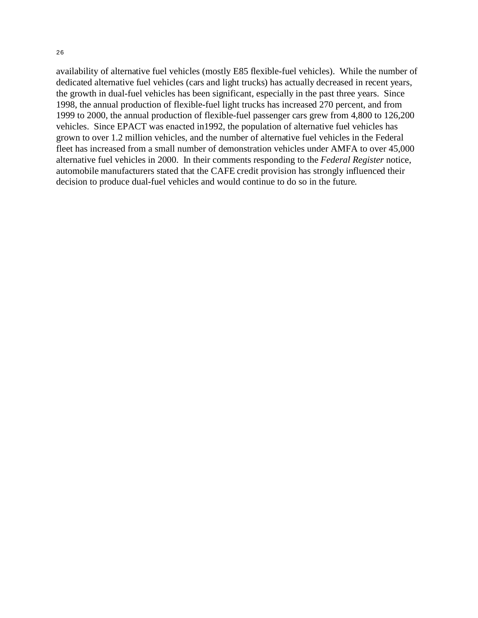26

availability of alternative fuel vehicles (mostly E85 flexible-fuel vehicles). While the number of dedicated alternative fuel vehicles (cars and light trucks) has actually decreased in recent years, the growth in dual-fuel vehicles has been significant, especially in the past three years. Since 1998, the annual production of flexible-fuel light trucks has increased 270 percent, and from 1999 to 2000, the annual production of flexible-fuel passenger cars grew from 4,800 to 126,200 vehicles. Since EPACT was enacted in1992, the population of alternative fuel vehicles has grown to over 1.2 million vehicles, and the number of alternative fuel vehicles in the Federal fleet has increased from a small number of demonstration vehicles under AMFA to over 45,000 alternative fuel vehicles in 2000. In their comments responding to the *Federal Register* notice, automobile manufacturers stated that the CAFE credit provision has strongly influenced their decision to produce dual-fuel vehicles and would continue to do so in the future.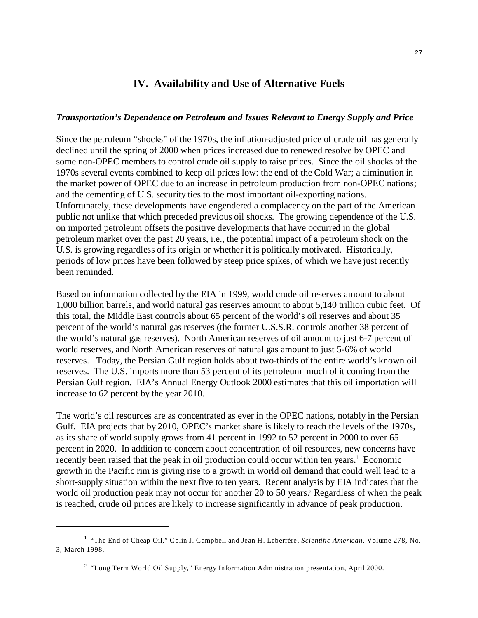## **IV. Availability and Use of Alternative Fuels**

#### *Transportation's Dependence on Petroleum and Issues Relevant to Energy Supply and Price*

Since the petroleum "shocks" of the 1970s, the inflation-adjusted price of crude oil has generally declined until the spring of 2000 when prices increased due to renewed resolve by OPEC and some non-OPEC members to control crude oil supply to raise prices. Since the oil shocks of the 1970s several events combined to keep oil prices low: the end of the Cold War; a diminution in the market power of OPEC due to an increase in petroleum production from non-OPEC nations; and the cementing of U.S. security ties to the most important oil-exporting nations. Unfortunately, these developments have engendered a complacency on the part of the American public not unlike that which preceded previous oil shocks. The growing dependence of the U.S. on imported petroleum offsets the positive developments that have occurred in the global petroleum market over the past 20 years, i.e., the potential impact of a petroleum shock on the U.S. is growing regardless of its origin or whether it is politically motivated. Historically, periods of low prices have been followed by steep price spikes, of which we have just recently been reminded.

Based on information collected by the EIA in 1999, world crude oil reserves amount to about 1,000 billion barrels, and world natural gas reserves amount to about 5,140 trillion cubic feet. Of this total, the Middle East controls about 65 percent of the world's oil reserves and about 35 percent of the world's natural gas reserves (the former U.S.S.R. controls another 38 percent of the world's natural gas reserves). North American reserves of oil amount to just 6-7 percent of world reserves, and North American reserves of natural gas amount to just 5-6% of world reserves. Today, the Persian Gulf region holds about two-thirds of the entire world's known oil reserves. The U.S. imports more than 53 percent of its petroleum–much of it coming from the Persian Gulf region. EIA's Annual Energy Outlook 2000 estimates that this oil importation will increase to 62 percent by the year 2010.

The world's oil resources are as concentrated as ever in the OPEC nations, notably in the Persian Gulf. EIA projects that by 2010, OPEC's market share is likely to reach the levels of the 1970s, as its share of world supply grows from 41 percent in 1992 to 52 percent in 2000 to over 65 percent in 2020. In addition to concern about concentration of oil resources, new concerns have recently been raised that the peak in oil production could occur within ten years.<sup>1</sup> Economic growth in the Pacific rim is giving rise to a growth in world oil demand that could well lead to a short-supply situation within the next five to ten years. Recent analysis by EIA indicates that the world oil production peak may not occur for another 20 to 50 years.<sup>2</sup> Regardless of when the peak is reached, crude oil prices are likely to increase significantly in advance of peak production.

<sup>1 &</sup>quot;The End of Cheap Oil," Colin J. Campbell and Jean H. Leberrère, *Scientific American*, Volume 278, No. 3, March 1998.

<sup>2 &</sup>quot;Long Term World Oil Supply," Energy Information Administration presentation, April 2000.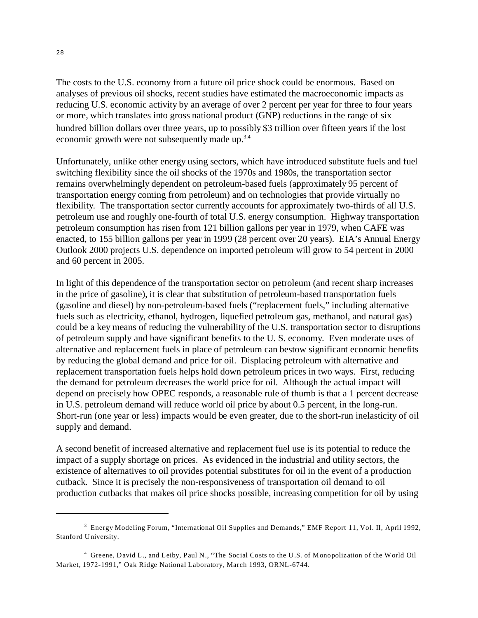The costs to the U.S. economy from a future oil price shock could be enormous. Based on analyses of previous oil shocks, recent studies have estimated the macroeconomic impacts as reducing U.S. economic activity by an average of over 2 percent per year for three to four years or more, which translates into gross national product (GNP) reductions in the range of six hundred billion dollars over three years, up to possibly \$3 trillion over fifteen years if the lost economic growth were not subsequently made up.<sup>3,4</sup>

Unfortunately, unlike other energy using sectors, which have introduced substitute fuels and fuel switching flexibility since the oil shocks of the 1970s and 1980s, the transportation sector remains overwhelmingly dependent on petroleum-based fuels (approximately 95 percent of transportation energy coming from petroleum) and on technologies that provide virtually no flexibility. The transportation sector currently accounts for approximately two-thirds of all U.S. petroleum use and roughly one-fourth of total U.S. energy consumption. Highway transportation petroleum consumption has risen from 121 billion gallons per year in 1979, when CAFE was enacted, to 155 billion gallons per year in 1999 (28 percent over 20 years). EIA's Annual Energy Outlook 2000 projects U.S. dependence on imported petroleum will grow to 54 percent in 2000 and 60 percent in 2005.

In light of this dependence of the transportation sector on petroleum (and recent sharp increases in the price of gasoline), it is clear that substitution of petroleum-based transportation fuels (gasoline and diesel) by non-petroleum-based fuels ("replacement fuels," including alternative fuels such as electricity, ethanol, hydrogen, liquefied petroleum gas, methanol, and natural gas) could be a key means of reducing the vulnerability of the U.S. transportation sector to disruptions of petroleum supply and have significant benefits to the U. S. economy. Even moderate uses of alternative and replacement fuels in place of petroleum can bestow significant economic benefits by reducing the global demand and price for oil. Displacing petroleum with alternative and replacement transportation fuels helps hold down petroleum prices in two ways. First, reducing the demand for petroleum decreases the world price for oil. Although the actual impact will depend on precisely how OPEC responds, a reasonable rule of thumb is that a 1 percent decrease in U.S. petroleum demand will reduce world oil price by about 0.5 percent, in the long-run. Short-run (one year or less) impacts would be even greater, due to the short-run inelasticity of oil supply and demand.

A second benefit of increased alternative and replacement fuel use is its potential to reduce the impact of a supply shortage on prices. As evidenced in the industrial and utility sectors, the existence of alternatives to oil provides potential substitutes for oil in the event of a production cutback. Since it is precisely the non-responsiveness of transportation oil demand to oil production cutbacks that makes oil price shocks possible, increasing competition for oil by using

<sup>3</sup> Energy Modeling Forum, "International Oil Supplies and Demands," EMF Report 11, Vol. II, April 1992, Stanford University.

<sup>4</sup> Greene, David L., and Leiby, Paul N., "The Social Costs to the U.S. of Monopolization of the World Oil Market, 1972-1991," Oak Ridge National Laboratory, March 1993, ORNL-6744.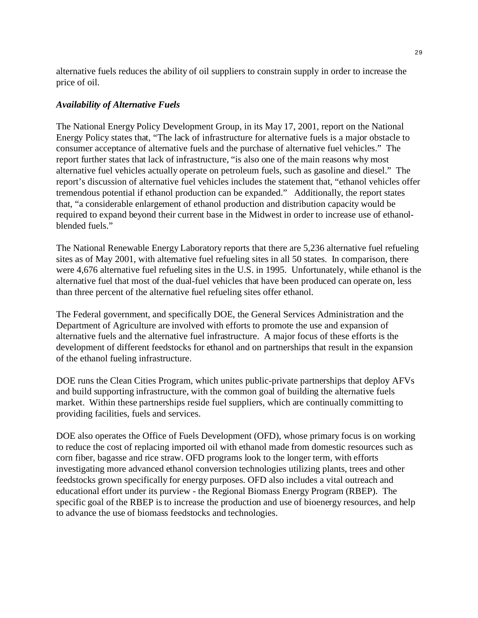alternative fuels reduces the ability of oil suppliers to constrain supply in order to increase the price of oil.

### *Availability of Alternative Fuels*

The National Energy Policy Development Group, in its May 17, 2001, report on the National Energy Policy states that, "The lack of infrastructure for alternative fuels is a major obstacle to consumer acceptance of alternative fuels and the purchase of alternative fuel vehicles." The report further states that lack of infrastructure, "is also one of the main reasons why most alternative fuel vehicles actually operate on petroleum fuels, such as gasoline and diesel." The report's discussion of alternative fuel vehicles includes the statement that, "ethanol vehicles offer tremendous potential if ethanol production can be expanded." Additionally, the report states that, "a considerable enlargement of ethanol production and distribution capacity would be required to expand beyond their current base in the Midwest in order to increase use of ethanolblended fuels."

The National Renewable Energy Laboratory reports that there are 5,236 alternative fuel refueling sites as of May 2001, with alternative fuel refueling sites in all 50 states. In comparison, there were 4,676 alternative fuel refueling sites in the U.S. in 1995. Unfortunately, while ethanol is the alternative fuel that most of the dual-fuel vehicles that have been produced can operate on, less than three percent of the alternative fuel refueling sites offer ethanol.

The Federal government, and specifically DOE, the General Services Administration and the Department of Agriculture are involved with efforts to promote the use and expansion of alternative fuels and the alternative fuel infrastructure. A major focus of these efforts is the development of different feedstocks for ethanol and on partnerships that result in the expansion of the ethanol fueling infrastructure.

DOE runs the Clean Cities Program, which unites public-private partnerships that deploy AFVs and build supporting infrastructure, with the common goal of building the alternative fuels market. Within these partnerships reside fuel suppliers, which are continually committing to providing facilities, fuels and services.

DOE also operates the Office of Fuels Development (OFD), whose primary focus is on working to reduce the cost of replacing imported oil with ethanol made from domestic resources such as corn fiber, bagasse and rice straw. OFD programs look to the longer term, with efforts investigating more advanced ethanol conversion technologies utilizing plants, trees and other feedstocks grown specifically for energy purposes. OFD also includes a vital outreach and educational effort under its purview - the Regional Biomass Energy Program (RBEP). The specific goal of the RBEP is to increase the production and use of bioenergy resources, and help to advance the use of biomass feedstocks and technologies.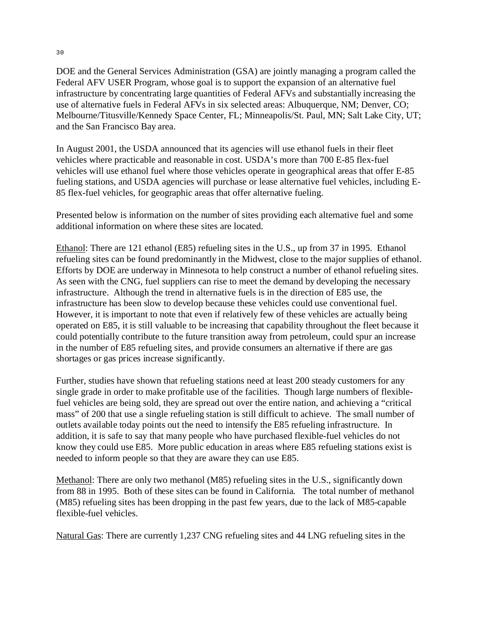DOE and the General Services Administration (GSA) are jointly managing a program called the Federal AFV USER Program, whose goal is to support the expansion of an alternative fuel infrastructure by concentrating large quantities of Federal AFVs and substantially increasing the use of alternative fuels in Federal AFVs in six selected areas: Albuquerque, NM; Denver, CO; Melbourne/Titusville/Kennedy Space Center, FL; Minneapolis/St. Paul, MN; Salt Lake City, UT; and the San Francisco Bay area.

In August 2001, the USDA announced that its agencies will use ethanol fuels in their fleet vehicles where practicable and reasonable in cost. USDA's more than 700 E-85 flex-fuel vehicles will use ethanol fuel where those vehicles operate in geographical areas that offer E-85 fueling stations, and USDA agencies will purchase or lease alternative fuel vehicles, including E-85 flex-fuel vehicles, for geographic areas that offer alternative fueling.

Presented below is information on the number of sites providing each alternative fuel and some additional information on where these sites are located.

Ethanol: There are 121 ethanol (E85) refueling sites in the U.S., up from 37 in 1995. Ethanol refueling sites can be found predominantly in the Midwest, close to the major supplies of ethanol. Efforts by DOE are underway in Minnesota to help construct a number of ethanol refueling sites. As seen with the CNG, fuel suppliers can rise to meet the demand by developing the necessary infrastructure. Although the trend in alternative fuels is in the direction of E85 use, the infrastructure has been slow to develop because these vehicles could use conventional fuel. However, it is important to note that even if relatively few of these vehicles are actually being operated on E85, it is still valuable to be increasing that capability throughout the fleet because it could potentially contribute to the future transition away from petroleum, could spur an increase in the number of E85 refueling sites, and provide consumers an alternative if there are gas shortages or gas prices increase significantly.

Further, studies have shown that refueling stations need at least 200 steady customers for any single grade in order to make profitable use of the facilities. Though large numbers of flexiblefuel vehicles are being sold, they are spread out over the entire nation, and achieving a "critical mass" of 200 that use a single refueling station is still difficult to achieve. The small number of outlets available today points out the need to intensify the E85 refueling infrastructure. In addition, it is safe to say that many people who have purchased flexible-fuel vehicles do not know they could use E85. More public education in areas where E85 refueling stations exist is needed to inform people so that they are aware they can use E85.

Methanol: There are only two methanol (M85) refueling sites in the U.S., significantly down from 88 in 1995. Both of these sites can be found in California. The total number of methanol (M85) refueling sites has been dropping in the past few years, due to the lack of M85-capable flexible-fuel vehicles.

Natural Gas: There are currently 1,237 CNG refueling sites and 44 LNG refueling sites in the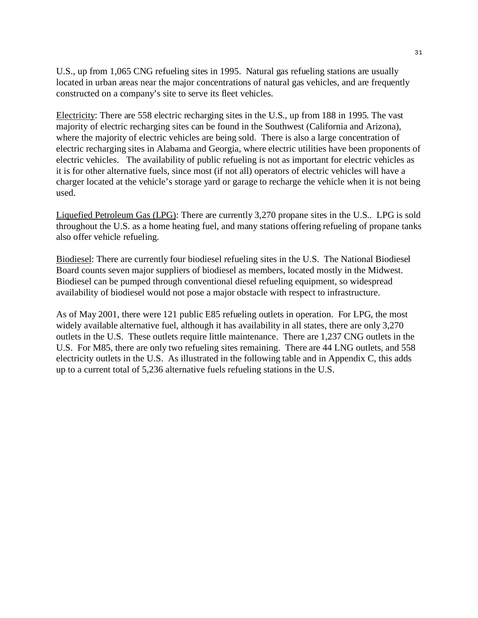U.S., up from 1,065 CNG refueling sites in 1995. Natural gas refueling stations are usually located in urban areas near the major concentrations of natural gas vehicles, and are frequently constructed on a company's site to serve its fleet vehicles.

Electricity: There are 558 electric recharging sites in the U.S., up from 188 in 1995. The vast majority of electric recharging sites can be found in the Southwest (California and Arizona), where the majority of electric vehicles are being sold. There is also a large concentration of electric recharging sites in Alabama and Georgia, where electric utilities have been proponents of electric vehicles. The availability of public refueling is not as important for electric vehicles as it is for other alternative fuels, since most (if not all) operators of electric vehicles will have a charger located at the vehicle's storage yard or garage to recharge the vehicle when it is not being used.

Liquefied Petroleum Gas (LPG): There are currently 3,270 propane sites in the U.S.. LPG is sold throughout the U.S. as a home heating fuel, and many stations offering refueling of propane tanks also offer vehicle refueling.

Biodiesel: There are currently four biodiesel refueling sites in the U.S. The National Biodiesel Board counts seven major suppliers of biodiesel as members, located mostly in the Midwest. Biodiesel can be pumped through conventional diesel refueling equipment, so widespread availability of biodiesel would not pose a major obstacle with respect to infrastructure.

As of May 2001, there were 121 public E85 refueling outlets in operation. For LPG, the most widely available alternative fuel, although it has availability in all states, there are only 3,270 outlets in the U.S. These outlets require little maintenance. There are 1,237 CNG outlets in the U.S. For M85, there are only two refueling sites remaining. There are 44 LNG outlets, and 558 electricity outlets in the U.S. As illustrated in the following table and in Appendix C, this adds up to a current total of 5,236 alternative fuels refueling stations in the U.S.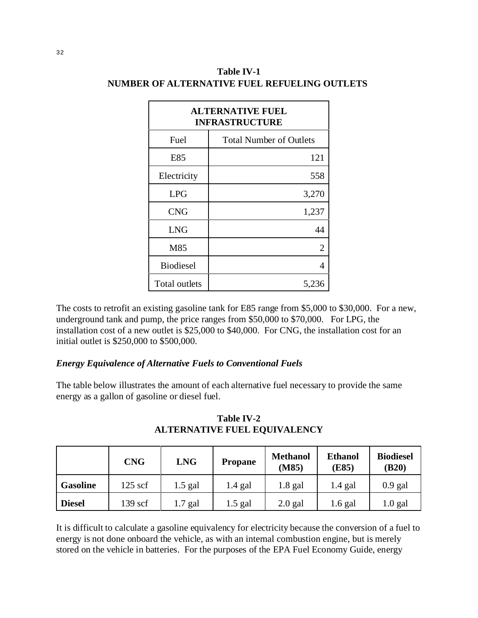| <b>ALTERNATIVE FUEL</b><br><b>INFRASTRUCTURE</b> |                                |  |  |  |
|--------------------------------------------------|--------------------------------|--|--|--|
| Fuel                                             | <b>Total Number of Outlets</b> |  |  |  |
| E85                                              | 121                            |  |  |  |
| Electricity                                      | 558                            |  |  |  |
| <b>LPG</b>                                       | 3,270                          |  |  |  |
| <b>CNG</b>                                       | 1,237                          |  |  |  |
| <b>LNG</b>                                       | 44                             |  |  |  |
| M85                                              | $\overline{2}$                 |  |  |  |
| <b>Biodiesel</b>                                 | 4                              |  |  |  |
| Total outlets                                    | 5,236                          |  |  |  |

## **Table IV-1 NUMBER OF ALTERNATIVE FUEL REFUELING OUTLETS**

The costs to retrofit an existing gasoline tank for E85 range from \$5,000 to \$30,000. For a new, underground tank and pump, the price ranges from \$50,000 to \$70,000. For LPG, the installation cost of a new outlet is \$25,000 to \$40,000. For CNG, the installation cost for an initial outlet is \$250,000 to \$500,000.

## *Energy Equivalence of Alternative Fuels to Conventional Fuels*

The table below illustrates the amount of each alternative fuel necessary to provide the same energy as a gallon of gasoline or diesel fuel.

|                 | <b>CNG</b> | <b>LNG</b> | <b>Propane</b> | <b>Methanol</b><br>(M85) | <b>Ethanol</b><br>(E85) | <b>Biodiesel</b><br>(B20) |
|-----------------|------------|------------|----------------|--------------------------|-------------------------|---------------------------|
| <b>Gasoline</b> | $125$ scf  | $1.5$ gal  | $1.4$ gal      | $1.8$ gal                | $1.4$ gal               | $0.9$ gal                 |
| <b>Diesel</b>   | $139$ scf  | .7 gal     | 1.5 gal        | $2.0$ gal                | 1.6 gal                 | $1.0$ gal                 |

**Table IV-2 ALTERNATIVE FUEL EQUIVALENCY**

It is difficult to calculate a gasoline equivalency for electricity because the conversion of a fuel to energy is not done onboard the vehicle, as with an internal combustion engine, but is merely stored on the vehicle in batteries. For the purposes of the EPA Fuel Economy Guide, energy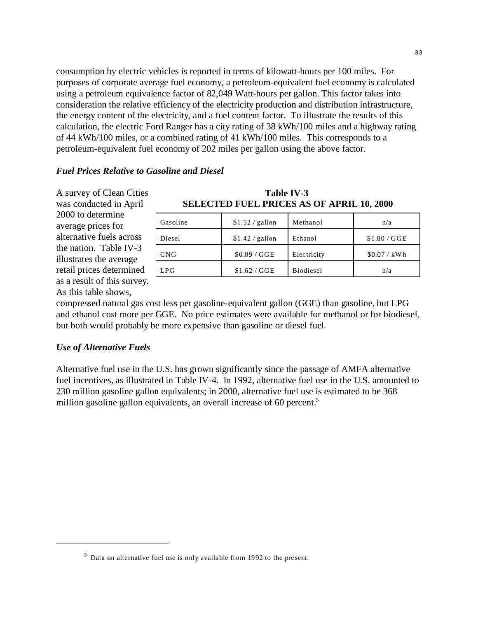consumption by electric vehicles is reported in terms of kilowatt-hours per 100 miles. For purposes of corporate average fuel economy, a petroleum-equivalent fuel economy is calculated using a petroleum equivalence factor of 82,049 Watt-hours per gallon. This factor takes into consideration the relative efficiency of the electricity production and distribution infrastructure, the energy content of the electricity, and a fuel content factor. To illustrate the results of this calculation, the electric Ford Ranger has a city rating of 38 kWh/100 miles and a highway rating of 44 kWh/100 miles, or a combined rating of 41 kWh/100 miles. This corresponds to a petroleum-equivalent fuel economy of 202 miles per gallon using the above factor.

#### *Fuel Prices Relative to Gasoline and Diesel*

A survey of Clean Cities was conducted in April **SELECTED** S 2000 to determine average prices for alternative fuels across the nation. Table IV-3 illustrates the average retail prices determined as a result of this survey. As this table shows,

| <b>Table IV-3</b>                                |  |
|--------------------------------------------------|--|
| <b>SELECTED FUEL PRICES AS OF APRIL 10, 2000</b> |  |

| Gasoline   | $$1.52 /$ gallon | Methanol    | n/a          |
|------------|------------------|-------------|--------------|
| Diesel     | $$1.42 /$ gallon | Ethanol     | \$1.80 / GGE |
| <b>CNG</b> | \$0.89 / GGE     | Electricity | \$0.07 / kWh |
| LPG        | \$1.62 / GGE     | Biodiesel   | n/a          |

compressed natural gas cost less per gasoline-equivalent gallon (GGE) than gasoline, but LPG and ethanol cost more per GGE. No price estimates were available for methanol or for biodiesel, but both would probably be more expensive than gasoline or diesel fuel.

### *Use of Alternative Fuels*

Alternative fuel use in the U.S. has grown significantly since the passage of AMFA alternative fuel incentives, as illustrated in Table IV-4. In 1992, alternative fuel use in the U.S. amounted to 230 million gasoline gallon equivalents; in 2000, alternative fuel use is estimated to be 368 million gasoline gallon equivalents, an overall increase of 60 percent.<sup>5</sup>

<sup>5</sup> Data on alternative fuel use is only available from 1992 to the present.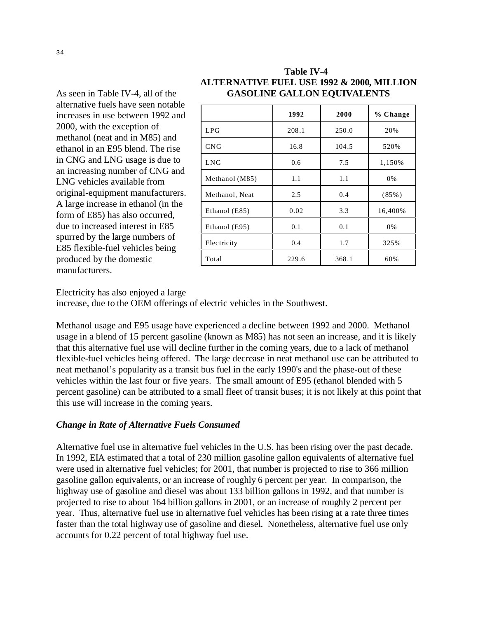| ll of the              | <b>GASOLINE GALLON EQUIVALENTS</b> |       |       |           |  |  |  |  |
|------------------------|------------------------------------|-------|-------|-----------|--|--|--|--|
| en notable<br>1992 and |                                    | 1992  | 2000  | $%$ Chang |  |  |  |  |
| of                     | LPG                                | 208.1 | 250.0 | 20%       |  |  |  |  |
| 85) and<br>The rise    | CNG                                | 16.8  | 104.5 | 520%      |  |  |  |  |
| is due to              | <b>LNG</b>                         | 0.6   | 7.5   | 1,150%    |  |  |  |  |
| CNG and<br>rom         | Methanol (M85)                     | 1.1   | 1.1   | 0%        |  |  |  |  |
| ifacturers.            | Methanol, Neat                     | 2.5   | 0.4   | $(85\%)$  |  |  |  |  |
| ol (in the<br>curred,  | Ethanol (E85)                      | 0.02  | 3.3   | 16,400%   |  |  |  |  |
| in E85                 | Ethanol (E95)                      | 0.1   | 0.1   | 0%        |  |  |  |  |
| bers of<br>s being     | Electricity                        | 0.4   | 1.7   | 325%      |  |  |  |  |
| C                      | Total                              | 229.6 | 368.1 | 60%       |  |  |  |  |
|                        |                                    |       |       |           |  |  |  |  |

As seen in Table IV-4, all alternative fuels have see increases in use between 2000, with the exception methanol (neat and in M<sub>3</sub> ethanol in an E95 blend. in CNG and LNG usage an increasing number of LNG vehicles available from original-equipment manu A large increase in ethanol form of  $E85$ ) has also occ due to increased interest spurred by the large numbers E85 flexible-fuel vehicles produced by the domestic manufacturers.

### **Table IV-4 ALTERNATIVE FUEL USE 1992 & 2000, MILLION LENTS**

**1992 2000 % C hange** 

16,400%

Electricity has also enjoyed a large

increase, due to the OEM offerings of electric vehicles in the Southwest.

Methanol usage and E95 usage have experienced a decline between 1992 and 2000. Methanol usage in a blend of 15 percent gasoline (known as M85) has not seen an increase, and it is likely that this alternative fuel use will decline further in the coming years, due to a lack of methanol flexible-fuel vehicles being offered. The large decrease in neat methanol use can be attributed to neat methanol's popularity as a transit bus fuel in the early 1990's and the phase-out of these vehicles within the last four or five years. The small amount of E95 (ethanol blended with 5 percent gasoline) can be attributed to a small fleet of transit buses; it is not likely at this point that this use will increase in the coming years.

### *Change in Rate of Alternative Fuels Consumed*

Alternative fuel use in alternative fuel vehicles in the U.S. has been rising over the past decade. In 1992, EIA estimated that a total of 230 million gasoline gallon equivalents of alternative fuel were used in alternative fuel vehicles; for 2001, that number is projected to rise to 366 million gasoline gallon equivalents, or an increase of roughly 6 percent per year. In comparison, the highway use of gasoline and diesel was about 133 billion gallons in 1992, and that number is projected to rise to about 164 billion gallons in 2001, or an increase of roughly 2 percent per year. Thus, alternative fuel use in alternative fuel vehicles has been rising at a rate three times faster than the total highway use of gasoline and diesel. Nonetheless, alternative fuel use only accounts for 0.22 percent of total highway fuel use.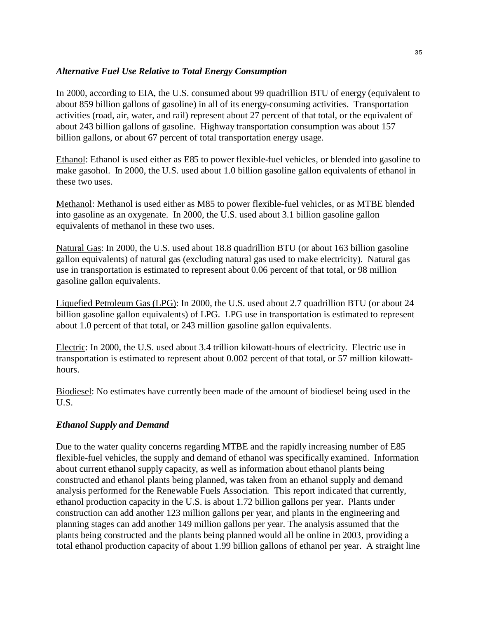## *Alternative Fuel Use Relative to Total Energy Consumption*

In 2000, according to EIA, the U.S. consumed about 99 quadrillion BTU of energy (equivalent to about 859 billion gallons of gasoline) in all of its energy-consuming activities. Transportation activities (road, air, water, and rail) represent about 27 percent of that total, or the equivalent of about 243 billion gallons of gasoline. Highway transportation consumption was about 157 billion gallons, or about 67 percent of total transportation energy usage.

Ethanol: Ethanol is used either as E85 to power flexible-fuel vehicles, or blended into gasoline to make gasohol. In 2000, the U.S. used about 1.0 billion gasoline gallon equivalents of ethanol in these two uses.

Methanol: Methanol is used either as M85 to power flexible-fuel vehicles, or as MTBE blended into gasoline as an oxygenate. In 2000, the U.S. used about 3.1 billion gasoline gallon equivalents of methanol in these two uses.

Natural Gas: In 2000, the U.S. used about 18.8 quadrillion BTU (or about 163 billion gasoline gallon equivalents) of natural gas (excluding natural gas used to make electricity). Natural gas use in transportation is estimated to represent about 0.06 percent of that total, or 98 million gasoline gallon equivalents.

Liquefied Petroleum Gas (LPG): In 2000, the U.S. used about 2.7 quadrillion BTU (or about 24 billion gasoline gallon equivalents) of LPG. LPG use in transportation is estimated to represent about 1.0 percent of that total, or 243 million gasoline gallon equivalents.

Electric: In 2000, the U.S. used about 3.4 trillion kilowatt-hours of electricity. Electric use in transportation is estimated to represent about 0.002 percent of that total, or 57 million kilowatthours.

Biodiesel: No estimates have currently been made of the amount of biodiesel being used in the U.S.

## *Ethanol Supply and Demand*

Due to the water quality concerns regarding MTBE and the rapidly increasing number of E85 flexible-fuel vehicles, the supply and demand of ethanol was specifically examined. Information about current ethanol supply capacity, as well as information about ethanol plants being constructed and ethanol plants being planned, was taken from an ethanol supply and demand analysis performed for the Renewable Fuels Association. This report indicated that currently, ethanol production capacity in the U.S. is about 1.72 billion gallons per year. Plants under construction can add another 123 million gallons per year, and plants in the engineering and planning stages can add another 149 million gallons per year. The analysis assumed that the plants being constructed and the plants being planned would all be online in 2003, providing a total ethanol production capacity of about 1.99 billion gallons of ethanol per year. A straight line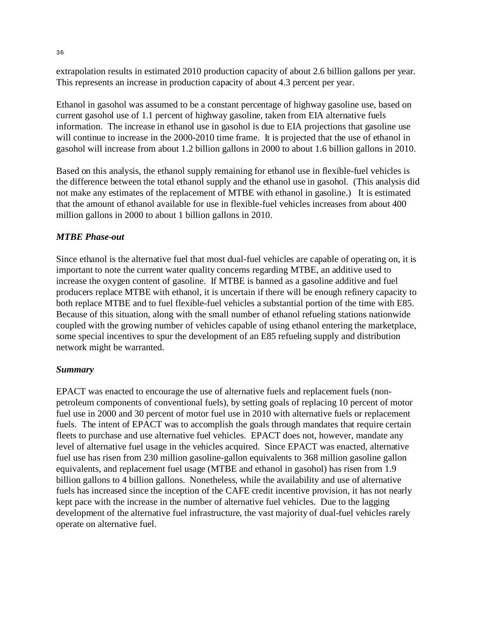extrapolation results in estimated 2010 production capacity of about 2.6 billion gallons per year. This represents an increase in production capacity of about 4.3 percent per year.

Ethanol in gasohol was assumed to be a constant percentage of highway gasoline use, based on current gasohol use of 1.1 percent of highway gasoline, taken from EIA alternative fuels information. The increase in ethanol use in gasohol is due to EIA projections that gasoline use will continue to increase in the 2000-2010 time frame. It is projected that the use of ethanol in gasohol will increase from about 1.2 billion gallons in 2000 to about 1.6 billion gallons in 2010.

Based on this analysis, the ethanol supply remaining for ethanol use in flexible-fuel vehicles is the difference between the total ethanol supply and the ethanol use in gasohol. (This analysis did not make any estimates of the replacement of MTBE with ethanol in gasoline.) It is estimated that the amount of ethanol available for use in flexible-fuel vehicles increases from about 400 million gallons in 2000 to about 1 billion gallons in 2010.

### *MTBE Phase-out*

Since ethanol is the alternative fuel that most dual-fuel vehicles are capable of operating on, it is important to note the current water quality concerns regarding MTBE, an additive used to increase the oxygen content of gasoline. If MTBE is banned as a gasoline additive and fuel producers replace MTBE with ethanol, it is uncertain if there will be enough refinery capacity to both replace MTBE and to fuel flexible-fuel vehicles a substantial portion of the time with E85. Because of this situation, along with the small number of ethanol refueling stations nationwide coupled with the growing number of vehicles capable of using ethanol entering the marketplace, some special incentives to spur the development of an E85 refueling supply and distribution network might be warranted.

### *Summary*

EPACT was enacted to encourage the use of alternative fuels and replacement fuels (nonpetroleum components of conventional fuels), by setting goals of replacing 10 percent of motor fuel use in 2000 and 30 percent of motor fuel use in 2010 with alternative fuels or replacement fuels. The intent of EPACT was to accomplish the goals through mandates that require certain fleets to purchase and use alternative fuel vehicles. EPACT does not, however, mandate any level of alternative fuel usage in the vehicles acquired. Since EPACT was enacted, alternative fuel use has risen from 230 million gasoline-gallon equivalents to 368 million gasoline gallon equivalents, and replacement fuel usage (MTBE and ethanol in gasohol) has risen from 1.9 billion gallons to 4 billion gallons. Nonetheless, while the availability and use of alternative fuels has increased since the inception of the CAFE credit incentive provision, it has not nearly kept pace with the increase in the number of alternative fuel vehicles. Due to the lagging development of the alternative fuel infrastructure, the vast majority of dual-fuel vehicles rarely operate on alternative fuel.

36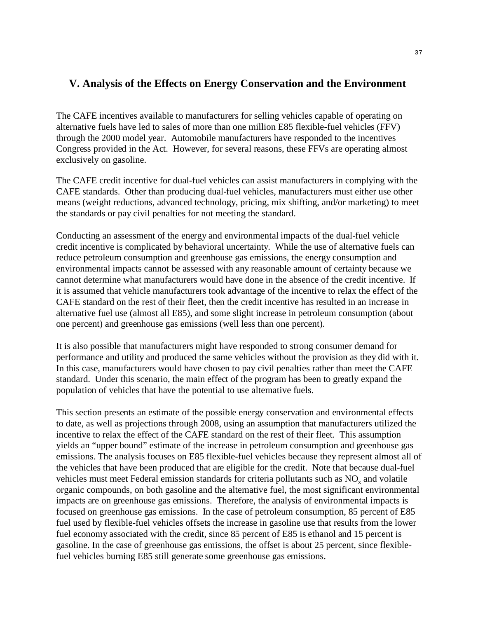## **V. Analysis of the Effects on Energy Conservation and the Environment**

The CAFE incentives available to manufacturers for selling vehicles capable of operating on alternative fuels have led to sales of more than one million E85 flexible-fuel vehicles (FFV) through the 2000 model year. Automobile manufacturers have responded to the incentives Congress provided in the Act. However, for several reasons, these FFVs are operating almost exclusively on gasoline.

The CAFE credit incentive for dual-fuel vehicles can assist manufacturers in complying with the CAFE standards. Other than producing dual-fuel vehicles, manufacturers must either use other means (weight reductions, advanced technology, pricing, mix shifting, and/or marketing) to meet the standards or pay civil penalties for not meeting the standard.

Conducting an assessment of the energy and environmental impacts of the dual-fuel vehicle credit incentive is complicated by behavioral uncertainty. While the use of alternative fuels can reduce petroleum consumption and greenhouse gas emissions, the energy consumption and environmental impacts cannot be assessed with any reasonable amount of certainty because we cannot determine what manufacturers would have done in the absence of the credit incentive. If it is assumed that vehicle manufacturers took advantage of the incentive to relax the effect of the CAFE standard on the rest of their fleet, then the credit incentive has resulted in an increase in alternative fuel use (almost all E85), and some slight increase in petroleum consumption (about one percent) and greenhouse gas emissions (well less than one percent).

It is also possible that manufacturers might have responded to strong consumer demand for performance and utility and produced the same vehicles without the provision as they did with it. In this case, manufacturers would have chosen to pay civil penalties rather than meet the CAFE standard. Under this scenario, the main effect of the program has been to greatly expand the population of vehicles that have the potential to use alternative fuels.

This section presents an estimate of the possible energy conservation and environmental effects to date, as well as projections through 2008, using an assumption that manufacturers utilized the incentive to relax the effect of the CAFE standard on the rest of their fleet. This assumption yields an "upper bound" estimate of the increase in petroleum consumption and greenhouse gas emissions. The analysis focuses on E85 flexible-fuel vehicles because they represent almost all of the vehicles that have been produced that are eligible for the credit. Note that because dual-fuel vehicles must meet Federal emission standards for criteria pollutants such as  $NO<sub>x</sub>$  and volatile organic compounds, on both gasoline and the alternative fuel, the most significant environmental impacts are on greenhouse gas emissions. Therefore, the analysis of environmental impacts is focused on greenhouse gas emissions. In the case of petroleum consumption, 85 percent of E85 fuel used by flexible-fuel vehicles offsets the increase in gasoline use that results from the lower fuel economy associated with the credit, since 85 percent of E85 is ethanol and 15 percent is gasoline. In the case of greenhouse gas emissions, the offset is about 25 percent, since flexiblefuel vehicles burning E85 still generate some greenhouse gas emissions.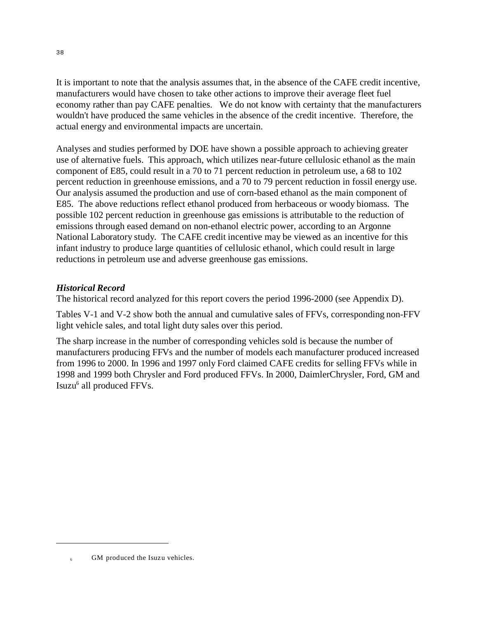It is important to note that the analysis assumes that, in the absence of the CAFE credit incentive, manufacturers would have chosen to take other actions to improve their average fleet fuel economy rather than pay CAFE penalties. We do not know with certainty that the manufacturers wouldn't have produced the same vehicles in the absence of the credit incentive. Therefore, the actual energy and environmental impacts are uncertain.

Analyses and studies performed by DOE have shown a possible approach to achieving greater use of alternative fuels. This approach, which utilizes near-future cellulosic ethanol as the main component of E85, could result in a 70 to 71 percent reduction in petroleum use, a 68 to 102 percent reduction in greenhouse emissions, and a 70 to 79 percent reduction in fossil energy use. Our analysis assumed the production and use of corn-based ethanol as the main component of E85. The above reductions reflect ethanol produced from herbaceous or woody biomass. The possible 102 percent reduction in greenhouse gas emissions is attributable to the reduction of emissions through eased demand on non-ethanol electric power, according to an Argonne National Laboratory study. The CAFE credit incentive may be viewed as an incentive for this infant industry to produce large quantities of cellulosic ethanol, which could result in large reductions in petroleum use and adverse greenhouse gas emissions.

## *Historical Record*

The historical record analyzed for this report covers the period 1996-2000 (see Appendix D).

Tables V-1 and V-2 show both the annual and cumulative sales of FFVs, corresponding non-FFV light vehicle sales, and total light duty sales over this period.

The sharp increase in the number of corresponding vehicles sold is because the number of manufacturers producing FFVs and the number of models each manufacturer produced increased from 1996 to 2000. In 1996 and 1997 only Ford claimed CAFE credits for selling FFVs while in 1998 and 1999 both Chrysler and Ford produced FFVs. In 2000, DaimlerChrysler, Ford, GM and Isuzu<sup>6</sup> all produced FFVs.

GM produced the Isuzu vehicles.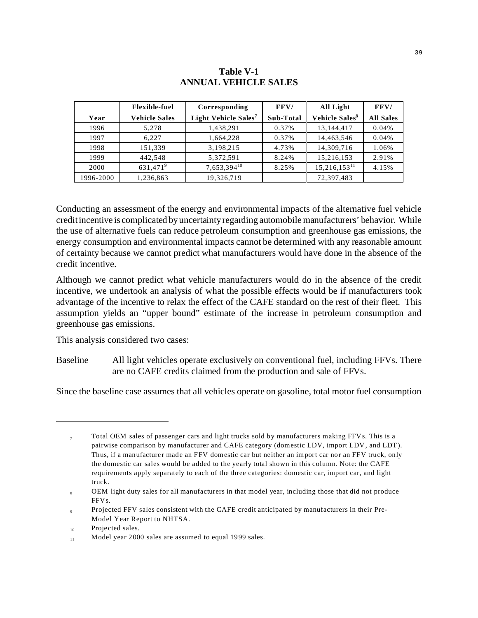#### **Table V-1 ANNUAL VEHICLE SALES**

|           | <b>Flexible-fuel</b> | Corresponding                    | FFV/      | All Light                  | FFV/             |
|-----------|----------------------|----------------------------------|-----------|----------------------------|------------------|
| Year      | <b>Vehicle Sales</b> | Light Vehicle Sales <sup>7</sup> | Sub-Total | Vehicle Sales <sup>8</sup> | <b>All Sales</b> |
| 1996      | 5,278                | 1,438,291                        | 0.37%     | 13,144,417                 | 0.04%            |
| 1997      | 6.227                | 1,664,228                        | 0.37%     | 14,463,546                 | 0.04%            |
| 1998      | 151,339              | 3,198,215                        | 4.73%     | 14,309,716                 | 1.06%            |
| 1999      | 442,548              | 5,372,591                        | 8.24%     | 15,216,153                 | 2.91%            |
| 2000      | 631,471 <sup>9</sup> | $7,653,394^{10}$                 | 8.25%     | $15,216,153^{11}$          | 4.15%            |
| 1996-2000 | 1,236,863            | 19,326,719                       |           | 72,397,483                 |                  |

Conducting an assessment of the energy and environmental impacts of the alternative fuel vehicle credit incentive is complicated by uncertainty regarding automobile manufacturers' behavior. While the use of alternative fuels can reduce petroleum consumption and greenhouse gas emissions, the energy consumption and environmental impacts cannot be determined with any reasonable amount of certainty because we cannot predict what manufacturers would have done in the absence of the credit incentive.

Although we cannot predict what vehicle manufacturers would do in the absence of the credit incentive, we undertook an analysis of what the possible effects would be if manufacturers took advantage of the incentive to relax the effect of the CAFE standard on the rest of their fleet. This assumption yields an "upper bound" estimate of the increase in petroleum consumption and greenhouse gas emissions.

This analysis considered two cases:

Baseline All light vehicles operate exclusively on conventional fuel, including FFVs. There are no CAFE credits claimed from the production and sale of FFVs.

Since the baseline case assumes that all vehicles operate on gasoline, total motor fuel consumption

 $7\sigma$  Total OEM sales of passenger cars and light trucks sold by manufacturers making FFVs. This is a pairwise comparison by manufacturer and CAFE category (domestic LDV, import LDV, and LDT). Thus, if a manufacturer made an FFV domestic car but neither an import car nor an FFV truck, only the domestic car sales would be added to the yearly total shown in this column. Note: the CAFE requirements apply separately to each of the three categories: domestic car, import car, and light truck.

<sup>8</sup> OEM light duty sales for all manufacturers in that model year, including those that did not produce FFVs.

<sup>9</sup> Projected FFV sales consistent with the CAFE credit anticipated by manufacturers in their Pre-Model Year Report to NHTSA.

<sup>10</sup> Projected sales.

<sup>11</sup> Model year 2000 sales are assumed to equal 1999 sales.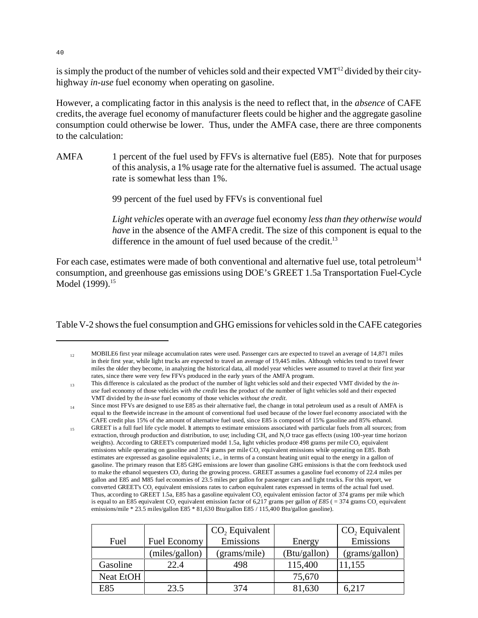is simply the product of the number of vehicles sold and their expected VMT<sup>12</sup> divided by their cityhighway *in-use* fuel economy when operating on gasoline.

However, a complicating factor in this analysis is the need to reflect that, in the *absence* of CAFE credits, the average fuel economy of manufacturer fleets could be higher and the aggregate gasoline consumption could otherwise be lower. Thus, under the AMFA case, there are three components to the calculation:

AMFA 1 percent of the fuel used by FFVs is alternative fuel (E85). Note that for purposes of this analysis, a 1% usage rate for the alternative fuel is assumed. The actual usage rate is somewhat less than 1%.

99 percent of the fuel used by FFVs is conventional fuel

*Light vehicles* operate with an *average* fuel economy *less than they otherwise would have* in the absence of the AMFA credit. The size of this component is equal to the difference in the amount of fuel used because of the credit.<sup>13</sup>

For each case, estimates were made of both conventional and alternative fuel use, total petroleum<sup>14</sup> consumption, and greenhouse gas emissions using DOE's GREET 1.5a Transportation Fuel-Cycle Model (1999).<sup>15</sup>

Table V-2 shows the fuel consumption and GHG emissions for vehicles sold in the CAFE categories

<sup>&</sup>lt;sup>15</sup> GREET is a full fuel life cycle model. It attempts to estimate emissions associated with particular fuels from all sources; from extraction, through production and distribution, to use; including CH<sub>4</sub> and N<sub>2</sub>O trace gas effects (using 100-year time horizon weights). According to GREET's computerized model 1.5a, light vehicles produce 498 grams per mile CO<sub>2</sub> equivalent emissions while operating on gasoline and 374 grams per mile CO<sub>2</sub> equivalent emissions while operating on E85. Both estimates are expressed as gasoline equivalents; i.e., in terms of a constant heating unit equal to the energy in a gallon of gasoline. The primary reason that E85 GHG emissions are lower than gasoline GHG emissions is that the corn feedstock used to make the ethanol sequesters CO<sub>2</sub> during the growing process. GREET assumes a gasoline fuel economy of 22.4 miles per gallon and E85 and M85 fuel economies of 23.5 miles per gallon for passenger cars and light trucks. For this report, we converted GREET's CO, equivalent emissions rates to carbon equivalent rates expressed in terms of the actual fuel used. Thus, according to GREET 1.5a, E85 has a gasoline equivalent CO, equivalent emission factor of 374 grams per mile which is equal to an E85 equivalent CO<sub>2</sub> equivalent emission factor of 6,217 grams per gallon of E85 ( = 374 grams CO<sub>2</sub> equivalent emissions/mile \* 23.5 miles/gallon E85 \* 81,630 Btu/gallon E85 / 115,400 Btu/gallon gasoline).

| Fuel      | Fuel Economy   | CO <sub>2</sub> Equivalent<br>Emissions | Energy       | $CO2$ Equivalent<br>Emissions |
|-----------|----------------|-----------------------------------------|--------------|-------------------------------|
|           | (miles/gallon) | (grams/mile)                            | (Btu/gallon) | (grams/gallon)                |
| Gasoline  | 22.4           | 498                                     | 115,400      | 11,155                        |
| Neat EtOH |                |                                         | 75,670       |                               |
| E85       | 23.5           | 374                                     | 81,630       | 6,217                         |

40

 $12 \text{ MOBILE}$  first year mileage accumulation rates were used. Passenger cars are expected to travel an average of 14,871 miles in their first year, while light trucks are expected to travel an average of 19,445 miles. Although vehicles tend to travel fewer miles the older they become, in analyzing the historical data, all model year vehicles were assumed to travel at their first year rates, since there were very few FFVs produced in the early years of the AMFA program.

<sup>13</sup> This difference is calculated as the product of the number of light vehicles sold and their expected VMT divided by the *inuse* fuel economy of those vehicles *with the credit* less the product of the number of light vehicles sold and their expected VMT divided by the *in-use* fuel economy of those vehicles *without the credit.* 

 $_{14}$  Since most FFVs are designed to use E85 as their alternative fuel, the change in total petroleum used as a result of AMFA is equal to the fleetwide increase in the amount of conventional fuel used because of the lower fuel economy associated with the CAFE credit plus 15% of the amount of alternative fuel used, since E85 is composed of 15% gasoline and 85% ethanol.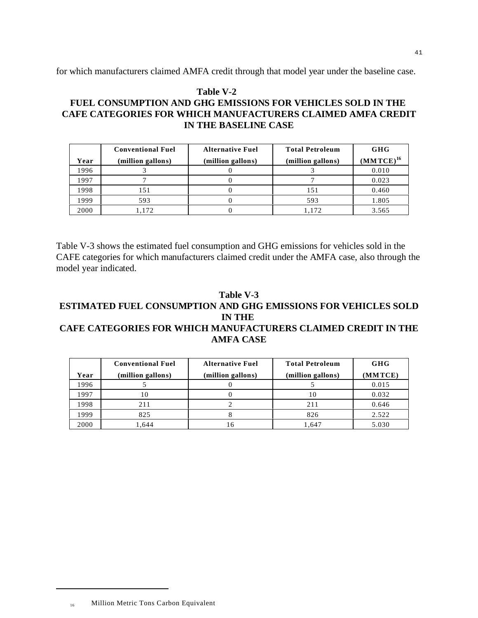for which manufacturers claimed AMFA credit through that model year under the baseline case.

## **Table V-2 FUEL CONSUMPTION AND GHG EMISSIONS FOR VEHICLES SOLD IN THE CAFE CATEGORIES FOR WHICH MANUFACTURERS CLAIMED AMFA CREDIT IN THE BASELINE CASE**

|      | <b>Conventional Fuel</b> | <b>Alternative Fuel</b> | <b>Total Petroleum</b> | GHG            |
|------|--------------------------|-------------------------|------------------------|----------------|
| Year | (million gallons)        | (million gallons)       | (million gallons)      | $(MMTCE)^{16}$ |
| 1996 |                          |                         |                        | 0.010          |
| 1997 |                          |                         |                        | 0.023          |
| 1998 | 151                      |                         | 151                    | 0.460          |
| 1999 | 593                      |                         | 593                    | 1.805          |
| 2000 | 1.172                    |                         | 1.172                  | 3.565          |

Table V-3 shows the estimated fuel consumption and GHG emissions for vehicles sold in the CAFE categories for which manufacturers claimed credit under the AMFA case, also through the model year indicated.

### **Table V-3 ESTIMATED FUEL CONSUMPTION AND GHG EMISSIONS FOR VEHICLES SOLD IN THE CAFE CATEGORIES FOR WHICH MANUFACTURERS CLAIMED CREDIT IN THE AMFA CASE**

|      | <b>Conventional Fuel</b> | <b>Alternative Fuel</b> | <b>Total Petroleum</b> | GHG     |
|------|--------------------------|-------------------------|------------------------|---------|
| Year | (million gallons)        | (million gallons)       | (million gallons)      | (MMTCE) |
| 1996 |                          |                         |                        | 0.015   |
| 1997 | 10                       |                         | 10                     | 0.032   |
| 1998 | 211                      |                         | 211                    | 0.646   |
| 1999 | 825                      |                         | 826                    | 2.522   |
| 2000 | .644                     |                         | 1.647                  | 5.030   |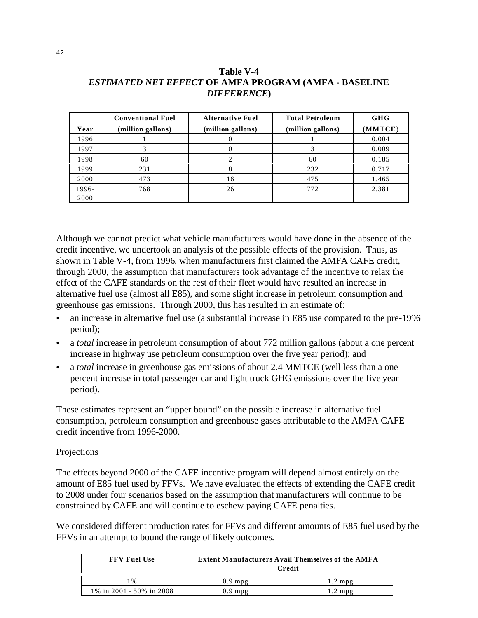|       | <b>Conventional Fuel</b> | <b>Alternative Fuel</b> | <b>Total Petroleum</b> | <b>GHG</b> |
|-------|--------------------------|-------------------------|------------------------|------------|
| Year  | (million gallons)        | (million gallons)       | (million gallons)      | (MMTCE)    |
| 1996  |                          |                         |                        | 0.004      |
| 1997  |                          |                         |                        | 0.009      |
| 1998  | 60                       |                         | 60                     | 0.185      |
| 1999  | 231                      |                         | 232                    | 0.717      |
| 2000  | 473                      | 16                      | 475                    | 1.465      |
| 1996- | 768                      | 26                      | 772                    | 2.381      |
| 2000  |                          |                         |                        |            |

## **Table V-4** *ESTIMATED NET EFFECT* **OF AMFA PROGRAM (AMFA - BASELINE** *DIFFERENCE***)**

Although we cannot predict what vehicle manufacturers would have done in the absence of the credit incentive, we undertook an analysis of the possible effects of the provision. Thus, as shown in Table V-4, from 1996, when manufacturers first claimed the AMFA CAFE credit, through 2000, the assumption that manufacturers took advantage of the incentive to relax the effect of the CAFE standards on the rest of their fleet would have resulted an increase in alternative fuel use (almost all E85), and some slight increase in petroleum consumption and greenhouse gas emissions. Through 2000, this has resulted in an estimate of:

- � an increase in alternative fuel use (a substantial increase in E85 use compared to the pre-1996 period);
- a *total* increase in petroleum consumption of about 772 million gallons (about a one percent increase in highway use petroleum consumption over the five year period); and
- � a *total* increase in greenhouse gas emissions of about 2.4 MMTCE (well less than a one percent increase in total passenger car and light truck GHG emissions over the five year period).

These estimates represent an "upper bound" on the possible increase in alternative fuel consumption, petroleum consumption and greenhouse gases attributable to the AMFA CAFE credit incentive from 1996-2000.

### Projections

The effects beyond 2000 of the CAFE incentive program will depend almost entirely on the amount of E85 fuel used by FFVs. We have evaluated the effects of extending the CAFE credit to 2008 under four scenarios based on the assumption that manufacturers will continue to be constrained by CAFE and will continue to eschew paying CAFE penalties.

We considered different production rates for FFVs and different amounts of E85 fuel used by the FFVs in an attempt to bound the range of likely outcomes.

| <b>FFV Fuel Use</b>      | <b>Extent Manufacturers Avail Themselves of the AMFA</b><br>Credit |                   |  |  |
|--------------------------|--------------------------------------------------------------------|-------------------|--|--|
| $1\%$                    | $0.9$ mpg                                                          | $1.2 \text{ mpg}$ |  |  |
| 1% in 2001 - 50% in 2008 | mpg                                                                | 2 mpg             |  |  |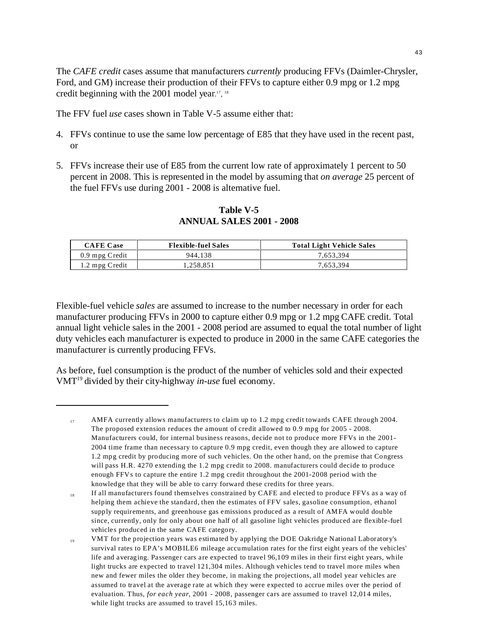The *CAFE credit* cases assume that manufacturers *currently* producing FFVs (Daimler-Chrysler, Ford, and GM) increase their production of their FFVs to capture either 0.9 mpg or 1.2 mpg credit beginning with the 2001 model year.<sup>17</sup>, <sup>18</sup>

The FFV fuel *use* cases shown in Table V-5 assume either that:

- 4. FFVs continue to use the same low percentage of E85 that they have used in the recent past, or
- 5. FFVs increase their use of E85 from the current low rate of approximately 1 percent to 50 percent in 2008. This is represented in the model by assuming that *on average* 25 percent of the fuel FFVs use during 2001 - 2008 is alternative fuel.

**Table V-5 ANNUAL SALES 2001 - 2008**

| <b>CAFE Case</b> | <b>Flexible-fuel Sales</b> | <b>Total Light Vehicle Sales</b> |
|------------------|----------------------------|----------------------------------|
| 0.9 mpg Credit   | 944.138                    | 7.653.394                        |
| 1.2 mpg Credit   | .258.851                   | 7.653.394                        |

Flexible-fuel vehicle *sales* are assumed to increase to the number necessary in order for each manufacturer producing FFVs in 2000 to capture either 0.9 mpg or 1.2 mpg CAFE credit. Total annual light vehicle sales in the 2001 - 2008 period are assumed to equal the total number of light duty vehicles each manufacturer is expected to produce in 2000 in the same CAFE categories the manufacturer is currently producing FFVs.

As before, fuel consumption is the product of the number of vehicles sold and their expected VMT19 divided by their city-highway *in-use* fuel economy.

 $17$  AMFA currently allows manufacturers to claim up to 1.2 mpg credit towards CAFE through 2004. The proposed extension reduces the amount of credit allowed to 0.9 mpg for 2005 - 2008. Manufacturers could, for internal business reasons, decide not to produce more FFVs in the 2001- 2004 time frame than necessary to capture 0.9 mpg credit, even though they are allowed to capture 1.2 mpg credit by producing more of such vehicles. On the other hand, on the premise that Congress will pass H.R. 4270 extending the 1.2 mpg credit to 2008. manufacturers could decide to produce enough FFVs to capture the entire 1.2 mpg credit throughout the 2001-2008 period with the knowledge that they will be able to carry forward these credits for three years.

<sup>18</sup> If all manufacturers found themselves constrained by CAFE and elected to produce FFVs as a way of helping them achieve the standard, then the estimates of FFV sales, gasoline consumption, ethanol supply requirements, and greenhouse gas emissions produced as a result of AMFA would double since, currently, only for only about one half of all gasoline light vehicles produced are flexible-fuel vehicles produced in the same CAFE category.

<sup>&</sup>lt;sup>19</sup> VMT for the projection years was estimated by applying the DOE Oakridge National Laboratory's survival rates to EPA's MOBILE6 mileage accumulation rates for the first eight years of the vehicles' life and averaging. Passenger cars are expected to travel 96,109 miles in their first eight years, while light trucks are expected to travel 121,304 miles. Although vehicles tend to travel more miles when new and fewer miles the older they become, in making the projections, all model year vehicles are assumed to travel at the average rate at which they were expected to accrue miles over the period of evaluation. Thus, *for each year*, 2001 - 2008, passenger cars are assumed to travel 12,014 miles, while light trucks are assumed to travel 15,163 miles.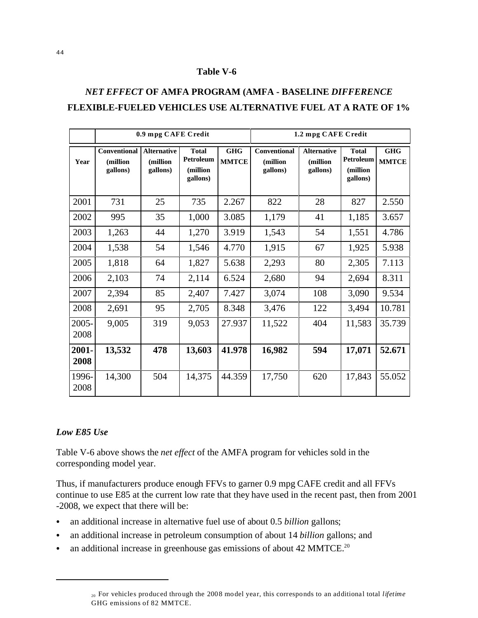#### **Table V-6**

## *NET EFFECT* **OF AMFA PROGRAM (AMFA - BASELINE** *DIFFERENCE*  **FLEXIBLE-FUELED VEHICLES USE ALTERNATIVE FUEL AT A RATE OF 1%**

|                  | 0.9 mpg CAFE Credit                  |                                            |                                                   |                            | 1.2 mpg CAFE Credit                  |                                            |                                                   |                            |
|------------------|--------------------------------------|--------------------------------------------|---------------------------------------------------|----------------------------|--------------------------------------|--------------------------------------------|---------------------------------------------------|----------------------------|
| Year             | Conventional<br>(million<br>gallons) | <b>Alternative</b><br>(million<br>gallons) | <b>Total</b><br>Petroleum<br>(million<br>gallons) | <b>GHG</b><br><b>MMTCE</b> | Conventional<br>(million<br>gallons) | <b>Alternative</b><br>(million<br>gallons) | <b>Total</b><br>Petroleum<br>(million<br>gallons) | <b>GHG</b><br><b>MMTCE</b> |
| 2001             | 731                                  | 25                                         | 735                                               | 2.267                      | 822                                  | 28                                         | 827                                               | 2.550                      |
| 2002             | 995                                  | 35                                         | 1,000                                             | 3.085                      | 1,179                                | 41                                         | 1,185                                             | 3.657                      |
| 2003             | 1,263                                | 44                                         | 1,270                                             | 3.919                      | 1,543                                | 54                                         | 1,551                                             | 4.786                      |
| 2004             | 1,538                                | 54                                         | 1,546                                             | 4.770                      | 1,915                                | 67                                         | 1,925                                             | 5.938                      |
| 2005             | 1,818                                | 64                                         | 1,827                                             | 5.638                      | 2,293                                | 80                                         | 2,305                                             | 7.113                      |
| 2006             | 2,103                                | 74                                         | 2,114                                             | 6.524                      | 2,680                                | 94                                         | 2,694                                             | 8.311                      |
| 2007             | 2,394                                | 85                                         | 2,407                                             | 7.427                      | 3,074                                | 108                                        | 3,090                                             | 9.534                      |
| 2008             | 2,691                                | 95                                         | 2,705                                             | 8.348                      | 3,476                                | 122                                        | 3,494                                             | 10.781                     |
| $2005 -$<br>2008 | 9,005                                | 319                                        | 9,053                                             | 27.937                     | 11,522                               | 404                                        | 11,583                                            | 35.739                     |
| $2001 -$<br>2008 | 13,532                               | 478                                        | 13,603                                            | 41.978                     | 16,982                               | 594                                        | 17,071                                            | 52.671                     |
| 1996-<br>2008    | 14,300                               | 504                                        | 14,375                                            | 44.359                     | 17,750                               | 620                                        | 17,843                                            | 55.052                     |

#### *Low E85 Use*

Table V-6 above shows the *net effect* of the AMFA program for vehicles sold in the corresponding model year.

Thus, if manufacturers produce enough FFVs to garner 0.9 mpg CAFE credit and all FFVs continue to use E85 at the current low rate that they have used in the recent past, then from 2001 -2008, we expect that there will be:

- � an additional increase in alternative fuel use of about 0.5 *billion* gallons;
- � an additional increase in petroleum consumption of about 14 *billion* gallons; and
- an additional increase in greenhouse gas emissions of about 42 MMTCE.<sup>20</sup>

<sup>20</sup> For vehicles produced through the 2008 model year, this corresponds to an additional total *lifetime*  GHG emissions of 82 MMTCE.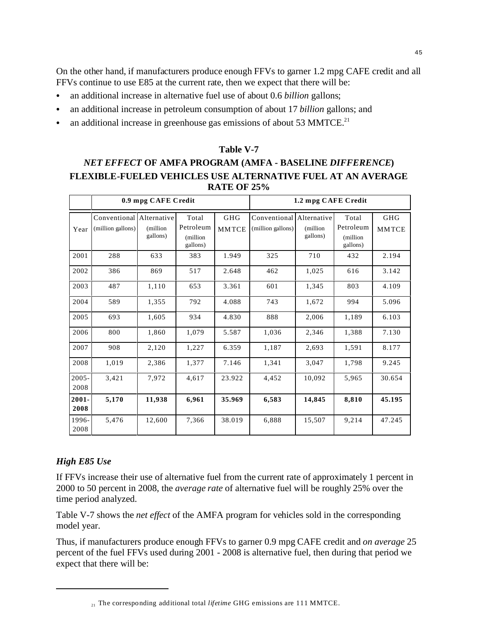On the other hand, if manufacturers produce enough FFVs to garner 1.2 mpg CAFE credit and all FFVs continue to use E85 at the current rate, then we expect that there will be:

- � an additional increase in alternative fuel use of about 0.6 *billion* gallons;
- � an additional increase in petroleum consumption of about 17 *billion* gallons; and
- an additional increase in greenhouse gas emissions of about 53 MMTCE.<sup>21</sup>

### **Table V-7**

## *NET EFFECT* **OF AMFA PROGRAM (AMFA - BASELINE** *DIFFERENCE***) FLEXIBLE-FUELED VEHICLES USE ALTERNATIVE FUEL AT AN AVERAGE RATE OF 25%**

|               | 0.9 mpg CAFE Credit                           |                       |                                            |                     | 1.2 mpg CAFE Credit                           |                       |                                            |                            |
|---------------|-----------------------------------------------|-----------------------|--------------------------------------------|---------------------|-----------------------------------------------|-----------------------|--------------------------------------------|----------------------------|
| Year          | Conventional Alternative<br>(million gallons) | (million)<br>gallons) | Total<br>Petroleum<br>(million<br>gallons) | GHG<br><b>MMTCE</b> | Conventional Alternative<br>(million gallons) | (million)<br>gallons) | Total<br>Petroleum<br>(million<br>gallons) | <b>GHG</b><br><b>MMTCE</b> |
| 2001          | 288                                           | 633                   | 383                                        | 1.949               | 325                                           | 710                   | 432                                        | 2.194                      |
| 2002          | 386                                           | 869                   | 517                                        | 2.648               | 462                                           | 1,025                 | 616                                        | 3.142                      |
| 2003          | 487                                           | 1,110                 | 653                                        | 3.361               | 601                                           | 1,345                 | 803                                        | 4.109                      |
| 2004          | 589                                           | 1,355                 | 792                                        | 4.088               | 743                                           | 1,672                 | 994                                        | 5.096                      |
| 2005          | 693                                           | 1,605                 | 934                                        | 4.830               | 888                                           | 2,006                 | 1,189                                      | 6.103                      |
| 2006          | 800                                           | 1,860                 | 1,079                                      | 5.587               | 1,036                                         | 2,346                 | 1,388                                      | 7.130                      |
| 2007          | 908                                           | 2,120                 | 1,227                                      | 6.359               | 1,187                                         | 2,693                 | 1,591                                      | 8.177                      |
| 2008          | 1,019                                         | 2,386                 | 1,377                                      | 7.146               | 1,341                                         | 3,047                 | 1,798                                      | 9.245                      |
| 2005-<br>2008 | 3,421                                         | 7,972                 | 4,617                                      | 23.922              | 4,452                                         | 10,092                | 5,965                                      | 30.654                     |
| 2001-<br>2008 | 5,170                                         | 11,938                | 6,961                                      | 35.969              | 6,583                                         | 14,845                | 8,810                                      | 45.195                     |
| 1996-<br>2008 | 5,476                                         | 12,600                | 7,366                                      | 38.019              | 6,888                                         | 15,507                | 9,214                                      | 47.245                     |

## *High E85 Use*

If FFVs increase their use of alternative fuel from the current rate of approximately 1 percent in 2000 to 50 percent in 2008, the *average rate* of alternative fuel will be roughly 25% over the time period analyzed.

Table V-7 shows the *net effect* of the AMFA program for vehicles sold in the corresponding model year.

Thus, if manufacturers produce enough FFVs to garner 0.9 mpg CAFE credit and *on average* 25 percent of the fuel FFVs used during 2001 - 2008 is alternative fuel, then during that period we expect that there will be:

<sup>21</sup> The corresponding additional total *lifetime* GHG emissions are 111 MMTCE.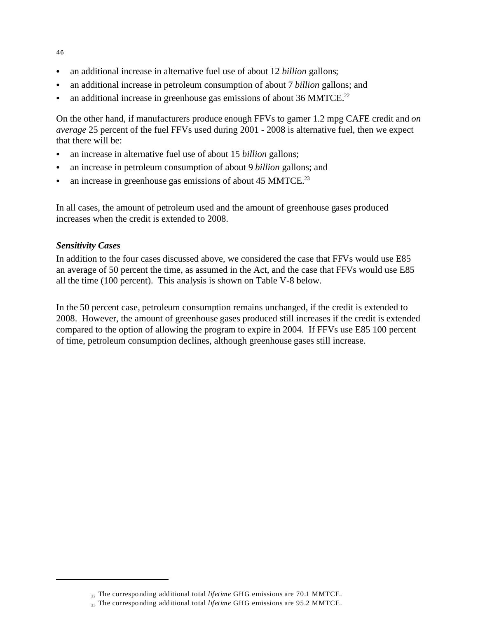- � an additional increase in alternative fuel use of about 12 *billion* gallons;
- � an additional increase in petroleum consumption of about 7 *billion* gallons; and
- an additional increase in greenhouse gas emissions of about 36 MMTCE.<sup>22</sup>

On the other hand, if manufacturers produce enough FFVs to garner 1.2 mpg CAFE credit and *on average* 25 percent of the fuel FFVs used during 2001 - 2008 is alternative fuel, then we expect that there will be:

- � an increase in alternative fuel use of about 15 *billion* gallons;
- � an increase in petroleum consumption of about 9 *billion* gallons; and
- an increase in greenhouse gas emissions of about 45 MMTCE.<sup>23</sup>

In all cases, the amount of petroleum used and the amount of greenhouse gases produced increases when the credit is extended to 2008.

### *Sensitivity Cases*

In addition to the four cases discussed above, we considered the case that FFVs would use E85 an average of 50 percent the time, as assumed in the Act, and the case that FFVs would use E85 all the time (100 percent). This analysis is shown on Table V-8 below.

In the 50 percent case, petroleum consumption remains unchanged, if the credit is extended to 2008. However, the amount of greenhouse gases produced still increases if the credit is extended compared to the option of allowing the program to expire in 2004. If FFVs use E85 100 percent of time, petroleum consumption declines, although greenhouse gases still increase.

46

<sup>22</sup> The corresponding additional total *lifetime* GHG emissions are 70.1 MMTCE.

<sup>23</sup> The corresponding additional total *lifetime* GHG emissions are 95.2 MMTCE.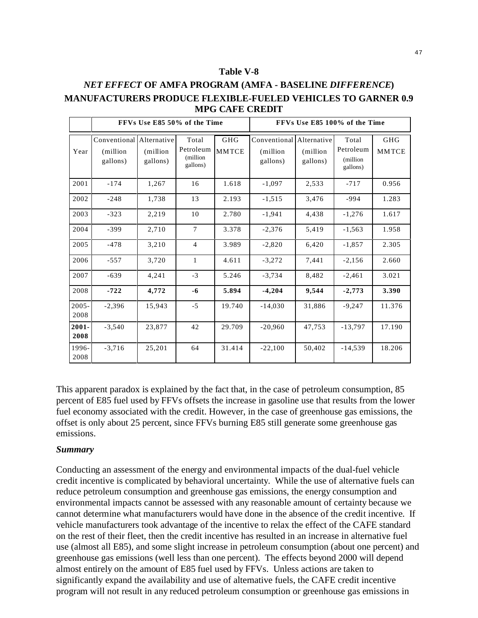#### **Table V-8**

## *NET EFFECT* **OF AMFA PROGRAM (AMFA - BASELINE** *DIFFERENCE***) MANUFACTURERS PRODUCE FLEXIBLE-FUELED VEHICLES TO GARNER 0.9 MPG CAFE CREDIT**

|                  | FFVs Use E85 50% of the Time                     |                       |                                             |                            | FFVs Use E85 100% of the Time                    |                       |                                            |                            |
|------------------|--------------------------------------------------|-----------------------|---------------------------------------------|----------------------------|--------------------------------------------------|-----------------------|--------------------------------------------|----------------------------|
| Year             | Conventional Alternative<br>(million<br>gallons) | (million)<br>gallons) | Total<br>Petroleum<br>(million)<br>gallons) | <b>GHG</b><br><b>MMTCE</b> | Conventional Alternative<br>(million<br>gallons) | (million)<br>gallons) | Total<br>Petroleum<br>(million<br>gallons) | <b>GHG</b><br><b>MMTCE</b> |
| 2001             | $-174$                                           | 1.267                 | 16                                          | 1.618                      | $-1.097$                                         | 2,533                 | $-717$                                     | 0.956                      |
| 2002             | $-248$                                           | 1,738                 | 13                                          | 2.193                      | $-1,515$                                         | 3,476                 | $-994$                                     | 1.283                      |
| 2003             | $-323$                                           | 2,219                 | 10                                          | 2.780                      | $-1,941$                                         | 4,438                 | $-1,276$                                   | 1.617                      |
| 2004             | $-399$                                           | 2.710                 | $\tau$                                      | 3.378                      | $-2,376$                                         | 5.419                 | $-1,563$                                   | 1.958                      |
| 2005             | $-478$                                           | 3,210                 | $\overline{4}$                              | 3.989                      | $-2,820$                                         | 6,420                 | $-1,857$                                   | 2.305                      |
| 2006             | $-557$                                           | 3,720                 | 1                                           | 4.611                      | $-3,272$                                         | 7,441                 | $-2,156$                                   | 2.660                      |
| 2007             | $-639$                                           | 4,241                 | $-3$                                        | 5.246                      | $-3,734$                                         | 8,482                 | $-2,461$                                   | 3.021                      |
| 2008             | $-722$                                           | 4,772                 | $-6$                                        | 5.894                      | $-4,204$                                         | 9,544                 | $-2,773$                                   | 3.390                      |
| $2005 -$<br>2008 | $-2,396$                                         | 15,943                | $-5$                                        | 19.740                     | $-14,030$                                        | 31,886                | $-9,247$                                   | 11.376                     |
| 2001-<br>2008    | $-3,540$                                         | 23,877                | 42                                          | 29.709                     | $-20.960$                                        | 47,753                | $-13,797$                                  | 17.190                     |
| 1996-<br>2008    | $-3,716$                                         | 25,201                | 64                                          | 31.414                     | $-22,100$                                        | 50,402                | $-14,539$                                  | 18.206                     |

This apparent paradox is explained by the fact that, in the case of petroleum consumption, 85 percent of E85 fuel used by FFVs offsets the increase in gasoline use that results from the lower fuel economy associated with the credit. However, in the case of greenhouse gas emissions, the offset is only about 25 percent, since FFVs burning E85 still generate some greenhouse gas emissions.

#### *Summary*

Conducting an assessment of the energy and environmental impacts of the dual-fuel vehicle credit incentive is complicated by behavioral uncertainty. While the use of alternative fuels can reduce petroleum consumption and greenhouse gas emissions, the energy consumption and environmental impacts cannot be assessed with any reasonable amount of certainty because we cannot determine what manufacturers would have done in the absence of the credit incentive. If vehicle manufacturers took advantage of the incentive to relax the effect of the CAFE standard on the rest of their fleet, then the credit incentive has resulted in an increase in alternative fuel use (almost all E85), and some slight increase in petroleum consumption (about one percent) and greenhouse gas emissions (well less than one percent). The effects beyond 2000 will depend almost entirely on the amount of E85 fuel used by FFVs. Unless actions are taken to significantly expand the availability and use of alternative fuels, the CAFE credit incentive program will not result in any reduced petroleum consumption or greenhouse gas emissions in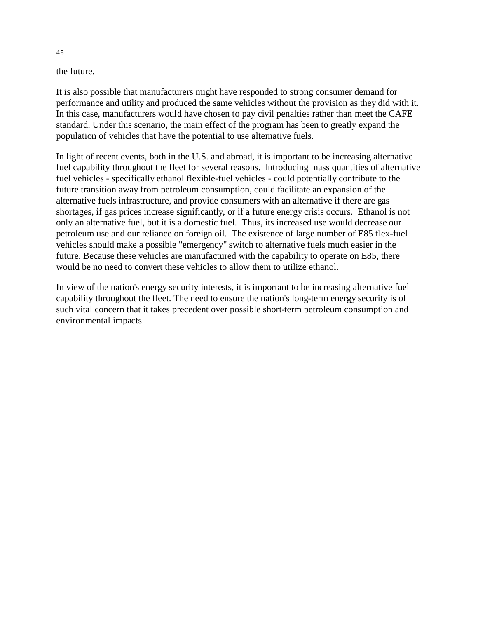the future.

It is also possible that manufacturers might have responded to strong consumer demand for performance and utility and produced the same vehicles without the provision as they did with it. In this case, manufacturers would have chosen to pay civil penalties rather than meet the CAFE standard. Under this scenario, the main effect of the program has been to greatly expand the population of vehicles that have the potential to use alternative fuels.

In light of recent events, both in the U.S. and abroad, it is important to be increasing alternative fuel capability throughout the fleet for several reasons. Introducing mass quantities of alternative fuel vehicles - specifically ethanol flexible-fuel vehicles - could potentially contribute to the future transition away from petroleum consumption, could facilitate an expansion of the alternative fuels infrastructure, and provide consumers with an alternative if there are gas shortages, if gas prices increase significantly, or if a future energy crisis occurs. Ethanol is not only an alternative fuel, but it is a domestic fuel. Thus, its increased use would decrease our petroleum use and our reliance on foreign oil. The existence of large number of E85 flex-fuel vehicles should make a possible "emergency" switch to alternative fuels much easier in the future. Because these vehicles are manufactured with the capability to operate on E85, there would be no need to convert these vehicles to allow them to utilize ethanol.

In view of the nation's energy security interests, it is important to be increasing alternative fuel capability throughout the fleet. The need to ensure the nation's long-term energy security is of such vital concern that it takes precedent over possible short-term petroleum consumption and environmental impacts.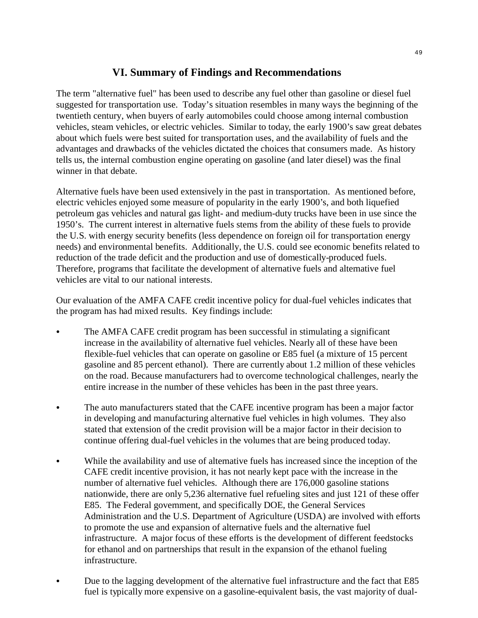## **VI. Summary of Findings and Recommendations**

The term "alternative fuel" has been used to describe any fuel other than gasoline or diesel fuel suggested for transportation use. Today's situation resembles in many ways the beginning of the twentieth century, when buyers of early automobiles could choose among internal combustion vehicles, steam vehicles, or electric vehicles. Similar to today, the early 1900's saw great debates about which fuels were best suited for transportation uses, and the availability of fuels and the advantages and drawbacks of the vehicles dictated the choices that consumers made. As history tells us, the internal combustion engine operating on gasoline (and later diesel) was the final winner in that debate.

Alternative fuels have been used extensively in the past in transportation. As mentioned before, electric vehicles enjoyed some measure of popularity in the early 1900's, and both liquefied petroleum gas vehicles and natural gas light- and medium-duty trucks have been in use since the 1950's. The current interest in alternative fuels stems from the ability of these fuels to provide the U.S. with energy security benefits (less dependence on foreign oil for transportation energy needs) and environmental benefits. Additionally, the U.S. could see economic benefits related to reduction of the trade deficit and the production and use of domestically-produced fuels. Therefore, programs that facilitate the development of alternative fuels and alternative fuel vehicles are vital to our national interests.

Our evaluation of the AMFA CAFE credit incentive policy for dual-fuel vehicles indicates that the program has had mixed results. Key findings include:

- � The AMFA CAFE credit program has been successful in stimulating a significant increase in the availability of alternative fuel vehicles. Nearly all of these have been flexible-fuel vehicles that can operate on gasoline or E85 fuel (a mixture of 15 percent gasoline and 85 percent ethanol). There are currently about 1.2 million of these vehicles on the road. Because manufacturers had to overcome technological challenges, nearly the entire increase in the number of these vehicles has been in the past three years.
- The auto manufacturers stated that the CAFE incentive program has been a major factor in developing and manufacturing alternative fuel vehicles in high volumes. They also stated that extension of the credit provision will be a major factor in their decision to continue offering dual-fuel vehicles in the volumes that are being produced today.
- While the availability and use of alternative fuels has increased since the inception of the CAFE credit incentive provision, it has not nearly kept pace with the increase in the number of alternative fuel vehicles. Although there are 176,000 gasoline stations nationwide, there are only 5,236 alternative fuel refueling sites and just 121 of these offer E85. The Federal government, and specifically DOE, the General Services Administration and the U.S. Department of Agriculture (USDA) are involved with efforts to promote the use and expansion of alternative fuels and the alternative fuel infrastructure. A major focus of these efforts is the development of different feedstocks for ethanol and on partnerships that result in the expansion of the ethanol fueling infrastructure.
- Due to the lagging development of the alternative fuel infrastructure and the fact that E85 fuel is typically more expensive on a gasoline-equivalent basis, the vast majority of dual-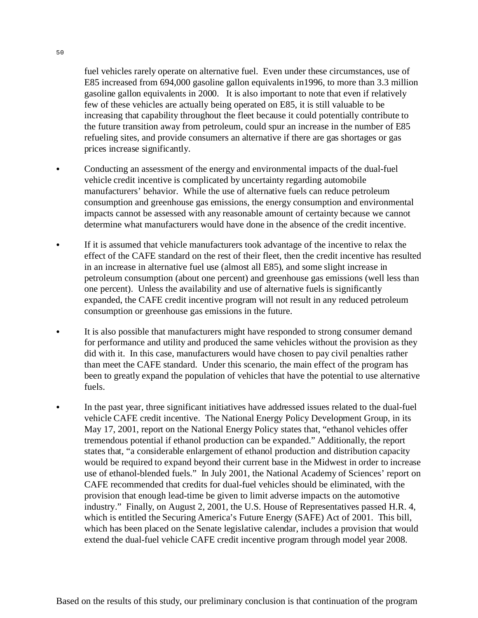fuel vehicles rarely operate on alternative fuel. Even under these circumstances, use of E85 increased from 694,000 gasoline gallon equivalents in1996, to more than 3.3 million gasoline gallon equivalents in 2000. It is also important to note that even if relatively few of these vehicles are actually being operated on E85, it is still valuable to be increasing that capability throughout the fleet because it could potentially contribute to the future transition away from petroleum, could spur an increase in the number of E85 refueling sites, and provide consumers an alternative if there are gas shortages or gas prices increase significantly.

- � Conducting an assessment of the energy and environmental impacts of the dual-fuel vehicle credit incentive is complicated by uncertainty regarding automobile manufacturers' behavior. While the use of alternative fuels can reduce petroleum consumption and greenhouse gas emissions, the energy consumption and environmental impacts cannot be assessed with any reasonable amount of certainty because we cannot determine what manufacturers would have done in the absence of the credit incentive.
- � If it is assumed that vehicle manufacturers took advantage of the incentive to relax the effect of the CAFE standard on the rest of their fleet, then the credit incentive has resulted in an increase in alternative fuel use (almost all E85), and some slight increase in petroleum consumption (about one percent) and greenhouse gas emissions (well less than one percent). Unless the availability and use of alternative fuels is significantly expanded, the CAFE credit incentive program will not result in any reduced petroleum consumption or greenhouse gas emissions in the future.
- � It is also possible that manufacturers might have responded to strong consumer demand for performance and utility and produced the same vehicles without the provision as they did with it. In this case, manufacturers would have chosen to pay civil penalties rather than meet the CAFE standard. Under this scenario, the main effect of the program has been to greatly expand the population of vehicles that have the potential to use alternative fuels.
- In the past year, three significant initiatives have addressed issues related to the dual-fuel vehicle CAFE credit incentive. The National Energy Policy Development Group, in its May 17, 2001, report on the National Energy Policy states that, "ethanol vehicles offer tremendous potential if ethanol production can be expanded." Additionally, the report states that, "a considerable enlargement of ethanol production and distribution capacity would be required to expand beyond their current base in the Midwest in order to increase use of ethanol-blended fuels." In July 2001, the National Academy of Sciences' report on CAFE recommended that credits for dual-fuel vehicles should be eliminated, with the provision that enough lead-time be given to limit adverse impacts on the automotive industry." Finally, on August 2, 2001, the U.S. House of Representatives passed H.R. 4, which is entitled the Securing America's Future Energy (SAFE) Act of 2001. This bill, which has been placed on the Senate legislative calendar, includes a provision that would extend the dual-fuel vehicle CAFE credit incentive program through model year 2008.